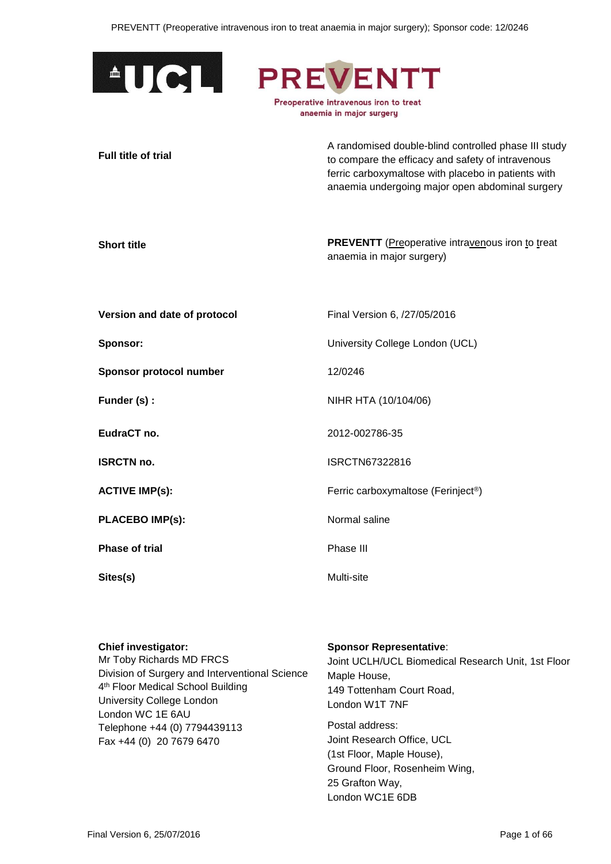

**Full title of trial**

A randomised double-blind controlled phase III study to compare the efficacy and safety of intravenous ferric carboxymaltose with placebo in patients with anaemia undergoing major open abdominal surgery

**Short title PREVENTT** (Preoperative intravenous iron to treat anaemia in major surgery)

**Version and date of protocol** Final Version 6, /27/05/2016

**Sponsor protocol number** 12/0246

**PLACEBO IMP(s):** Normal saline

**Phase of trial** Phase III

**Sponsor:** University College London (UCL)

**Funder (s) :** NIHR HTA (10/104/06)

**EudraCT no.** 2012-002786-35

**ISRCTN no. ISRCTN67322816** 

**ACTIVE IMP(s):** Ferric carboxymaltose (Ferinject<sup>®</sup>)

**Sites(s)** Multi-site

**Chief investigator:**

Mr Toby Richards MD FRCS Division of Surgery and Interventional Science 4 th Floor Medical School Building University College London London WC 1E 6AU Telephone +44 (0) 7794439113 Fax +44 (0) 20 7679 6470

#### **Sponsor Representative**:

Joint UCLH/UCL Biomedical Research Unit, 1st Floor Maple House, 149 Tottenham Court Road, London W1T 7NF

Postal address: Joint Research Office, UCL (1st Floor, Maple House), Ground Floor, Rosenheim Wing, 25 Grafton Way, London WC1E 6DB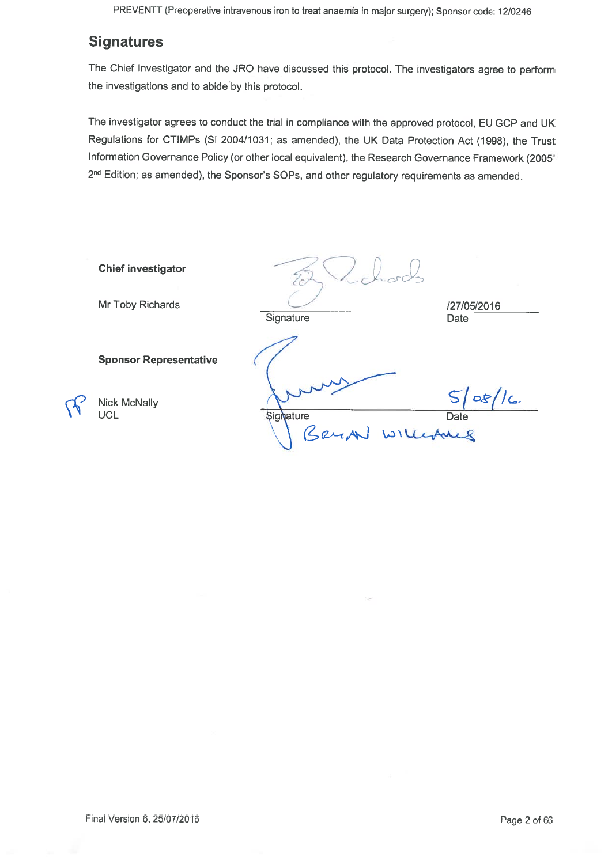## **Signatures**

The Chief Investigator and the JRO have discussed this protocol. The investigators agree to perform the investigations and to abide by this protocol.

The investigator agrees to conduct the trial in compliance with the approved protocol, EU GCP and UK Regulations for CTIMPs (SI 2004/1031; as amended), the UK Data Protection Act (1998), the Trust Information Governance Policy (or other local equivalent), the Research Governance Framework (2005' 2<sup>nd</sup> Edition; as amended), the Sponsor's SOPs, and other regulatory requirements as amended.

| <b>Chief investigator</b>                                          |                                        |                     |
|--------------------------------------------------------------------|----------------------------------------|---------------------|
| Mr Toby Richards                                                   | Signature                              | /27/05/2016<br>Date |
| <b>Sponsor Representative</b><br><b>Nick McNally</b><br><b>UCL</b> | <b>Signature</b><br>billepuls<br>BRUAN | $\alpha$<br>Date    |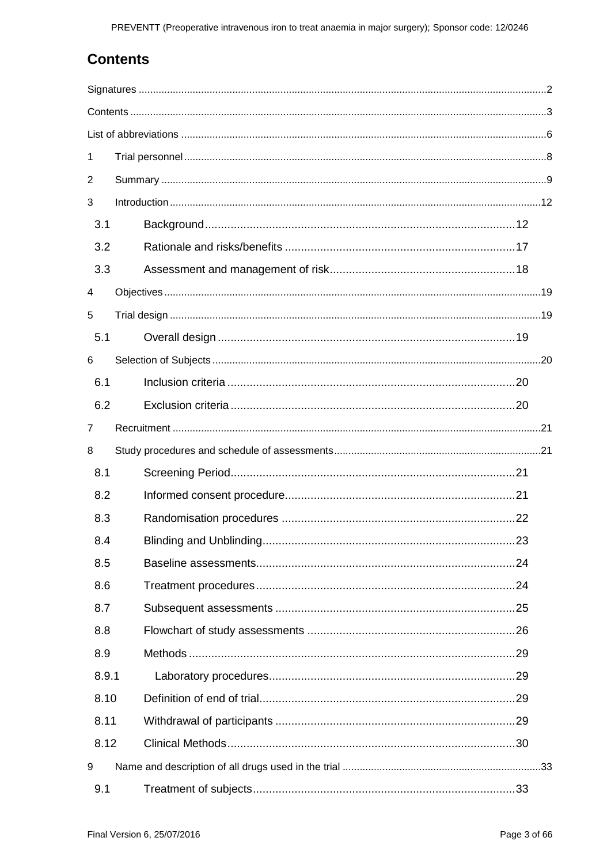# <span id="page-2-0"></span>**Contents**

| 1     |     |  |
|-------|-----|--|
| 2     |     |  |
| 3     |     |  |
| 3.1   |     |  |
| 3.2   |     |  |
| 3.3   |     |  |
| 4     |     |  |
| 5     |     |  |
| 5.1   |     |  |
| 6     |     |  |
| 6.1   |     |  |
| 6.2   |     |  |
| 7     |     |  |
| 8     |     |  |
| 8.1   |     |  |
| 8.2   |     |  |
| 8.3   |     |  |
| 8.4   | .23 |  |
| 8.5   |     |  |
| 8.6   |     |  |
| 8.7   |     |  |
| 8.8   |     |  |
| 8.9   |     |  |
| 8.9.1 |     |  |
| 8.10  |     |  |
| 8.11  |     |  |
| 8.12  |     |  |
| 9     |     |  |
| 9.1   |     |  |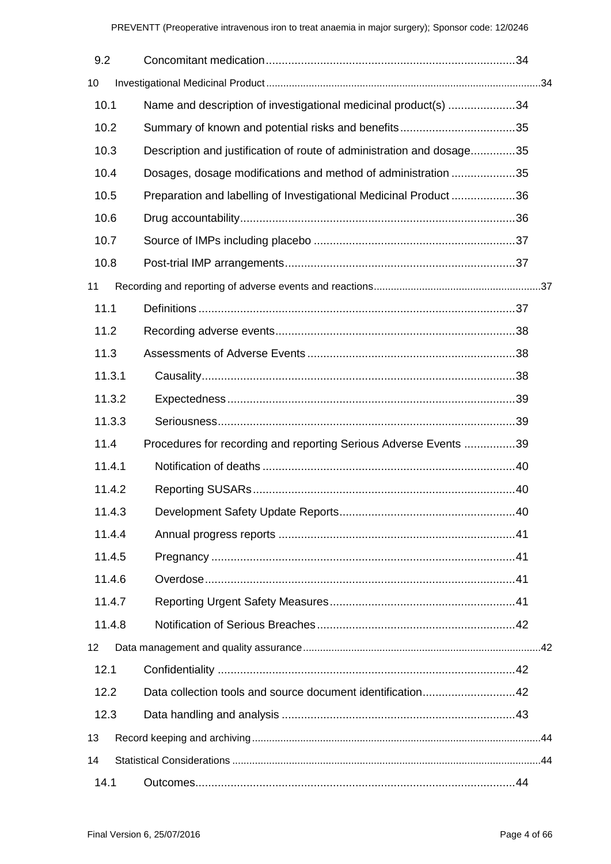| 9.2    |                                                                       |  |
|--------|-----------------------------------------------------------------------|--|
| 10     |                                                                       |  |
| 10.1   | Name and description of investigational medicinal product(s) 34       |  |
| 10.2   |                                                                       |  |
| 10.3   | Description and justification of route of administration and dosage35 |  |
| 10.4   | Dosages, dosage modifications and method of administration 35         |  |
| 10.5   | Preparation and labelling of Investigational Medicinal Product 36     |  |
| 10.6   |                                                                       |  |
| 10.7   |                                                                       |  |
| 10.8   |                                                                       |  |
| 11     |                                                                       |  |
| 11.1   |                                                                       |  |
| 11.2   |                                                                       |  |
| 11.3   |                                                                       |  |
| 11.3.1 |                                                                       |  |
| 11.3.2 |                                                                       |  |
| 11.3.3 |                                                                       |  |
| 11.4   | Procedures for recording and reporting Serious Adverse Events 39      |  |
| 11.4.1 |                                                                       |  |
| 11.4.2 |                                                                       |  |
| 11.4.3 |                                                                       |  |
| 11.4.4 |                                                                       |  |
| 11.4.5 |                                                                       |  |
| 11.4.6 |                                                                       |  |
| 11.4.7 |                                                                       |  |
| 11.4.8 |                                                                       |  |
| 12     |                                                                       |  |
| 12.1   |                                                                       |  |
| 12.2   | Data collection tools and source document identification42            |  |
| 12.3   |                                                                       |  |
| 13     |                                                                       |  |
| 14     |                                                                       |  |
| 14.1   |                                                                       |  |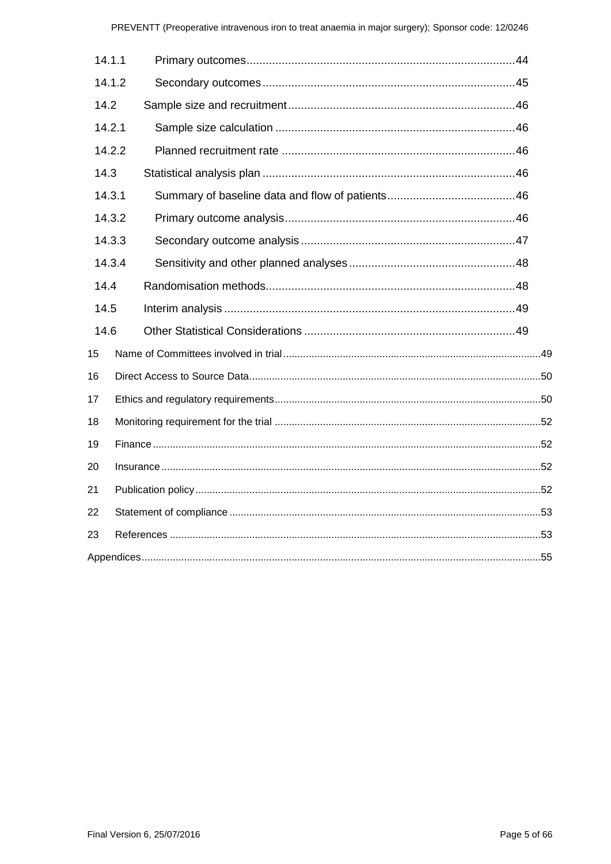| 14.1.1 |        |  |  |  |  |  |
|--------|--------|--|--|--|--|--|
|        | 14.1.2 |  |  |  |  |  |
| 14.2   |        |  |  |  |  |  |
| 14.2.1 |        |  |  |  |  |  |
|        | 14.2.2 |  |  |  |  |  |
| 14.3   |        |  |  |  |  |  |
| 14.3.1 |        |  |  |  |  |  |
|        | 14.3.2 |  |  |  |  |  |
|        | 14.3.3 |  |  |  |  |  |
|        | 14.3.4 |  |  |  |  |  |
| 14.4   |        |  |  |  |  |  |
| 14.5   |        |  |  |  |  |  |
| 14.6   |        |  |  |  |  |  |
| 15     |        |  |  |  |  |  |
| 16     |        |  |  |  |  |  |
| 17     |        |  |  |  |  |  |
| 18     |        |  |  |  |  |  |
| 19     |        |  |  |  |  |  |
| 20     |        |  |  |  |  |  |
| 21     |        |  |  |  |  |  |
| 22     |        |  |  |  |  |  |
| 23     |        |  |  |  |  |  |
|        |        |  |  |  |  |  |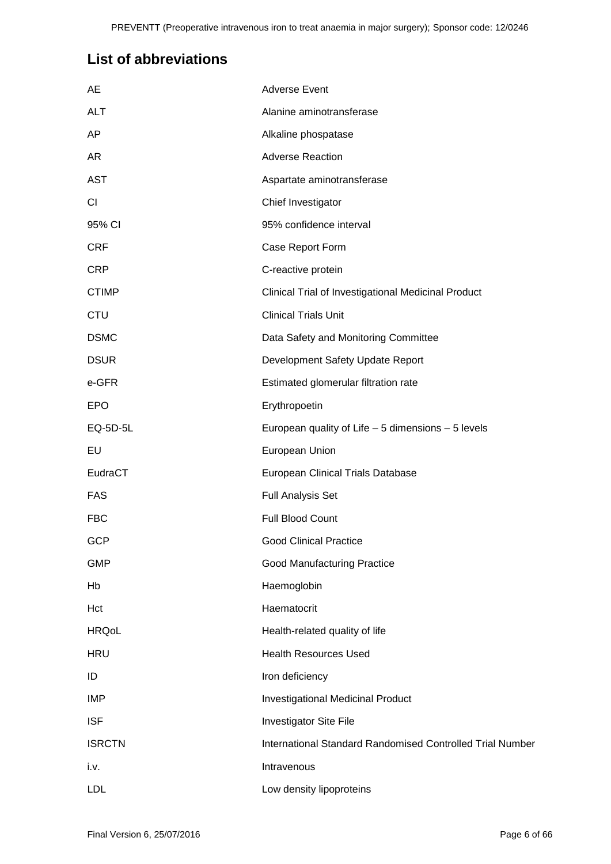# <span id="page-5-0"></span>**List of abbreviations**

| AE            | <b>Adverse Event</b>                                      |
|---------------|-----------------------------------------------------------|
| <b>ALT</b>    | Alanine aminotransferase                                  |
| AP            | Alkaline phospatase                                       |
| AR            | <b>Adverse Reaction</b>                                   |
| <b>AST</b>    | Aspartate aminotransferase                                |
| CI.           | Chief Investigator                                        |
| 95% CI        | 95% confidence interval                                   |
| <b>CRF</b>    | Case Report Form                                          |
| <b>CRP</b>    | C-reactive protein                                        |
| <b>CTIMP</b>  | Clinical Trial of Investigational Medicinal Product       |
| <b>CTU</b>    | <b>Clinical Trials Unit</b>                               |
| <b>DSMC</b>   | Data Safety and Monitoring Committee                      |
| <b>DSUR</b>   | Development Safety Update Report                          |
| e-GFR         | Estimated glomerular filtration rate                      |
| <b>EPO</b>    | Erythropoetin                                             |
| EQ-5D-5L      | European quality of Life - 5 dimensions - 5 levels        |
| EU            | European Union                                            |
| EudraCT       | European Clinical Trials Database                         |
| <b>FAS</b>    | <b>Full Analysis Set</b>                                  |
| <b>FBC</b>    | Full Blood Count                                          |
| <b>GCP</b>    | <b>Good Clinical Practice</b>                             |
| <b>GMP</b>    | <b>Good Manufacturing Practice</b>                        |
| Hb            | Haemoglobin                                               |
| Hct           | Haematocrit                                               |
| <b>HRQoL</b>  | Health-related quality of life                            |
| <b>HRU</b>    | <b>Health Resources Used</b>                              |
| ID            | Iron deficiency                                           |
| IMP           | <b>Investigational Medicinal Product</b>                  |
| <b>ISF</b>    | Investigator Site File                                    |
| <b>ISRCTN</b> | International Standard Randomised Controlled Trial Number |
| i.v.          | Intravenous                                               |
| <b>LDL</b>    | Low density lipoproteins                                  |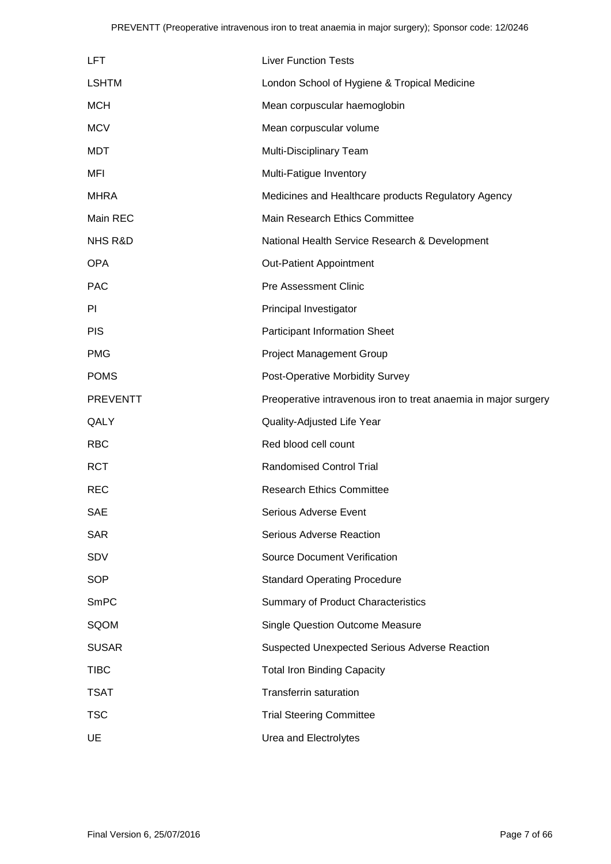| <b>LFT</b>         | <b>Liver Function Tests</b>                                     |
|--------------------|-----------------------------------------------------------------|
| <b>LSHTM</b>       | London School of Hygiene & Tropical Medicine                    |
| <b>MCH</b>         | Mean corpuscular haemoglobin                                    |
| <b>MCV</b>         | Mean corpuscular volume                                         |
| <b>MDT</b>         | Multi-Disciplinary Team                                         |
| MFI                | Multi-Fatigue Inventory                                         |
| <b>MHRA</b>        | Medicines and Healthcare products Regulatory Agency             |
| Main REC           | Main Research Ethics Committee                                  |
| <b>NHS R&amp;D</b> | National Health Service Research & Development                  |
| <b>OPA</b>         | <b>Out-Patient Appointment</b>                                  |
| <b>PAC</b>         | <b>Pre Assessment Clinic</b>                                    |
| PI                 | Principal Investigator                                          |
| <b>PIS</b>         | <b>Participant Information Sheet</b>                            |
| <b>PMG</b>         | <b>Project Management Group</b>                                 |
| <b>POMS</b>        | Post-Operative Morbidity Survey                                 |
| <b>PREVENTT</b>    | Preoperative intravenous iron to treat anaemia in major surgery |
| QALY               | Quality-Adjusted Life Year                                      |
| <b>RBC</b>         | Red blood cell count                                            |
| <b>RCT</b>         | <b>Randomised Control Trial</b>                                 |
| <b>REC</b>         | <b>Research Ethics Committee</b>                                |
| <b>SAE</b>         | Serious Adverse Event                                           |
| <b>SAR</b>         | Serious Adverse Reaction                                        |
| <b>SDV</b>         | <b>Source Document Verification</b>                             |
| <b>SOP</b>         | <b>Standard Operating Procedure</b>                             |
| <b>SmPC</b>        | <b>Summary of Product Characteristics</b>                       |
| SQOM               | <b>Single Question Outcome Measure</b>                          |
| <b>SUSAR</b>       | <b>Suspected Unexpected Serious Adverse Reaction</b>            |
| <b>TIBC</b>        | <b>Total Iron Binding Capacity</b>                              |
| <b>TSAT</b>        | <b>Transferrin saturation</b>                                   |
| <b>TSC</b>         | <b>Trial Steering Committee</b>                                 |
| UE                 | Urea and Electrolytes                                           |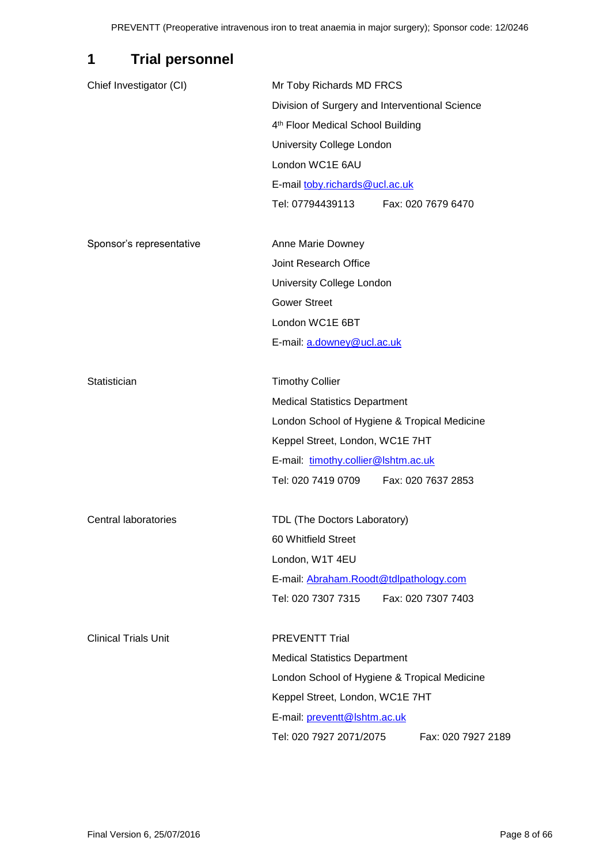# <span id="page-7-0"></span>**1 Trial personnel**

| Chief Investigator (CI)     | Mr Toby Richards MD FRCS                       |  |  |  |  |  |
|-----------------------------|------------------------------------------------|--|--|--|--|--|
|                             | Division of Surgery and Interventional Science |  |  |  |  |  |
|                             | 4 <sup>th</sup> Floor Medical School Building  |  |  |  |  |  |
|                             | University College London                      |  |  |  |  |  |
|                             | London WC1E 6AU                                |  |  |  |  |  |
|                             | E-mail toby.richards@ucl.ac.uk                 |  |  |  |  |  |
|                             | Tel: 07794439113    Fax: 020 7679 6470         |  |  |  |  |  |
| Sponsor's representative    | Anne Marie Downey                              |  |  |  |  |  |
|                             | Joint Research Office                          |  |  |  |  |  |
|                             | University College London                      |  |  |  |  |  |
|                             | <b>Gower Street</b>                            |  |  |  |  |  |
|                             | London WC1E 6BT                                |  |  |  |  |  |
|                             | E-mail: a.downey@ucl.ac.uk                     |  |  |  |  |  |
| Statistician                | <b>Timothy Collier</b>                         |  |  |  |  |  |
|                             | <b>Medical Statistics Department</b>           |  |  |  |  |  |
|                             | London School of Hygiene & Tropical Medicine   |  |  |  |  |  |
|                             | Keppel Street, London, WC1E 7HT                |  |  |  |  |  |
|                             | E-mail: timothy.collier@lshtm.ac.uk            |  |  |  |  |  |
|                             | Tel: 020 7419 0709    Fax: 020 7637 2853       |  |  |  |  |  |
| Central laboratories        | TDL (The Doctors Laboratory)                   |  |  |  |  |  |
|                             | 60 Whitfield Street                            |  |  |  |  |  |
|                             | London, W1T 4EU                                |  |  |  |  |  |
|                             | E-mail: Abraham.Roodt@tdlpathology.com         |  |  |  |  |  |
|                             | Tel: 020 7307 7315<br>Fax: 020 7307 7403       |  |  |  |  |  |
| <b>Clinical Trials Unit</b> | <b>PREVENTT Trial</b>                          |  |  |  |  |  |
|                             | <b>Medical Statistics Department</b>           |  |  |  |  |  |
|                             | London School of Hygiene & Tropical Medicine   |  |  |  |  |  |
|                             | Keppel Street, London, WC1E 7HT                |  |  |  |  |  |
|                             | E-mail: preventt@lshtm.ac.uk                   |  |  |  |  |  |
|                             | Tel: 020 7927 2071/2075<br>Fax: 020 7927 2189  |  |  |  |  |  |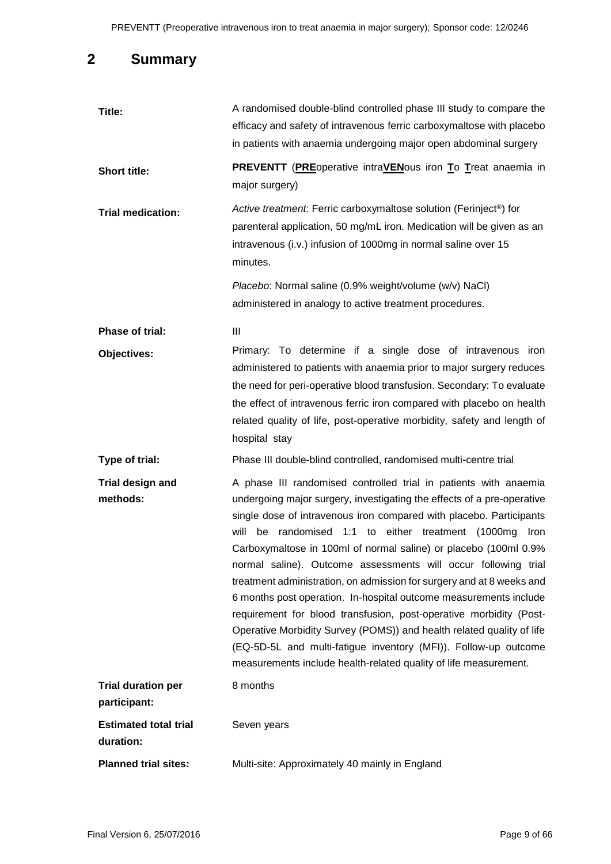# <span id="page-8-0"></span>**2 Summary**

| Title:                                    | A randomised double-blind controlled phase III study to compare the<br>efficacy and safety of intravenous ferric carboxymaltose with placebo<br>in patients with anaemia undergoing major open abdominal surgery                                                                                                                                                                                                                                                                                                                                                                                                                                                                                                                                                                                                                                          |
|-------------------------------------------|-----------------------------------------------------------------------------------------------------------------------------------------------------------------------------------------------------------------------------------------------------------------------------------------------------------------------------------------------------------------------------------------------------------------------------------------------------------------------------------------------------------------------------------------------------------------------------------------------------------------------------------------------------------------------------------------------------------------------------------------------------------------------------------------------------------------------------------------------------------|
| <b>Short title:</b>                       | <b>PREVENTT</b> (PREoperative intraVENous iron To Treat anaemia in<br>major surgery)                                                                                                                                                                                                                                                                                                                                                                                                                                                                                                                                                                                                                                                                                                                                                                      |
| <b>Trial medication:</b>                  | Active treatment: Ferric carboxymaltose solution (Ferinject®) for<br>parenteral application, 50 mg/mL iron. Medication will be given as an<br>intravenous (i.v.) infusion of 1000mg in normal saline over 15<br>minutes.                                                                                                                                                                                                                                                                                                                                                                                                                                                                                                                                                                                                                                  |
|                                           | Placebo: Normal saline (0.9% weight/volume (w/v) NaCl)<br>administered in analogy to active treatment procedures.                                                                                                                                                                                                                                                                                                                                                                                                                                                                                                                                                                                                                                                                                                                                         |
| <b>Phase of trial:</b>                    | Ш                                                                                                                                                                                                                                                                                                                                                                                                                                                                                                                                                                                                                                                                                                                                                                                                                                                         |
| Objectives:                               | Primary: To determine if a single dose of intravenous iron<br>administered to patients with anaemia prior to major surgery reduces<br>the need for peri-operative blood transfusion. Secondary: To evaluate<br>the effect of intravenous ferric iron compared with placebo on health<br>related quality of life, post-operative morbidity, safety and length of<br>hospital stay                                                                                                                                                                                                                                                                                                                                                                                                                                                                          |
| Type of trial:                            | Phase III double-blind controlled, randomised multi-centre trial                                                                                                                                                                                                                                                                                                                                                                                                                                                                                                                                                                                                                                                                                                                                                                                          |
| <b>Trial design and</b><br>methods:       | A phase III randomised controlled trial in patients with anaemia<br>undergoing major surgery, investigating the effects of a pre-operative<br>single dose of intravenous iron compared with placebo. Participants<br>will<br>be randomised 1:1 to either treatment (1000mg Iron<br>Carboxymaltose in 100ml of normal saline) or placebo (100ml 0.9%<br>normal saline). Outcome assessments will occur following trial<br>treatment administration, on admission for surgery and at 8 weeks and<br>6 months post operation. In-hospital outcome measurements include<br>requirement for blood transfusion, post-operative morbidity (Post-<br>Operative Morbidity Survey (POMS)) and health related quality of life<br>(EQ-5D-5L and multi-fatigue inventory (MFI)). Follow-up outcome<br>measurements include health-related quality of life measurement. |
| <b>Trial duration per</b><br>participant: | 8 months                                                                                                                                                                                                                                                                                                                                                                                                                                                                                                                                                                                                                                                                                                                                                                                                                                                  |
| <b>Estimated total trial</b><br>duration: | Seven years                                                                                                                                                                                                                                                                                                                                                                                                                                                                                                                                                                                                                                                                                                                                                                                                                                               |
| <b>Planned trial sites:</b>               | Multi-site: Approximately 40 mainly in England                                                                                                                                                                                                                                                                                                                                                                                                                                                                                                                                                                                                                                                                                                                                                                                                            |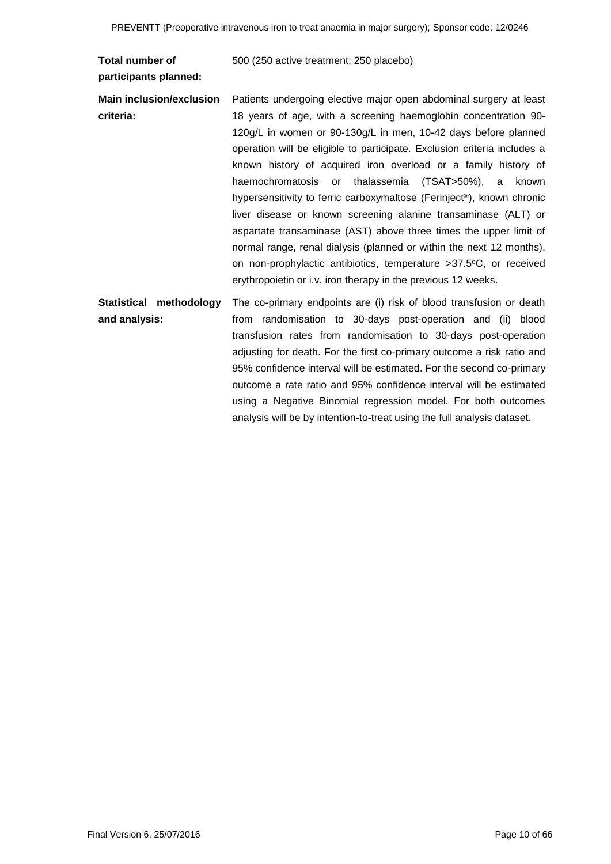| Total number of<br>participants planned: | 500 (250 active treatment; 250 placebo)                                                                                                                                                                                                                                                                                                                                                                                                                                                                                                                                                                                                                                                                                                                                                                                                                   |
|------------------------------------------|-----------------------------------------------------------------------------------------------------------------------------------------------------------------------------------------------------------------------------------------------------------------------------------------------------------------------------------------------------------------------------------------------------------------------------------------------------------------------------------------------------------------------------------------------------------------------------------------------------------------------------------------------------------------------------------------------------------------------------------------------------------------------------------------------------------------------------------------------------------|
| Main inclusion/exclusion<br>criteria:    | Patients undergoing elective major open abdominal surgery at least<br>18 years of age, with a screening haemoglobin concentration 90-<br>120g/L in women or 90-130g/L in men, 10-42 days before planned<br>operation will be eligible to participate. Exclusion criteria includes a<br>known history of acquired iron overload or a family history of<br>haemochromatosis or<br>thalassemia<br>$(TSAT > 50\%)$ , a<br>known<br>hypersensitivity to ferric carboxymaltose (Ferinject®), known chronic<br>liver disease or known screening alanine transaminase (ALT) or<br>aspartate transaminase (AST) above three times the upper limit of<br>normal range, renal dialysis (planned or within the next 12 months),<br>on non-prophylactic antibiotics, temperature >37.5°C, or received<br>erythropoietin or i.v. iron therapy in the previous 12 weeks. |
| Statistical methodology<br>and analysis: | The co-primary endpoints are (i) risk of blood transfusion or death<br>from randomisation to 30-days post-operation and (ii) blood<br>transfusion rates from randomisation to 30-days post-operation<br>adjusting for death. For the first co-primary outcome a risk ratio and<br>95% confidence interval will be estimated. For the second co-primary<br>outcome a rate ratio and 95% confidence interval will be estimated<br>using a Negative Binomial regression model. For both outcomes<br>analysis will be by intention-to-treat using the full analysis dataset.                                                                                                                                                                                                                                                                                  |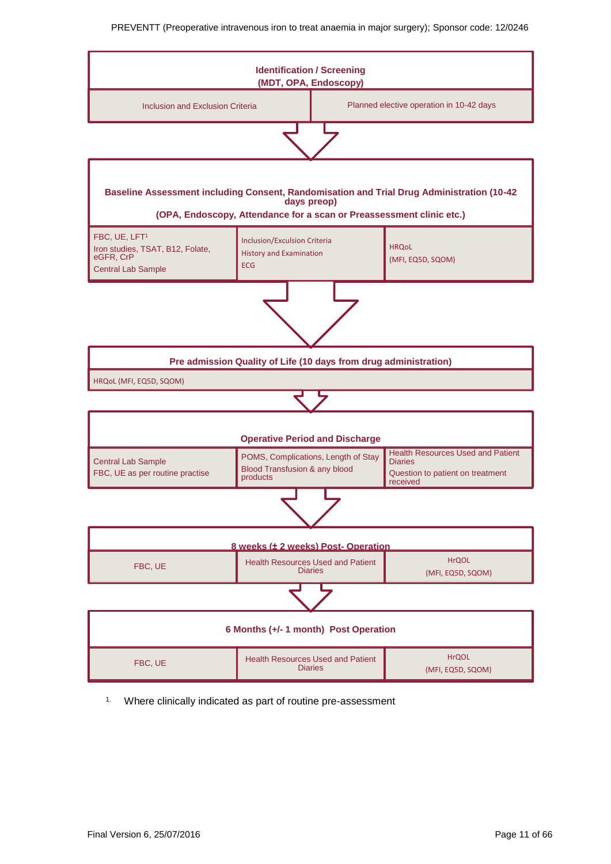

<sup>1.</sup> Where clinically indicated as part of routine pre-assessment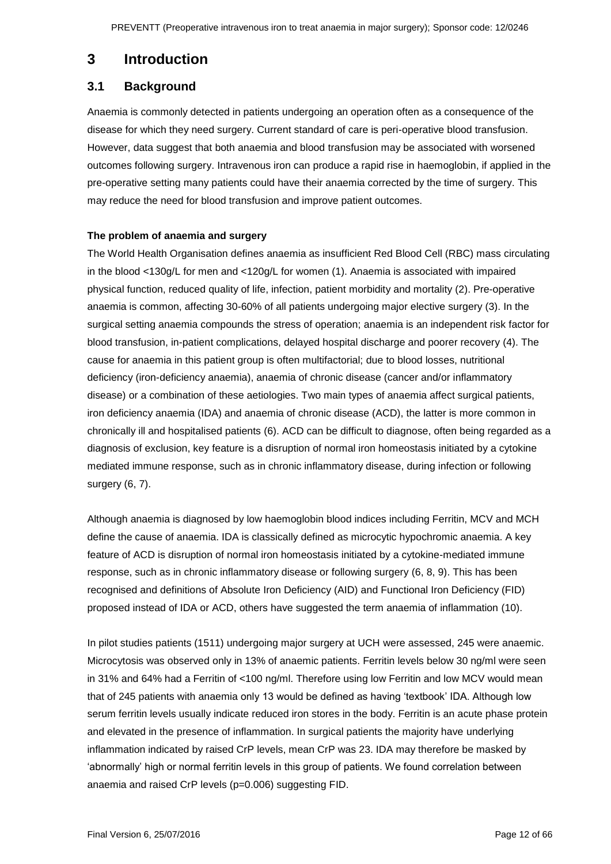## <span id="page-11-0"></span>**3 Introduction**

### <span id="page-11-1"></span>**3.1 Background**

Anaemia is commonly detected in patients undergoing an operation often as a consequence of the disease for which they need surgery. Current standard of care is peri-operative blood transfusion. However, data suggest that both anaemia and blood transfusion may be associated with worsened outcomes following surgery. Intravenous iron can produce a rapid rise in haemoglobin, if applied in the pre-operative setting many patients could have their anaemia corrected by the time of surgery. This may reduce the need for blood transfusion and improve patient outcomes.

#### **The problem of anaemia and surgery**

The World Health Organisation defines anaemia as insufficient Red Blood Cell (RBC) mass circulating in the blood <130g/L for men and <120g/L for women (1). Anaemia is associated with impaired physical function, reduced quality of life, infection, patient morbidity and mortality (2). Pre-operative anaemia is common, affecting 30-60% of all patients undergoing major elective surgery (3). In the surgical setting anaemia compounds the stress of operation; anaemia is an independent risk factor for blood transfusion, in-patient complications, delayed hospital discharge and poorer recovery (4). The cause for anaemia in this patient group is often multifactorial; due to blood losses, nutritional deficiency (iron-deficiency anaemia), anaemia of chronic disease (cancer and/or inflammatory disease) or a combination of these aetiologies. Two main types of anaemia affect surgical patients, iron deficiency anaemia (IDA) and anaemia of chronic disease (ACD), the latter is more common in chronically ill and hospitalised patients (6). ACD can be difficult to diagnose, often being regarded as a diagnosis of exclusion, key feature is a disruption of normal iron homeostasis initiated by a cytokine mediated immune response, such as in chronic inflammatory disease, during infection or following surgery (6, 7).

Although anaemia is diagnosed by low haemoglobin blood indices including Ferritin, MCV and MCH define the cause of anaemia. IDA is classically defined as microcytic hypochromic anaemia. A key feature of ACD is disruption of normal iron homeostasis initiated by a cytokine-mediated immune response, such as in chronic inflammatory disease or following surgery (6, 8, 9). This has been recognised and definitions of Absolute Iron Deficiency (AID) and Functional Iron Deficiency (FID) proposed instead of IDA or ACD, others have suggested the term anaemia of inflammation (10).

In pilot studies patients (1511) undergoing major surgery at UCH were assessed, 245 were anaemic. Microcytosis was observed only in 13% of anaemic patients. Ferritin levels below 30 ng/ml were seen in 31% and 64% had a Ferritin of <100 ng/ml. Therefore using low Ferritin and low MCV would mean that of 245 patients with anaemia only 13 would be defined as having 'textbook' IDA. Although low serum ferritin levels usually indicate reduced iron stores in the body. Ferritin is an acute phase protein and elevated in the presence of inflammation. In surgical patients the majority have underlying inflammation indicated by raised CrP levels, mean CrP was 23. IDA may therefore be masked by 'abnormally' high or normal ferritin levels in this group of patients. We found correlation between anaemia and raised CrP levels (p=0.006) suggesting FID.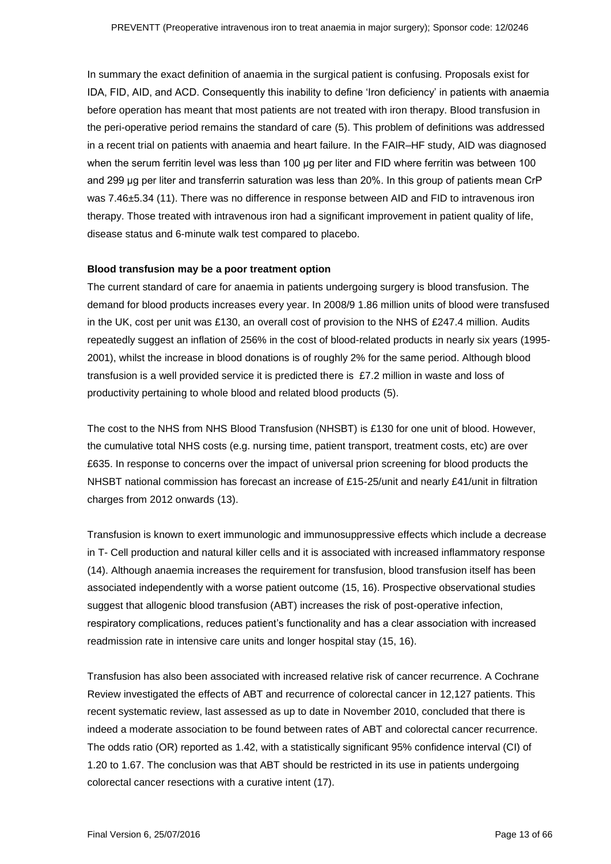In summary the exact definition of anaemia in the surgical patient is confusing. Proposals exist for IDA, FID, AID, and ACD. Consequently this inability to define 'Iron deficiency' in patients with anaemia before operation has meant that most patients are not treated with iron therapy. Blood transfusion in the peri-operative period remains the standard of care (5). This problem of definitions was addressed in a recent trial on patients with anaemia and heart failure. In the FAIR–HF study, AID was diagnosed when the serum ferritin level was less than 100 μg per liter and FID where ferritin was between 100 and 299 μg per liter and transferrin saturation was less than 20%. In this group of patients mean CrP was 7.46±5.34 (11). There was no difference in response between AID and FID to intravenous iron therapy. Those treated with intravenous iron had a significant improvement in patient quality of life, disease status and 6-minute walk test compared to placebo.

#### **Blood transfusion may be a poor treatment option**

The current standard of care for anaemia in patients undergoing surgery is blood transfusion. The demand for blood products increases every year. In 2008/9 1.86 million units of blood were transfused in the UK, cost per unit was £130, an overall cost of provision to the NHS of £247.4 million. Audits repeatedly suggest an inflation of 256% in the cost of blood-related products in nearly six years (1995- 2001), whilst the increase in blood donations is of roughly 2% for the same period. Although blood transfusion is a well provided service it is predicted there is £7.2 million in waste and loss of productivity pertaining to whole blood and related blood products (5).

The cost to the NHS from NHS Blood Transfusion (NHSBT) is £130 for one unit of blood. However, the cumulative total NHS costs (e.g. nursing time, patient transport, treatment costs, etc) are over £635. In response to concerns over the impact of universal prion screening for blood products the NHSBT national commission has forecast an increase of £15-25/unit and nearly £41/unit in filtration charges from 2012 onwards (13).

Transfusion is known to exert immunologic and immunosuppressive effects which include a decrease in T- Cell production and natural killer cells and it is associated with increased inflammatory response (14). Although anaemia increases the requirement for transfusion, blood transfusion itself has been associated independently with a worse patient outcome (15, 16). Prospective observational studies suggest that allogenic blood transfusion (ABT) increases the risk of post-operative infection, respiratory complications, reduces patient's functionality and has a clear association with increased readmission rate in intensive care units and longer hospital stay (15, 16).

Transfusion has also been associated with increased relative risk of cancer recurrence. A Cochrane Review investigated the effects of ABT and recurrence of colorectal cancer in 12,127 patients. This recent systematic review, last assessed as up to date in November 2010, concluded that there is indeed a moderate association to be found between rates of ABT and colorectal cancer recurrence. The odds ratio (OR) reported as 1.42, with a statistically significant 95% confidence interval (CI) of 1.20 to 1.67. The conclusion was that ABT should be restricted in its use in patients undergoing colorectal cancer resections with a curative intent (17).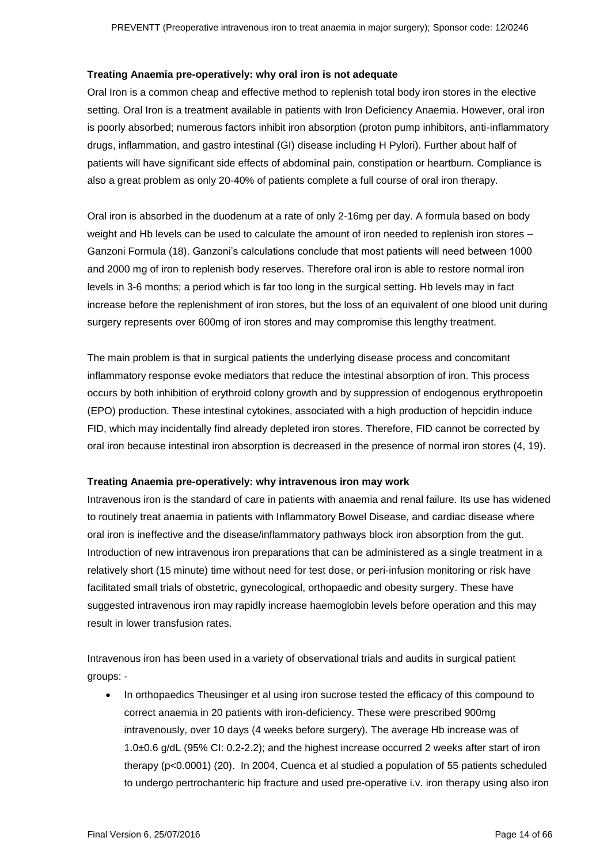#### **Treating Anaemia pre-operatively: why oral iron is not adequate**

Oral Iron is a common cheap and effective method to replenish total body iron stores in the elective setting. Oral Iron is a treatment available in patients with Iron Deficiency Anaemia. However, oral iron is poorly absorbed; numerous factors inhibit iron absorption (proton pump inhibitors, anti-inflammatory drugs, inflammation, and gastro intestinal (GI) disease including H Pylori). Further about half of patients will have significant side effects of abdominal pain, constipation or heartburn. Compliance is also a great problem as only 20-40% of patients complete a full course of oral iron therapy.

Oral iron is absorbed in the duodenum at a rate of only 2-16mg per day. A formula based on body weight and Hb levels can be used to calculate the amount of iron needed to replenish iron stores – Ganzoni Formula (18). Ganzoni's calculations conclude that most patients will need between 1000 and 2000 mg of iron to replenish body reserves. Therefore oral iron is able to restore normal iron levels in 3-6 months; a period which is far too long in the surgical setting. Hb levels may in fact increase before the replenishment of iron stores, but the loss of an equivalent of one blood unit during surgery represents over 600mg of iron stores and may compromise this lengthy treatment.

The main problem is that in surgical patients the underlying disease process and concomitant inflammatory response evoke mediators that reduce the intestinal absorption of iron. This process occurs by both inhibition of erythroid colony growth and by suppression of endogenous erythropoetin (EPO) production. These intestinal cytokines, associated with a high production of hepcidin induce FID, which may incidentally find already depleted iron stores. Therefore, FID cannot be corrected by oral iron because intestinal iron absorption is decreased in the presence of normal iron stores (4, 19).

#### **Treating Anaemia pre-operatively: why intravenous iron may work**

Intravenous iron is the standard of care in patients with anaemia and renal failure. Its use has widened to routinely treat anaemia in patients with Inflammatory Bowel Disease, and cardiac disease where oral iron is ineffective and the disease/inflammatory pathways block iron absorption from the gut. Introduction of new intravenous iron preparations that can be administered as a single treatment in a relatively short (15 minute) time without need for test dose, or peri-infusion monitoring or risk have facilitated small trials of obstetric, gynecological, orthopaedic and obesity surgery. These have suggested intravenous iron may rapidly increase haemoglobin levels before operation and this may result in lower transfusion rates.

Intravenous iron has been used in a variety of observational trials and audits in surgical patient groups: -

 In orthopaedics Theusinger et al using iron sucrose tested the efficacy of this compound to correct anaemia in 20 patients with iron-deficiency. These were prescribed 900mg intravenously, over 10 days (4 weeks before surgery). The average Hb increase was of 1.0±0.6 g/dL (95% CI: 0.2-2.2); and the highest increase occurred 2 weeks after start of iron therapy (p<0.0001) (20). In 2004, Cuenca et al studied a population of 55 patients scheduled to undergo pertrochanteric hip fracture and used pre-operative i.v. iron therapy using also iron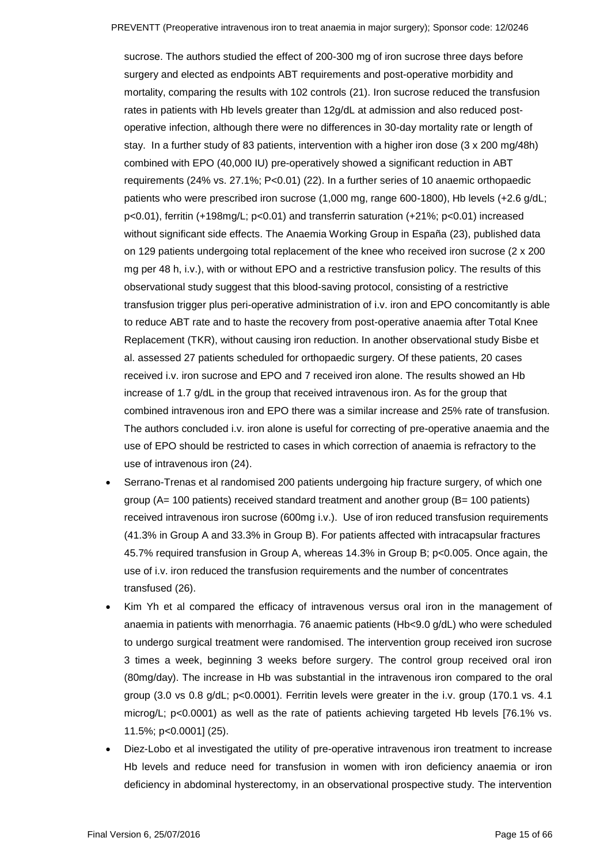sucrose. The authors studied the effect of 200-300 mg of iron sucrose three days before surgery and elected as endpoints ABT requirements and post-operative morbidity and mortality, comparing the results with 102 controls (21). Iron sucrose reduced the transfusion rates in patients with Hb levels greater than 12g/dL at admission and also reduced postoperative infection, although there were no differences in 30-day mortality rate or length of stay. In a further study of 83 patients, intervention with a higher iron dose (3 x 200 mg/48h) combined with EPO (40,000 IU) pre-operatively showed a significant reduction in ABT requirements (24% vs. 27.1%; P<0.01) (22). In a further series of 10 anaemic orthopaedic patients who were prescribed iron sucrose (1,000 mg, range 600-1800), Hb levels (+2.6 g/dL; p<0.01), ferritin (+198mg/L; p<0.01) and transferrin saturation (+21%; p<0.01) increased without significant side effects. The Anaemia Working Group in España (23), published data on 129 patients undergoing total replacement of the knee who received iron sucrose (2 x 200 mg per 48 h, i.v.), with or without EPO and a restrictive transfusion policy. The results of this observational study suggest that this blood-saving protocol, consisting of a restrictive transfusion trigger plus peri-operative administration of i.v. iron and EPO concomitantly is able to reduce ABT rate and to haste the recovery from post-operative anaemia after Total Knee Replacement (TKR), without causing iron reduction. In another observational study Bisbe et al. assessed 27 patients scheduled for orthopaedic surgery. Of these patients, 20 cases received i.v. iron sucrose and EPO and 7 received iron alone. The results showed an Hb increase of 1.7 g/dL in the group that received intravenous iron. As for the group that combined intravenous iron and EPO there was a similar increase and 25% rate of transfusion. The authors concluded i.v. iron alone is useful for correcting of pre-operative anaemia and the use of EPO should be restricted to cases in which correction of anaemia is refractory to the use of intravenous iron (24).

- Serrano-Trenas et al randomised 200 patients undergoing hip fracture surgery, of which one group (A= 100 patients) received standard treatment and another group (B= 100 patients) received intravenous iron sucrose (600mg i.v.). Use of iron reduced transfusion requirements (41.3% in Group A and 33.3% in Group B). For patients affected with intracapsular fractures 45.7% required transfusion in Group A, whereas 14.3% in Group B; p<0.005. Once again, the use of i.v. iron reduced the transfusion requirements and the number of concentrates transfused (26).
- Kim Yh et al compared the efficacy of intravenous versus oral iron in the management of anaemia in patients with menorrhagia. 76 anaemic patients (Hb<9.0 g/dL) who were scheduled to undergo surgical treatment were randomised. The intervention group received iron sucrose 3 times a week, beginning 3 weeks before surgery. The control group received oral iron (80mg/day). The increase in Hb was substantial in the intravenous iron compared to the oral group (3.0 vs 0.8 g/dL; p<0.0001). Ferritin levels were greater in the i.v. group (170.1 vs. 4.1 microg/L; p<0.0001) as well as the rate of patients achieving targeted Hb levels [76.1% vs. 11.5%; p<0.0001] (25).
- Diez-Lobo et al investigated the utility of pre-operative intravenous iron treatment to increase Hb levels and reduce need for transfusion in women with iron deficiency anaemia or iron deficiency in abdominal hysterectomy, in an observational prospective study. The intervention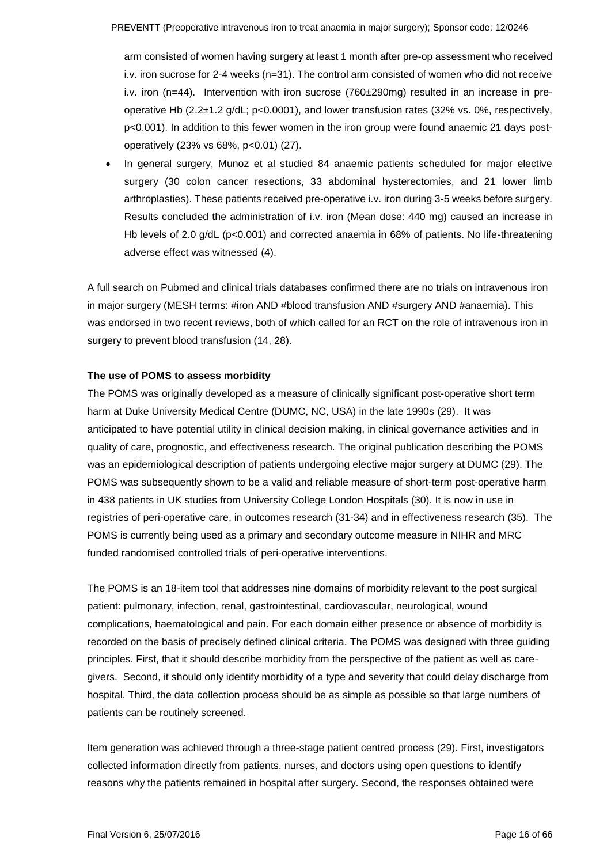arm consisted of women having surgery at least 1 month after pre-op assessment who received i.v. iron sucrose for 2-4 weeks (n=31). The control arm consisted of women who did not receive i.v. iron (n=44). Intervention with iron sucrose (760±290mg) resulted in an increase in preoperative Hb (2.2±1.2 g/dL; p<0.0001), and lower transfusion rates (32% vs. 0%, respectively, p<0.001). In addition to this fewer women in the iron group were found anaemic 21 days postoperatively (23% vs 68%, p<0.01) (27).

 In general surgery, Munoz et al studied 84 anaemic patients scheduled for major elective surgery (30 colon cancer resections, 33 abdominal hysterectomies, and 21 lower limb arthroplasties). These patients received pre-operative i.v. iron during 3-5 weeks before surgery. Results concluded the administration of i.v. iron (Mean dose: 440 mg) caused an increase in Hb levels of 2.0 g/dL (p<0.001) and corrected anaemia in 68% of patients. No life-threatening adverse effect was witnessed (4).

A full search on Pubmed and clinical trials databases confirmed there are no trials on intravenous iron in major surgery (MESH terms: #iron AND #blood transfusion AND #surgery AND #anaemia). This was endorsed in two recent reviews, both of which called for an RCT on the role of intravenous iron in surgery to prevent blood transfusion (14, 28).

#### **The use of POMS to assess morbidity**

The POMS was originally developed as a measure of clinically significant post-operative short term harm at Duke University Medical Centre (DUMC, NC, USA) in the late 1990s (29). It was anticipated to have potential utility in clinical decision making, in clinical governance activities and in quality of care, prognostic, and effectiveness research. The original publication describing the POMS was an epidemiological description of patients undergoing elective major surgery at DUMC (29). The POMS was subsequently shown to be a valid and reliable measure of short-term post-operative harm in 438 patients in UK studies from University College London Hospitals (30). It is now in use in registries of peri-operative care, in outcomes research (31-34) and in effectiveness research (35). The POMS is currently being used as a primary and secondary outcome measure in NIHR and MRC funded randomised controlled trials of peri-operative interventions.

The POMS is an 18-item tool that addresses nine domains of morbidity relevant to the post surgical patient: pulmonary, infection, renal, gastrointestinal, cardiovascular, neurological, wound complications, haematological and pain. For each domain either presence or absence of morbidity is recorded on the basis of precisely defined clinical criteria. The POMS was designed with three guiding principles. First, that it should describe morbidity from the perspective of the patient as well as caregivers. Second, it should only identify morbidity of a type and severity that could delay discharge from hospital. Third, the data collection process should be as simple as possible so that large numbers of patients can be routinely screened.

Item generation was achieved through a three-stage patient centred process (29). First, investigators collected information directly from patients, nurses, and doctors using open questions to identify reasons why the patients remained in hospital after surgery. Second, the responses obtained were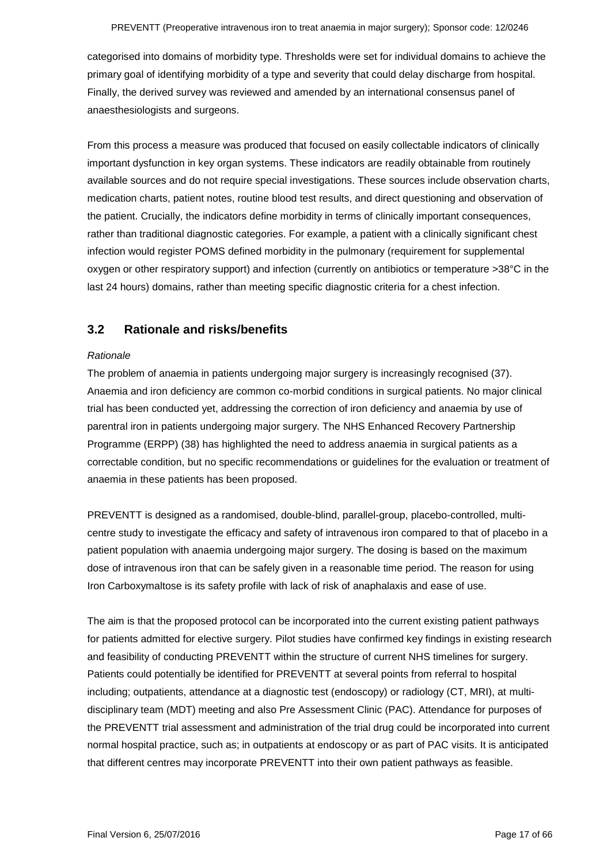categorised into domains of morbidity type. Thresholds were set for individual domains to achieve the primary goal of identifying morbidity of a type and severity that could delay discharge from hospital. Finally, the derived survey was reviewed and amended by an international consensus panel of anaesthesiologists and surgeons.

From this process a measure was produced that focused on easily collectable indicators of clinically important dysfunction in key organ systems. These indicators are readily obtainable from routinely available sources and do not require special investigations. These sources include observation charts, medication charts, patient notes, routine blood test results, and direct questioning and observation of the patient. Crucially, the indicators define morbidity in terms of clinically important consequences, rather than traditional diagnostic categories. For example, a patient with a clinically significant chest infection would register POMS defined morbidity in the pulmonary (requirement for supplemental oxygen or other respiratory support) and infection (currently on antibiotics or temperature >38°C in the last 24 hours) domains, rather than meeting specific diagnostic criteria for a chest infection.

### <span id="page-16-0"></span>**3.2 Rationale and risks/benefits**

#### *Rationale*

The problem of anaemia in patients undergoing major surgery is increasingly recognised (37). Anaemia and iron deficiency are common co-morbid conditions in surgical patients. No major clinical trial has been conducted yet, addressing the correction of iron deficiency and anaemia by use of parentral iron in patients undergoing major surgery. The NHS Enhanced Recovery Partnership Programme (ERPP) (38) has highlighted the need to address anaemia in surgical patients as a correctable condition, but no specific recommendations or guidelines for the evaluation or treatment of anaemia in these patients has been proposed.

PREVENTT is designed as a randomised, double-blind, parallel-group, placebo-controlled, multicentre study to investigate the efficacy and safety of intravenous iron compared to that of placebo in a patient population with anaemia undergoing major surgery. The dosing is based on the maximum dose of intravenous iron that can be safely given in a reasonable time period. The reason for using Iron Carboxymaltose is its safety profile with lack of risk of anaphalaxis and ease of use.

The aim is that the proposed protocol can be incorporated into the current existing patient pathways for patients admitted for elective surgery. Pilot studies have confirmed key findings in existing research and feasibility of conducting PREVENTT within the structure of current NHS timelines for surgery. Patients could potentially be identified for PREVENTT at several points from referral to hospital including; outpatients, attendance at a diagnostic test (endoscopy) or radiology (CT, MRI), at multidisciplinary team (MDT) meeting and also Pre Assessment Clinic (PAC). Attendance for purposes of the PREVENTT trial assessment and administration of the trial drug could be incorporated into current normal hospital practice, such as; in outpatients at endoscopy or as part of PAC visits. It is anticipated that different centres may incorporate PREVENTT into their own patient pathways as feasible.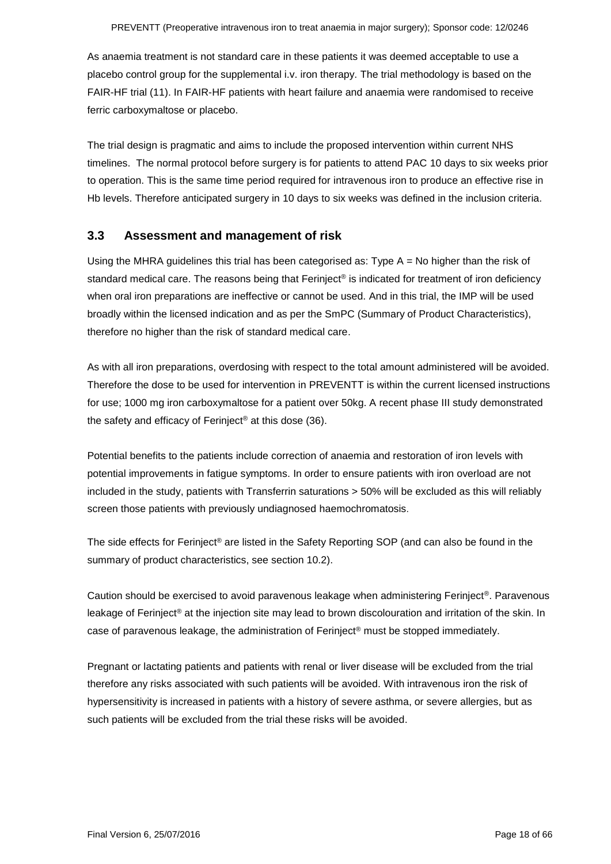As anaemia treatment is not standard care in these patients it was deemed acceptable to use a placebo control group for the supplemental i.v. iron therapy. The trial methodology is based on the FAIR-HF trial (11). In FAIR-HF patients with heart failure and anaemia were randomised to receive ferric carboxymaltose or placebo.

The trial design is pragmatic and aims to include the proposed intervention within current NHS timelines. The normal protocol before surgery is for patients to attend PAC 10 days to six weeks prior to operation. This is the same time period required for intravenous iron to produce an effective rise in Hb levels. Therefore anticipated surgery in 10 days to six weeks was defined in the inclusion criteria.

### <span id="page-17-0"></span>**3.3 Assessment and management of risk**

Using the MHRA guidelines this trial has been categorised as: Type A = No higher than the risk of standard medical care. The reasons being that Ferinject<sup>®</sup> is indicated for treatment of iron deficiency when oral iron preparations are ineffective or cannot be used. And in this trial, the IMP will be used broadly within the licensed indication and as per the SmPC (Summary of Product Characteristics), therefore no higher than the risk of standard medical care.

As with all iron preparations, overdosing with respect to the total amount administered will be avoided. Therefore the dose to be used for intervention in PREVENTT is within the current licensed instructions for use; 1000 mg iron carboxymaltose for a patient over 50kg. A recent phase III study demonstrated the safety and efficacy of Ferinject® at this dose (36).

Potential benefits to the patients include correction of anaemia and restoration of iron levels with potential improvements in fatigue symptoms. In order to ensure patients with iron overload are not included in the study, patients with Transferrin saturations > 50% will be excluded as this will reliably screen those patients with previously undiagnosed haemochromatosis.

The side effects for Ferinject® are listed in the Safety Reporting SOP (and can also be found in the summary of product characteristics, see section 10.2).

Caution should be exercised to avoid paravenous leakage when administering Ferinject®. Paravenous leakage of Ferinject® at the injection site may lead to brown discolouration and irritation of the skin. In case of paravenous leakage, the administration of Ferinject® must be stopped immediately.

Pregnant or lactating patients and patients with renal or liver disease will be excluded from the trial therefore any risks associated with such patients will be avoided. With intravenous iron the risk of hypersensitivity is increased in patients with a history of severe asthma, or severe allergies, but as such patients will be excluded from the trial these risks will be avoided.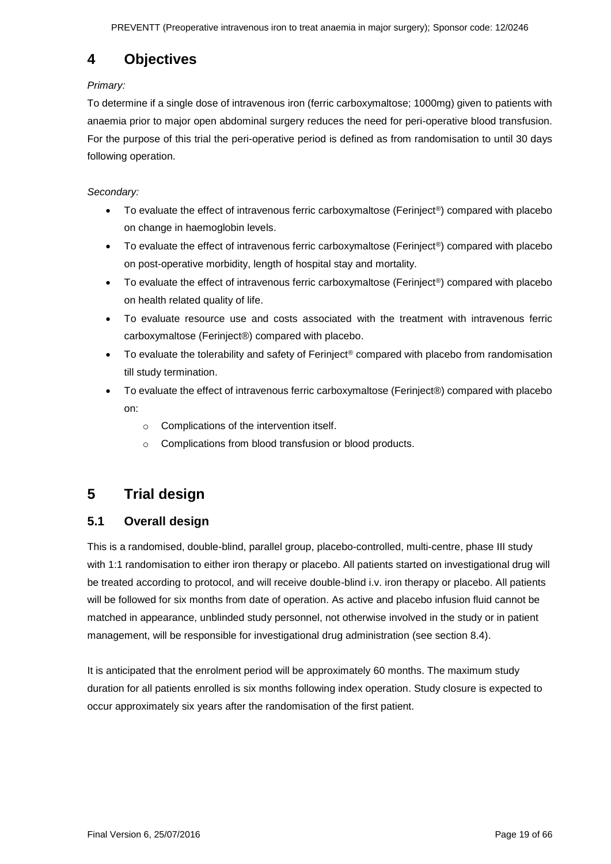# <span id="page-18-0"></span>**4 Objectives**

### *Primary:*

To determine if a single dose of intravenous iron (ferric carboxymaltose; 1000mg) given to patients with anaemia prior to major open abdominal surgery reduces the need for peri-operative blood transfusion. For the purpose of this trial the peri-operative period is defined as from randomisation to until 30 days following operation.

### *Secondary:*

- To evaluate the effect of intravenous ferric carboxymaltose (Ferinject®) compared with placebo on change in haemoglobin levels.
- To evaluate the effect of intravenous ferric carboxymaltose (Ferinject<sup>®</sup>) compared with placebo on post-operative morbidity, length of hospital stay and mortality.
- To evaluate the effect of intravenous ferric carboxymaltose (Ferinject®) compared with placebo on health related quality of life.
- To evaluate resource use and costs associated with the treatment with intravenous ferric carboxymaltose (Ferinject®) compared with placebo.
- To evaluate the tolerability and safety of Ferinject<sup>®</sup> compared with placebo from randomisation till study termination.
- To evaluate the effect of intravenous ferric carboxymaltose (Ferinject®) compared with placebo on:
	- o Complications of the intervention itself.
	- o Complications from blood transfusion or blood products.

# <span id="page-18-1"></span>**5 Trial design**

### <span id="page-18-2"></span>**5.1 Overall design**

This is a randomised, double-blind, parallel group, placebo-controlled, multi-centre, phase III study with 1:1 randomisation to either iron therapy or placebo. All patients started on investigational drug will be treated according to protocol, and will receive double-blind i.v. iron therapy or placebo. All patients will be followed for six months from date of operation. As active and placebo infusion fluid cannot be matched in appearance, unblinded study personnel, not otherwise involved in the study or in patient management, will be responsible for investigational drug administration (see section 8.4).

It is anticipated that the enrolment period will be approximately 60 months. The maximum study duration for all patients enrolled is six months following index operation. Study closure is expected to occur approximately six years after the randomisation of the first patient.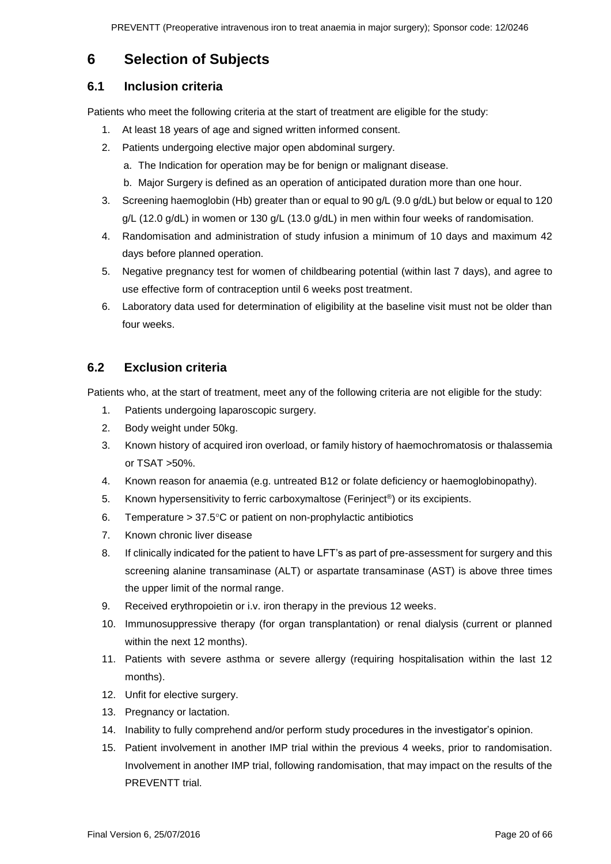## <span id="page-19-0"></span>**6 Selection of Subjects**

### <span id="page-19-1"></span>**6.1 Inclusion criteria**

Patients who meet the following criteria at the start of treatment are eligible for the study:

- 1. At least 18 years of age and signed written informed consent.
- 2. Patients undergoing elective major open abdominal surgery.
	- a. The Indication for operation may be for benign or malignant disease.
	- b. Major Surgery is defined as an operation of anticipated duration more than one hour.
- 3. Screening haemoglobin (Hb) greater than or equal to 90 g/L (9.0 g/dL) but below or equal to 120 g/L (12.0 g/dL) in women or 130 g/L (13.0 g/dL) in men within four weeks of randomisation.
- 4. Randomisation and administration of study infusion a minimum of 10 days and maximum 42 days before planned operation.
- 5. Negative pregnancy test for women of childbearing potential (within last 7 days), and agree to use effective form of contraception until 6 weeks post treatment.
- 6. Laboratory data used for determination of eligibility at the baseline visit must not be older than four weeks.

### <span id="page-19-2"></span>**6.2 Exclusion criteria**

Patients who, at the start of treatment, meet any of the following criteria are not eligible for the study:

- 1. Patients undergoing laparoscopic surgery.
- 2. Body weight under 50kg.
- 3. Known history of acquired iron overload, or family history of haemochromatosis or thalassemia or TSAT >50%.
- 4. Known reason for anaemia (e.g. untreated B12 or folate deficiency or haemoglobinopathy).
- 5. Known hypersensitivity to ferric carboxymaltose (Ferinject®) or its excipients.
- 6. Temperature  $> 37.5$ °C or patient on non-prophylactic antibiotics
- 7. Known chronic liver disease
- 8. If clinically indicated for the patient to have LFT's as part of pre-assessment for surgery and this screening alanine transaminase (ALT) or aspartate transaminase (AST) is above three times the upper limit of the normal range.
- 9. Received erythropoietin or i.v. iron therapy in the previous 12 weeks.
- 10. Immunosuppressive therapy (for organ transplantation) or renal dialysis (current or planned within the next 12 months).
- 11. Patients with severe asthma or severe allergy (requiring hospitalisation within the last 12 months).
- 12. Unfit for elective surgery.
- 13. Pregnancy or lactation.
- 14. Inability to fully comprehend and/or perform study procedures in the investigator's opinion.
- 15. Patient involvement in another IMP trial within the previous 4 weeks, prior to randomisation. Involvement in another IMP trial, following randomisation, that may impact on the results of the PREVENTT trial.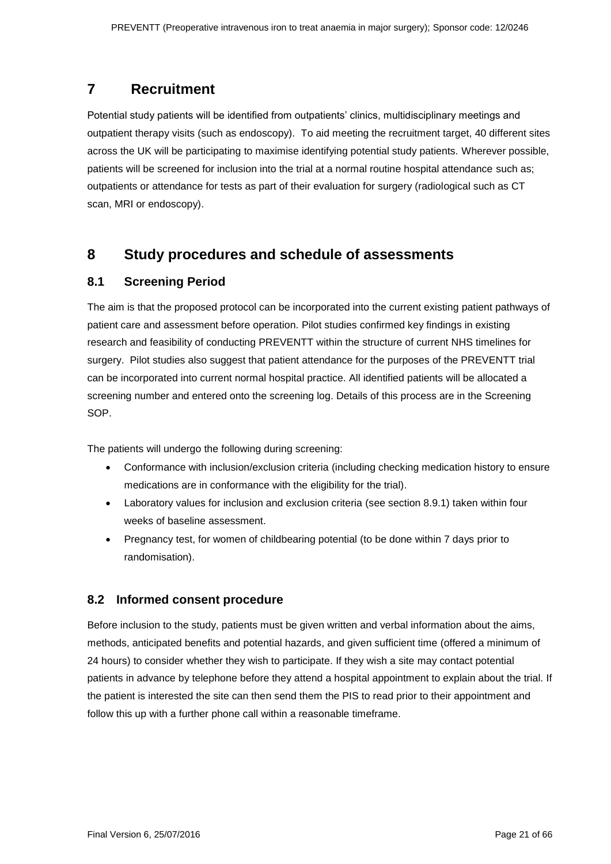## <span id="page-20-0"></span>**7 Recruitment**

Potential study patients will be identified from outpatients' clinics, multidisciplinary meetings and outpatient therapy visits (such as endoscopy). To aid meeting the recruitment target, 40 different sites across the UK will be participating to maximise identifying potential study patients. Wherever possible, patients will be screened for inclusion into the trial at a normal routine hospital attendance such as; outpatients or attendance for tests as part of their evaluation for surgery (radiological such as CT scan, MRI or endoscopy).

## <span id="page-20-1"></span>**8 Study procedures and schedule of assessments**

### <span id="page-20-2"></span>**8.1 Screening Period**

The aim is that the proposed protocol can be incorporated into the current existing patient pathways of patient care and assessment before operation. Pilot studies confirmed key findings in existing research and feasibility of conducting PREVENTT within the structure of current NHS timelines for surgery. Pilot studies also suggest that patient attendance for the purposes of the PREVENTT trial can be incorporated into current normal hospital practice. All identified patients will be allocated a screening number and entered onto the screening log. Details of this process are in the Screening SOP.

The patients will undergo the following during screening:

- Conformance with inclusion/exclusion criteria (including checking medication history to ensure medications are in conformance with the eligibility for the trial).
- Laboratory values for inclusion and exclusion criteria (see section 8.9.1) taken within four weeks of baseline assessment.
- Pregnancy test, for women of childbearing potential (to be done within 7 days prior to randomisation).

### <span id="page-20-3"></span>**8.2 Informed consent procedure**

Before inclusion to the study, patients must be given written and verbal information about the aims, methods, anticipated benefits and potential hazards, and given sufficient time (offered a minimum of 24 hours) to consider whether they wish to participate. If they wish a site may contact potential patients in advance by telephone before they attend a hospital appointment to explain about the trial. If the patient is interested the site can then send them the PIS to read prior to their appointment and follow this up with a further phone call within a reasonable timeframe.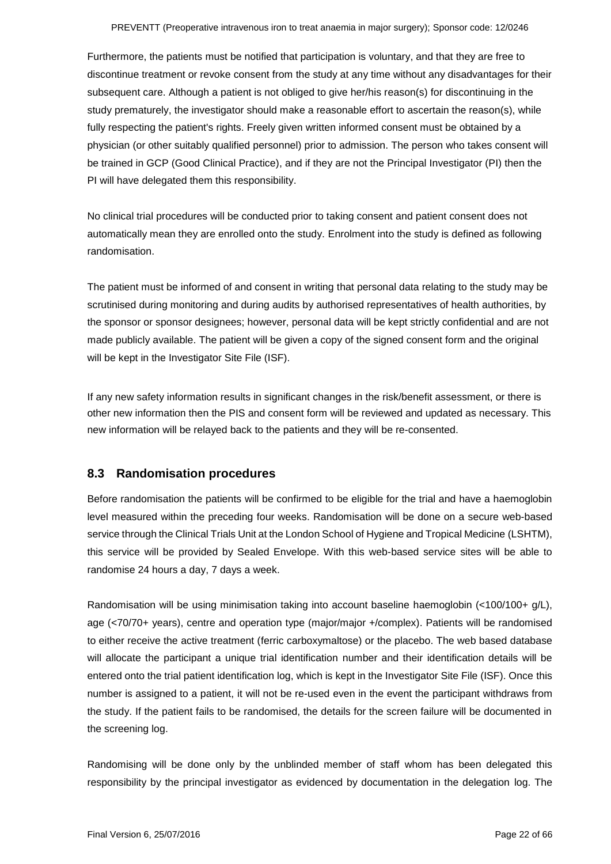Furthermore, the patients must be notified that participation is voluntary, and that they are free to discontinue treatment or revoke consent from the study at any time without any disadvantages for their subsequent care. Although a patient is not obliged to give her/his reason(s) for discontinuing in the study prematurely, the investigator should make a reasonable effort to ascertain the reason(s), while fully respecting the patient's rights. Freely given written informed consent must be obtained by a physician (or other suitably qualified personnel) prior to admission. The person who takes consent will be trained in GCP (Good Clinical Practice), and if they are not the Principal Investigator (PI) then the PI will have delegated them this responsibility.

No clinical trial procedures will be conducted prior to taking consent and patient consent does not automatically mean they are enrolled onto the study. Enrolment into the study is defined as following randomisation.

The patient must be informed of and consent in writing that personal data relating to the study may be scrutinised during monitoring and during audits by authorised representatives of health authorities, by the sponsor or sponsor designees; however, personal data will be kept strictly confidential and are not made publicly available. The patient will be given a copy of the signed consent form and the original will be kept in the Investigator Site File (ISF).

If any new safety information results in significant changes in the risk/benefit assessment, or there is other new information then the PIS and consent form will be reviewed and updated as necessary. This new information will be relayed back to the patients and they will be re-consented.

### <span id="page-21-0"></span>**8.3 Randomisation procedures**

Before randomisation the patients will be confirmed to be eligible for the trial and have a haemoglobin level measured within the preceding four weeks. Randomisation will be done on a secure web-based service through the Clinical Trials Unit at the London School of Hygiene and Tropical Medicine (LSHTM), this service will be provided by Sealed Envelope. With this web-based service sites will be able to randomise 24 hours a day, 7 days a week.

Randomisation will be using minimisation taking into account baseline haemoglobin (<100/100+ g/L), age (<70/70+ years), centre and operation type (major/major +/complex). Patients will be randomised to either receive the active treatment (ferric carboxymaltose) or the placebo. The web based database will allocate the participant a unique trial identification number and their identification details will be entered onto the trial patient identification log, which is kept in the Investigator Site File (ISF). Once this number is assigned to a patient, it will not be re-used even in the event the participant withdraws from the study. If the patient fails to be randomised, the details for the screen failure will be documented in the screening log.

Randomising will be done only by the unblinded member of staff whom has been delegated this responsibility by the principal investigator as evidenced by documentation in the delegation log. The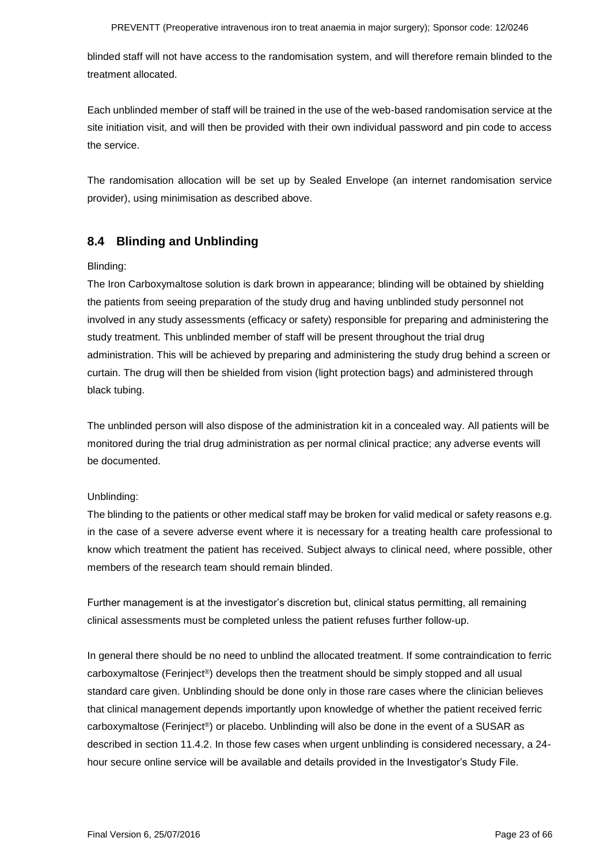blinded staff will not have access to the randomisation system, and will therefore remain blinded to the treatment allocated.

Each unblinded member of staff will be trained in the use of the web-based randomisation service at the site initiation visit, and will then be provided with their own individual password and pin code to access the service.

The randomisation allocation will be set up by Sealed Envelope (an internet randomisation service provider), using minimisation as described above.

### <span id="page-22-0"></span>**8.4 Blinding and Unblinding**

#### Blinding:

The Iron Carboxymaltose solution is dark brown in appearance; blinding will be obtained by shielding the patients from seeing preparation of the study drug and having unblinded study personnel not involved in any study assessments (efficacy or safety) responsible for preparing and administering the study treatment. This unblinded member of staff will be present throughout the trial drug administration. This will be achieved by preparing and administering the study drug behind a screen or curtain. The drug will then be shielded from vision (light protection bags) and administered through black tubing.

The unblinded person will also dispose of the administration kit in a concealed way. All patients will be monitored during the trial drug administration as per normal clinical practice; any adverse events will be documented.

### Unblinding:

The blinding to the patients or other medical staff may be broken for valid medical or safety reasons e.g. in the case of a severe adverse event where it is necessary for a treating health care professional to know which treatment the patient has received. Subject always to clinical need, where possible, other members of the research team should remain blinded.

Further management is at the investigator's discretion but, clinical status permitting, all remaining clinical assessments must be completed unless the patient refuses further follow-up.

In general there should be no need to unblind the allocated treatment. If some contraindication to ferric carboxymaltose (Ferinject®) develops then the treatment should be simply stopped and all usual standard care given. Unblinding should be done only in those rare cases where the clinician believes that clinical management depends importantly upon knowledge of whether the patient received ferric carboxymaltose (Ferinject®) or placebo. Unblinding will also be done in the event of a SUSAR as described in section 11.4.2. In those few cases when urgent unblinding is considered necessary, a 24 hour secure online service will be available and details provided in the Investigator's Study File.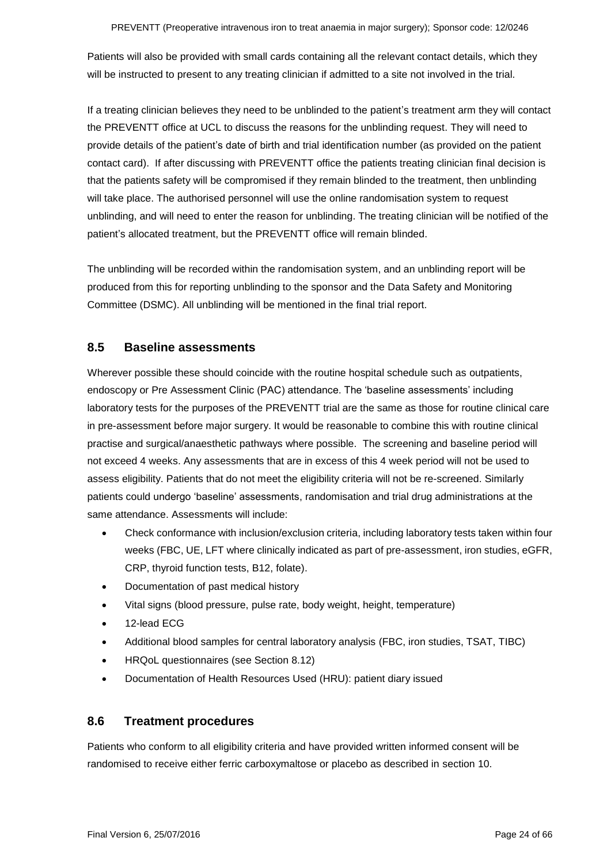Patients will also be provided with small cards containing all the relevant contact details, which they will be instructed to present to any treating clinician if admitted to a site not involved in the trial.

If a treating clinician believes they need to be unblinded to the patient's treatment arm they will contact the PREVENTT office at UCL to discuss the reasons for the unblinding request. They will need to provide details of the patient's date of birth and trial identification number (as provided on the patient contact card). If after discussing with PREVENTT office the patients treating clinician final decision is that the patients safety will be compromised if they remain blinded to the treatment, then unblinding will take place. The authorised personnel will use the online randomisation system to request unblinding, and will need to enter the reason for unblinding. The treating clinician will be notified of the patient's allocated treatment, but the PREVENTT office will remain blinded.

The unblinding will be recorded within the randomisation system, and an unblinding report will be produced from this for reporting unblinding to the sponsor and the Data Safety and Monitoring Committee (DSMC). All unblinding will be mentioned in the final trial report.

### <span id="page-23-0"></span>**8.5 Baseline assessments**

Wherever possible these should coincide with the routine hospital schedule such as outpatients, endoscopy or Pre Assessment Clinic (PAC) attendance. The 'baseline assessments' including laboratory tests for the purposes of the PREVENTT trial are the same as those for routine clinical care in pre-assessment before major surgery. It would be reasonable to combine this with routine clinical practise and surgical/anaesthetic pathways where possible. The screening and baseline period will not exceed 4 weeks. Any assessments that are in excess of this 4 week period will not be used to assess eligibility. Patients that do not meet the eligibility criteria will not be re-screened. Similarly patients could undergo 'baseline' assessments, randomisation and trial drug administrations at the same attendance. Assessments will include:

- Check conformance with inclusion/exclusion criteria, including laboratory tests taken within four weeks (FBC, UE, LFT where clinically indicated as part of pre-assessment, iron studies, eGFR, CRP, thyroid function tests, B12, folate).
- Documentation of past medical history
- Vital signs (blood pressure, pulse rate, body weight, height, temperature)
- 12-lead ECG
- Additional blood samples for central laboratory analysis (FBC, iron studies, TSAT, TIBC)
- HRQoL questionnaires (see Section 8.12)
- Documentation of Health Resources Used (HRU): patient diary issued

### <span id="page-23-1"></span>**8.6 Treatment procedures**

Patients who conform to all eligibility criteria and have provided written informed consent will be randomised to receive either ferric carboxymaltose or placebo as described in section 10.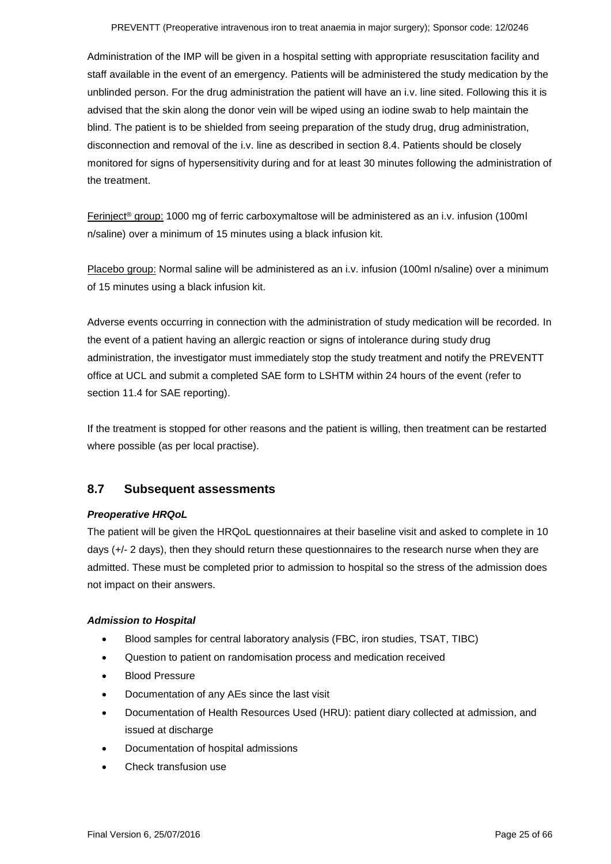Administration of the IMP will be given in a hospital setting with appropriate resuscitation facility and staff available in the event of an emergency. Patients will be administered the study medication by the unblinded person. For the drug administration the patient will have an i.v. line sited. Following this it is advised that the skin along the donor vein will be wiped using an iodine swab to help maintain the blind. The patient is to be shielded from seeing preparation of the study drug, drug administration, disconnection and removal of the i.v. line as described in section 8.4. Patients should be closely monitored for signs of hypersensitivity during and for at least 30 minutes following the administration of the treatment.

Ferinject® group: 1000 mg of ferric carboxymaltose will be administered as an i.v. infusion (100ml n/saline) over a minimum of 15 minutes using a black infusion kit.

Placebo group: Normal saline will be administered as an i.v. infusion (100ml n/saline) over a minimum of 15 minutes using a black infusion kit.

Adverse events occurring in connection with the administration of study medication will be recorded. In the event of a patient having an allergic reaction or signs of intolerance during study drug administration, the investigator must immediately stop the study treatment and notify the PREVENTT office at UCL and submit a completed SAE form to LSHTM within 24 hours of the event (refer to section 11.4 for SAE reporting).

If the treatment is stopped for other reasons and the patient is willing, then treatment can be restarted where possible (as per local practise).

### <span id="page-24-0"></span>**8.7 Subsequent assessments**

#### *Preoperative HRQoL*

The patient will be given the HRQoL questionnaires at their baseline visit and asked to complete in 10 days (+/- 2 days), then they should return these questionnaires to the research nurse when they are admitted. These must be completed prior to admission to hospital so the stress of the admission does not impact on their answers.

#### *Admission to Hospital*

- Blood samples for central laboratory analysis (FBC, iron studies, TSAT, TIBC)
- Question to patient on randomisation process and medication received
- Blood Pressure
- Documentation of any AEs since the last visit
- Documentation of Health Resources Used (HRU): patient diary collected at admission, and issued at discharge
- Documentation of hospital admissions
- Check transfusion use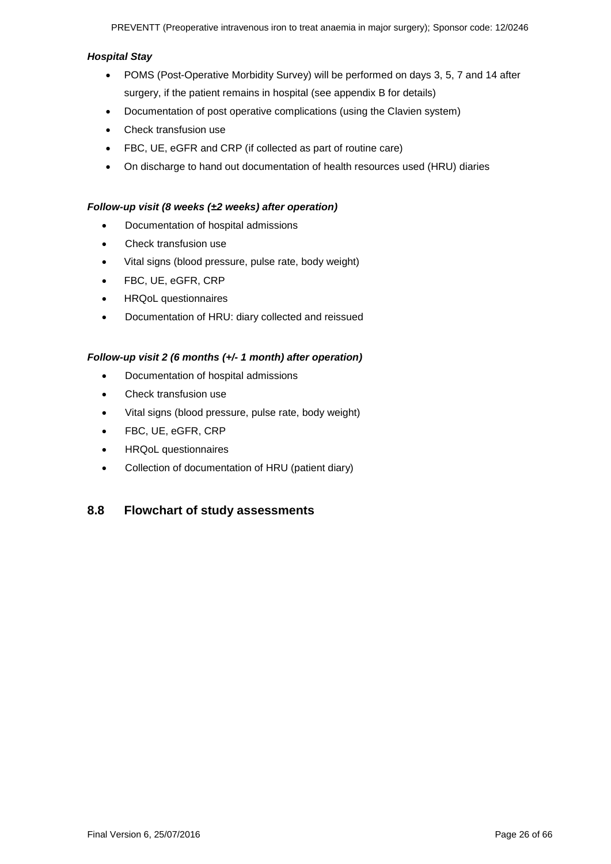#### *Hospital Stay*

- POMS (Post-Operative Morbidity Survey) will be performed on days 3, 5, 7 and 14 after surgery, if the patient remains in hospital (see appendix B for details)
- Documentation of post operative complications (using the Clavien system)
- Check transfusion use
- FBC, UE, eGFR and CRP (if collected as part of routine care)
- On discharge to hand out documentation of health resources used (HRU) diaries

#### *Follow-up visit (8 weeks (±2 weeks) after operation)*

- Documentation of hospital admissions
- Check transfusion use
- Vital signs (blood pressure, pulse rate, body weight)
- FBC, UE, eGFR, CRP
- HRQoL questionnaires
- Documentation of HRU: diary collected and reissued

#### *Follow-up visit 2 (6 months (+/- 1 month) after operation)*

- Documentation of hospital admissions
- Check transfusion use
- Vital signs (blood pressure, pulse rate, body weight)
- FBC, UE, eGFR, CRP
- HRQoL questionnaires
- Collection of documentation of HRU (patient diary)

### <span id="page-25-0"></span>**8.8 Flowchart of study assessments**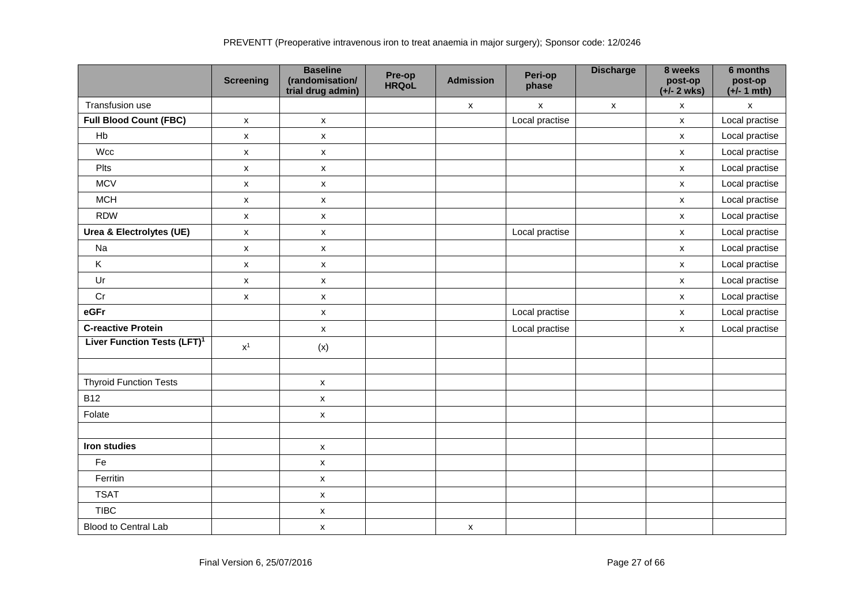|                                         | <b>Screening</b>   | <b>Baseline</b><br>(randomisation/<br>trial drug admin) | Pre-op<br><b>HRQoL</b> | <b>Admission</b>          | Peri-op<br>phase   | <b>Discharge</b> | 8 weeks<br>post-op<br>$(+/- 2$ wks) | 6 months<br>post-op<br>$(+/- 1$ mth) |
|-----------------------------------------|--------------------|---------------------------------------------------------|------------------------|---------------------------|--------------------|------------------|-------------------------------------|--------------------------------------|
| Transfusion use                         |                    |                                                         |                        | $\pmb{\mathsf{X}}$        | $\pmb{\mathsf{X}}$ | $\mathsf{x}$     | $\mathsf{x}$                        | $\pmb{\mathsf{X}}$                   |
| <b>Full Blood Count (FBC)</b>           | $\mathsf{x}$       | $\mathsf{x}$                                            |                        |                           | Local practise     |                  | $\mathsf{x}$                        | Local practise                       |
| Hb                                      | $\mathsf{x}$       | $\pmb{\mathsf{X}}$                                      |                        |                           |                    |                  | $\pmb{\chi}$                        | Local practise                       |
| Wcc                                     | $\pmb{\mathsf{X}}$ | $\mathsf X$                                             |                        |                           |                    |                  | $\pmb{\mathsf{X}}$                  | Local practise                       |
| Plts                                    | $\mathsf X$        | $\mathsf X$                                             |                        |                           |                    |                  | $\pmb{\mathsf{X}}$                  | Local practise                       |
| <b>MCV</b>                              | $\pmb{\mathsf{X}}$ | $\pmb{\mathsf{x}}$                                      |                        |                           |                    |                  | $\pmb{\mathsf{X}}$                  | Local practise                       |
| <b>MCH</b>                              | $\pmb{\mathsf{X}}$ | $\pmb{\mathsf{X}}$                                      |                        |                           |                    |                  | $\pmb{\mathsf{X}}$                  | Local practise                       |
| <b>RDW</b>                              | $\pmb{\mathsf{X}}$ | $\pmb{\mathsf{X}}$                                      |                        |                           |                    |                  | $\pmb{\mathsf{x}}$                  | Local practise                       |
| Urea & Electrolytes (UE)                | $\pmb{\mathsf{X}}$ | $\mathsf{x}$                                            |                        |                           | Local practise     |                  | $\mathsf{x}$                        | Local practise                       |
| Na                                      | $\mathsf{x}$       | $\mathsf{x}$                                            |                        |                           |                    |                  | $\boldsymbol{\mathsf{x}}$           | Local practise                       |
| K                                       | $\mathsf{x}$       | $\mathsf{x}$                                            |                        |                           |                    |                  | $\pmb{\mathsf{X}}$                  | Local practise                       |
| Ur                                      | $\mathsf{x}$       | X                                                       |                        |                           |                    |                  | $\mathsf{x}$                        | Local practise                       |
| Cr                                      | $\pmb{\mathsf{X}}$ | $\pmb{\mathsf{X}}$                                      |                        |                           |                    |                  | $\pmb{\mathsf{x}}$                  | Local practise                       |
| eGFr                                    |                    | $\pmb{\mathsf{X}}$                                      |                        |                           | Local practise     |                  | $\pmb{\mathsf{X}}$                  | Local practise                       |
| <b>C-reactive Protein</b>               |                    | X                                                       |                        |                           | Local practise     |                  | $\boldsymbol{\mathsf{x}}$           | Local practise                       |
| Liver Function Tests (LFT) <sup>1</sup> | $\mathsf{x}^1$     | (x)                                                     |                        |                           |                    |                  |                                     |                                      |
| <b>Thyroid Function Tests</b>           |                    | $\pmb{\mathsf{X}}$                                      |                        |                           |                    |                  |                                     |                                      |
| <b>B12</b>                              |                    | $\mathsf X$                                             |                        |                           |                    |                  |                                     |                                      |
| Folate                                  |                    | $\mathsf X$                                             |                        |                           |                    |                  |                                     |                                      |
|                                         |                    |                                                         |                        |                           |                    |                  |                                     |                                      |
| Iron studies                            |                    | $\mathsf X$                                             |                        |                           |                    |                  |                                     |                                      |
| Fe                                      |                    | $\pmb{\mathsf{X}}$                                      |                        |                           |                    |                  |                                     |                                      |
| Ferritin                                |                    | $\mathsf X$                                             |                        |                           |                    |                  |                                     |                                      |
| <b>TSAT</b>                             |                    | $\mathsf{x}$                                            |                        |                           |                    |                  |                                     |                                      |
| <b>TIBC</b>                             |                    | $\mathsf X$                                             |                        |                           |                    |                  |                                     |                                      |
| <b>Blood to Central Lab</b>             |                    | X                                                       |                        | $\boldsymbol{\mathsf{x}}$ |                    |                  |                                     |                                      |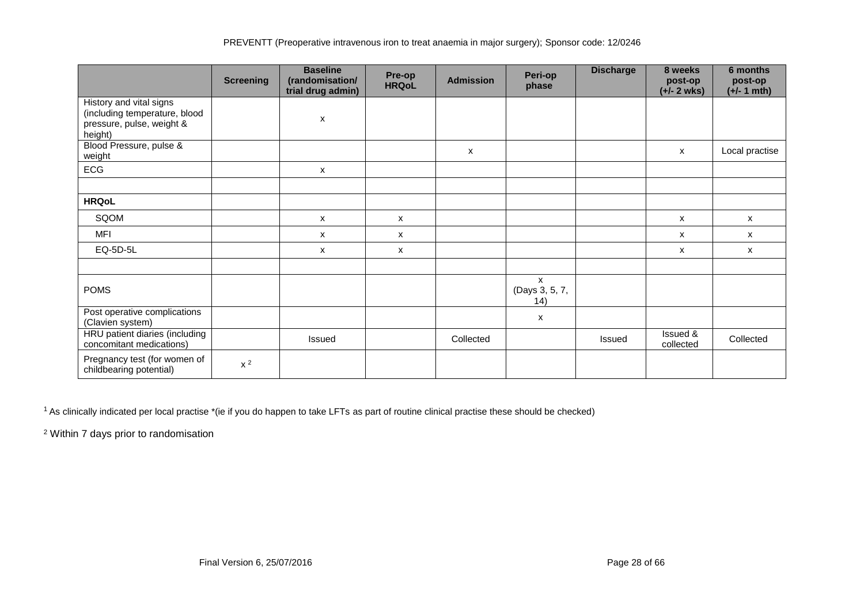|                                                                                                  | <b>Screening</b> | <b>Baseline</b><br>(randomisation/<br>trial drug admin) | Pre-op<br><b>HRQoL</b> | <b>Admission</b> | Peri-op<br>phase            | <b>Discharge</b> | 8 weeks<br>post-op<br>$(+/- 2$ wks) | 6 months<br>post-op<br>$(+/- 1$ mth) |
|--------------------------------------------------------------------------------------------------|------------------|---------------------------------------------------------|------------------------|------------------|-----------------------------|------------------|-------------------------------------|--------------------------------------|
| History and vital signs<br>(including temperature, blood<br>pressure, pulse, weight &<br>height) |                  | X                                                       |                        |                  |                             |                  |                                     |                                      |
| Blood Pressure, pulse &<br>weight                                                                |                  |                                                         |                        | X                |                             |                  | $\mathsf{x}$                        | Local practise                       |
| ECG                                                                                              |                  | X                                                       |                        |                  |                             |                  |                                     |                                      |
| <b>HRQoL</b>                                                                                     |                  |                                                         |                        |                  |                             |                  |                                     |                                      |
| SQOM                                                                                             |                  | X                                                       | X                      |                  |                             |                  | $\boldsymbol{\mathsf{x}}$           | x                                    |
| <b>MFI</b>                                                                                       |                  | x                                                       | X                      |                  |                             |                  | $\mathsf{x}$                        | x                                    |
| EQ-5D-5L                                                                                         |                  | x                                                       | X                      |                  |                             |                  | X                                   | X                                    |
|                                                                                                  |                  |                                                         |                        |                  |                             |                  |                                     |                                      |
| <b>POMS</b>                                                                                      |                  |                                                         |                        |                  | X<br>(Days 3, 5, 7,<br>(14) |                  |                                     |                                      |
| Post operative complications<br>(Clavien system)                                                 |                  |                                                         |                        |                  | x                           |                  |                                     |                                      |
| HRU patient diaries (including<br>concomitant medications)                                       |                  | <b>Issued</b>                                           |                        | Collected        |                             | Issued           | Issued &<br>collected               | Collected                            |
| Pregnancy test (for women of<br>childbearing potential)                                          | $x^2$            |                                                         |                        |                  |                             |                  |                                     |                                      |

<sup>1</sup> As clinically indicated per local practise \*(ie if you do happen to take LFTs as part of routine clinical practise these should be checked)

<sup>2</sup> Within 7 days prior to randomisation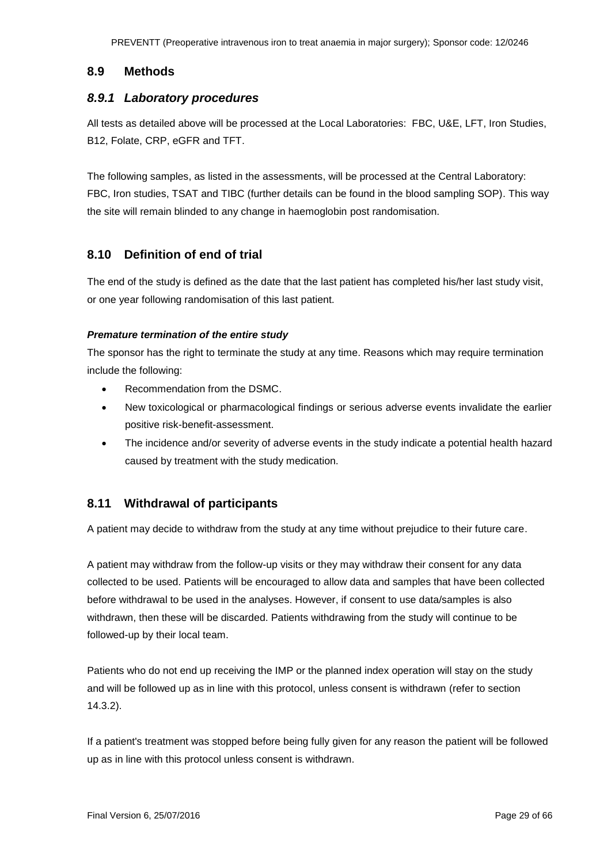#### <span id="page-28-0"></span>**8.9 Methods**

#### <span id="page-28-1"></span>*8.9.1 Laboratory procedures*

All tests as detailed above will be processed at the Local Laboratories: FBC, U&E, LFT, Iron Studies, B12, Folate, CRP, eGFR and TFT.

The following samples, as listed in the assessments, will be processed at the Central Laboratory: FBC, Iron studies, TSAT and TIBC (further details can be found in the blood sampling SOP). This way the site will remain blinded to any change in haemoglobin post randomisation.

### <span id="page-28-2"></span>**8.10 Definition of end of trial**

The end of the study is defined as the date that the last patient has completed his/her last study visit, or one year following randomisation of this last patient.

#### *Premature termination of the entire study*

The sponsor has the right to terminate the study at any time. Reasons which may require termination include the following:

- Recommendation from the DSMC.
- New toxicological or pharmacological findings or serious adverse events invalidate the earlier positive risk-benefit-assessment.
- The incidence and/or severity of adverse events in the study indicate a potential health hazard caused by treatment with the study medication.

### <span id="page-28-3"></span>**8.11 Withdrawal of participants**

A patient may decide to withdraw from the study at any time without prejudice to their future care.

A patient may withdraw from the follow-up visits or they may withdraw their consent for any data collected to be used. Patients will be encouraged to allow data and samples that have been collected before withdrawal to be used in the analyses. However, if consent to use data/samples is also withdrawn, then these will be discarded. Patients withdrawing from the study will continue to be followed-up by their local team.

Patients who do not end up receiving the IMP or the planned index operation will stay on the study and will be followed up as in line with this protocol, unless consent is withdrawn (refer to section 14.3.2).

If a patient's treatment was stopped before being fully given for any reason the patient will be followed up as in line with this protocol unless consent is withdrawn.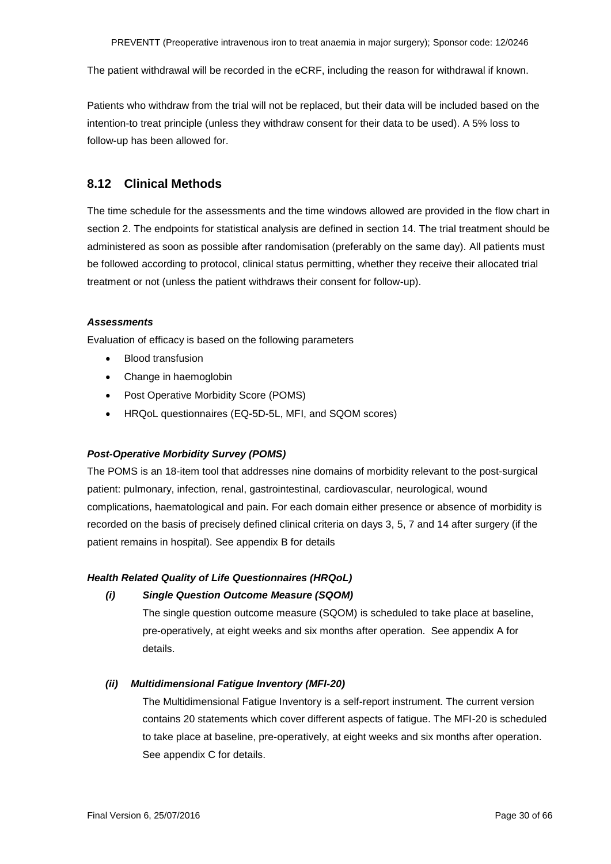The patient withdrawal will be recorded in the eCRF, including the reason for withdrawal if known.

Patients who withdraw from the trial will not be replaced, but their data will be included based on the intention-to treat principle (unless they withdraw consent for their data to be used). A 5% loss to follow-up has been allowed for.

### <span id="page-29-0"></span>**8.12 Clinical Methods**

The time schedule for the assessments and the time windows allowed are provided in the flow chart in section 2. The endpoints for statistical analysis are defined in section 14. The trial treatment should be administered as soon as possible after randomisation (preferably on the same day). All patients must be followed according to protocol, clinical status permitting, whether they receive their allocated trial treatment or not (unless the patient withdraws their consent for follow-up).

#### *Assessments*

Evaluation of efficacy is based on the following parameters

- Blood transfusion
- Change in haemoglobin
- Post Operative Morbidity Score (POMS)
- HRQoL questionnaires (EQ-5D-5L, MFI, and SQOM scores)

#### *Post-Operative Morbidity Survey (POMS)*

The POMS is an 18-item tool that addresses nine domains of morbidity relevant to the post-surgical patient: pulmonary, infection, renal, gastrointestinal, cardiovascular, neurological, wound complications, haematological and pain. For each domain either presence or absence of morbidity is recorded on the basis of precisely defined clinical criteria on days 3, 5, 7 and 14 after surgery (if the patient remains in hospital). See appendix B for details

#### *Health Related Quality of Life Questionnaires (HRQoL)*

#### *(i) Single Question Outcome Measure (SQOM)*

The single question outcome measure (SQOM) is scheduled to take place at baseline, pre-operatively, at eight weeks and six months after operation. See appendix A for details.

#### *(ii) Multidimensional Fatigue Inventory (MFI-20)*

The Multidimensional Fatigue Inventory is a self-report instrument. The current version contains 20 statements which cover different aspects of fatigue. The MFI-20 is scheduled to take place at baseline, pre-operatively, at eight weeks and six months after operation. See appendix C for details.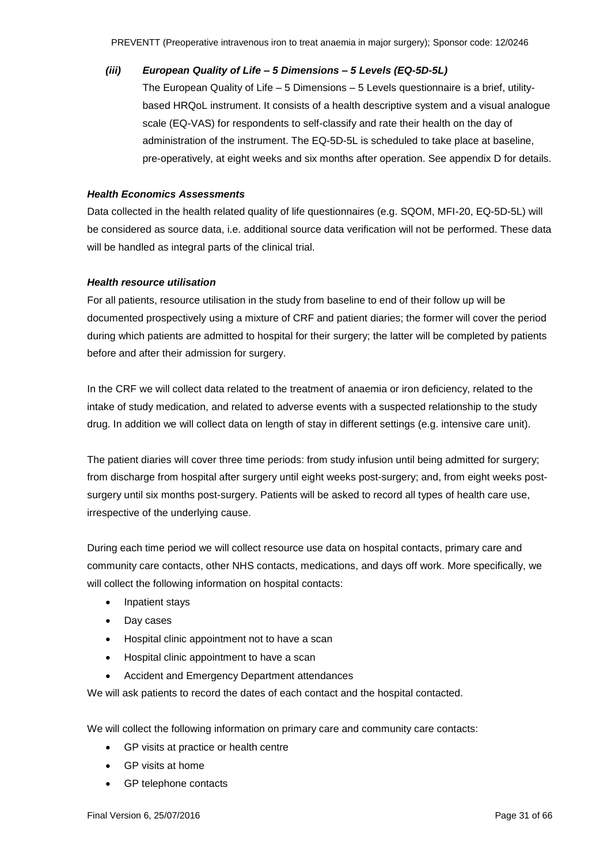*(iii) European Quality of Life – 5 Dimensions – 5 Levels (EQ-5D-5L)* The European Quality of Life – 5 Dimensions – 5 Levels questionnaire is a brief, utilitybased HRQoL instrument. It consists of a health descriptive system and a visual analogue scale (EQ-VAS) for respondents to self-classify and rate their health on the day of administration of the instrument. The EQ-5D-5L is scheduled to take place at baseline, pre-operatively, at eight weeks and six months after operation. See appendix D for details.

#### *Health Economics Assessments*

Data collected in the health related quality of life questionnaires (e.g. SQOM, MFI-20, EQ-5D-5L) will be considered as source data, i.e. additional source data verification will not be performed. These data will be handled as integral parts of the clinical trial.

#### *Health resource utilisation*

For all patients, resource utilisation in the study from baseline to end of their follow up will be documented prospectively using a mixture of CRF and patient diaries; the former will cover the period during which patients are admitted to hospital for their surgery; the latter will be completed by patients before and after their admission for surgery.

In the CRF we will collect data related to the treatment of anaemia or iron deficiency, related to the intake of study medication, and related to adverse events with a suspected relationship to the study drug. In addition we will collect data on length of stay in different settings (e.g. intensive care unit).

The patient diaries will cover three time periods: from study infusion until being admitted for surgery; from discharge from hospital after surgery until eight weeks post-surgery; and, from eight weeks postsurgery until six months post-surgery. Patients will be asked to record all types of health care use, irrespective of the underlying cause.

During each time period we will collect resource use data on hospital contacts, primary care and community care contacts, other NHS contacts, medications, and days off work. More specifically, we will collect the following information on hospital contacts:

- Inpatient stays
- Day cases
- Hospital clinic appointment not to have a scan
- Hospital clinic appointment to have a scan
- Accident and Emergency Department attendances

We will ask patients to record the dates of each contact and the hospital contacted.

We will collect the following information on primary care and community care contacts:

- GP visits at practice or health centre
- GP visits at home
- GP telephone contacts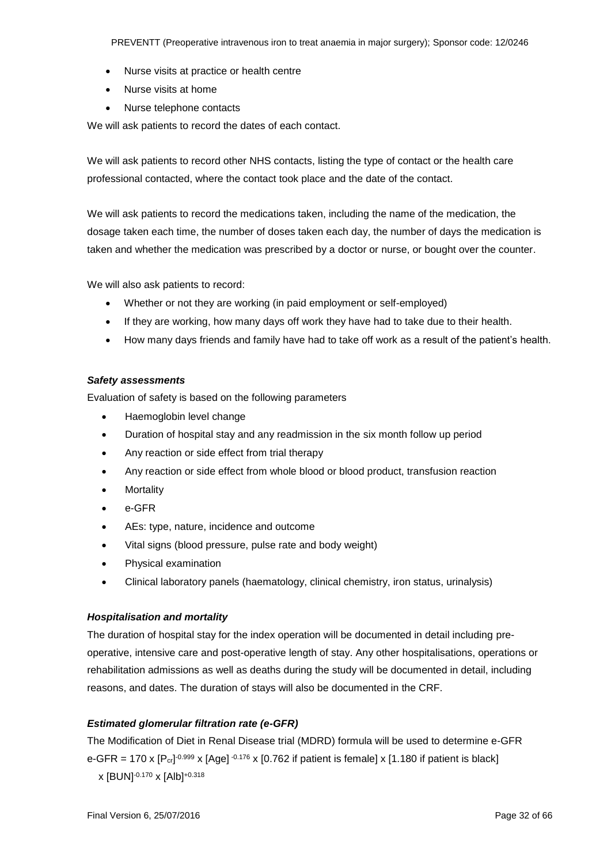PREVENTT (Preoperative intravenous iron to treat anaemia in major surgery); Sponsor code: 12/0246

- Nurse visits at practice or health centre
- Nurse visits at home
- Nurse telephone contacts

We will ask patients to record the dates of each contact.

We will ask patients to record other NHS contacts, listing the type of contact or the health care professional contacted, where the contact took place and the date of the contact.

We will ask patients to record the medications taken, including the name of the medication, the dosage taken each time, the number of doses taken each day, the number of days the medication is taken and whether the medication was prescribed by a doctor or nurse, or bought over the counter.

We will also ask patients to record:

- Whether or not they are working (in paid employment or self-employed)
- If they are working, how many days off work they have had to take due to their health.
- How many days friends and family have had to take off work as a result of the patient's health.

#### *Safety assessments*

Evaluation of safety is based on the following parameters

- Haemoglobin level change
- Duration of hospital stay and any readmission in the six month follow up period
- Any reaction or side effect from trial therapy
- Any reaction or side effect from whole blood or blood product, transfusion reaction
- **Mortality**
- e-GFR
- AEs: type, nature, incidence and outcome
- Vital signs (blood pressure, pulse rate and body weight)
- Physical examination
- Clinical laboratory panels (haematology, clinical chemistry, iron status, urinalysis)

#### *Hospitalisation and mortality*

The duration of hospital stay for the index operation will be documented in detail including preoperative, intensive care and post-operative length of stay. Any other hospitalisations, operations or rehabilitation admissions as well as deaths during the study will be documented in detail, including reasons, and dates. The duration of stays will also be documented in the CRF.

#### *Estimated glomerular filtration rate (e-GFR)*

The Modification of Diet in Renal Disease trial (MDRD) formula will be used to determine e-GFR e-GFR = 170 x  $[Pr]^{0.999}$  x  $[Age]^{0.176}$  x  $[0.762$  if patient is female] x  $[1.180$  if patient is black] x [BUN]-0.170 x [Alb]+0.318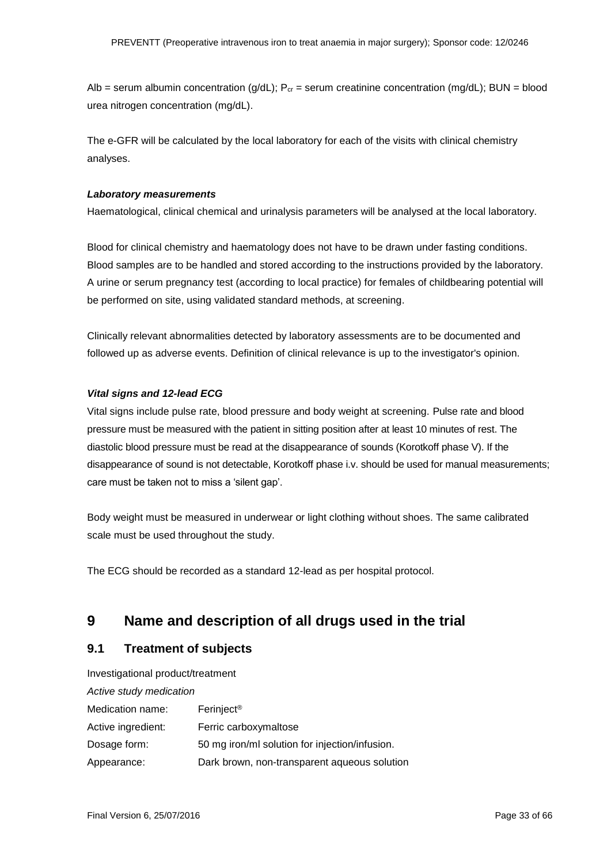Alb = serum albumin concentration ( $g/dL$ ); P<sub>cr</sub> = serum creatinine concentration (mg/dL); BUN = blood urea nitrogen concentration (mg/dL).

The e-GFR will be calculated by the local laboratory for each of the visits with clinical chemistry analyses.

#### *Laboratory measurements*

Haematological, clinical chemical and urinalysis parameters will be analysed at the local laboratory.

Blood for clinical chemistry and haematology does not have to be drawn under fasting conditions. Blood samples are to be handled and stored according to the instructions provided by the laboratory. A urine or serum pregnancy test (according to local practice) for females of childbearing potential will be performed on site, using validated standard methods, at screening.

Clinically relevant abnormalities detected by laboratory assessments are to be documented and followed up as adverse events. Definition of clinical relevance is up to the investigator's opinion.

#### *Vital signs and 12-lead ECG*

Vital signs include pulse rate, blood pressure and body weight at screening. Pulse rate and blood pressure must be measured with the patient in sitting position after at least 10 minutes of rest. The diastolic blood pressure must be read at the disappearance of sounds (Korotkoff phase V). If the disappearance of sound is not detectable, Korotkoff phase i.v. should be used for manual measurements; care must be taken not to miss a 'silent gap'.

Body weight must be measured in underwear or light clothing without shoes. The same calibrated scale must be used throughout the study.

The ECG should be recorded as a standard 12-lead as per hospital protocol.

### <span id="page-32-0"></span>**9 Name and description of all drugs used in the trial**

#### <span id="page-32-1"></span>**9.1 Treatment of subjects**

Investigational product/treatment *Active study medication*  Medication name: Ferinject<sup>®</sup> Active ingredient: Ferric carboxymaltose Dosage form: 50 mg iron/ml solution for injection/infusion. Appearance: Dark brown, non-transparent aqueous solution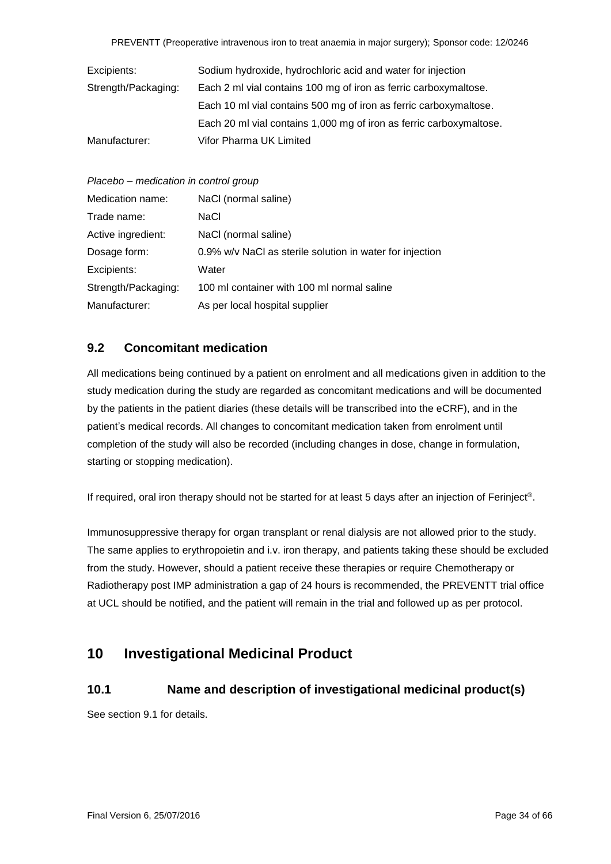| Excipients:         | Sodium hydroxide, hydrochloric acid and water for injection         |
|---------------------|---------------------------------------------------------------------|
| Strength/Packaging: | Each 2 ml vial contains 100 mg of iron as ferric carboxymaltose.    |
|                     | Each 10 ml vial contains 500 mg of iron as ferric carboxymaltose.   |
|                     | Each 20 ml vial contains 1,000 mg of iron as ferric carboxymaltose. |
| Manufacturer:       | Vifor Pharma UK Limited                                             |

| Placebo - medication in control group |
|---------------------------------------|
|---------------------------------------|

| Medication name:    | NaCl (normal saline)                                     |
|---------------------|----------------------------------------------------------|
| Trade name:         | NaCl                                                     |
| Active ingredient:  | NaCl (normal saline)                                     |
| Dosage form:        | 0.9% w/v NaCl as sterile solution in water for injection |
| Excipients:         | Water                                                    |
| Strength/Packaging: | 100 ml container with 100 ml normal saline               |
| Manufacturer:       | As per local hospital supplier                           |

### <span id="page-33-0"></span>**9.2 Concomitant medication**

All medications being continued by a patient on enrolment and all medications given in addition to the study medication during the study are regarded as concomitant medications and will be documented by the patients in the patient diaries (these details will be transcribed into the eCRF), and in the patient's medical records. All changes to concomitant medication taken from enrolment until completion of the study will also be recorded (including changes in dose, change in formulation, starting or stopping medication).

If required, oral iron therapy should not be started for at least 5 days after an injection of Ferinject®.

Immunosuppressive therapy for organ transplant or renal dialysis are not allowed prior to the study. The same applies to erythropoietin and i.v. iron therapy, and patients taking these should be excluded from the study. However, should a patient receive these therapies or require Chemotherapy or Radiotherapy post IMP administration a gap of 24 hours is recommended, the PREVENTT trial office at UCL should be notified, and the patient will remain in the trial and followed up as per protocol.

## <span id="page-33-1"></span>**10 Investigational Medicinal Product**

### <span id="page-33-2"></span>**10.1 Name and description of investigational medicinal product(s)**

See section 9.1 for details.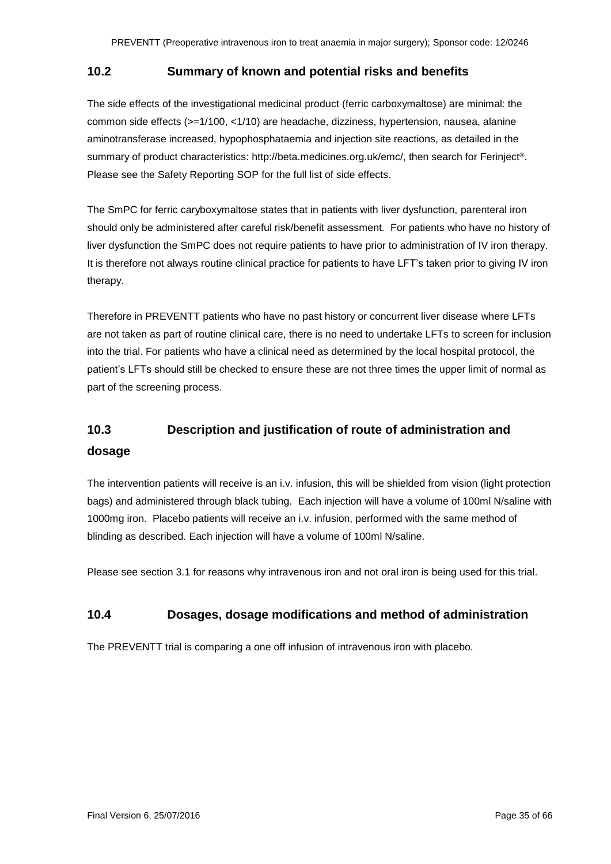#### <span id="page-34-0"></span>**10.2 Summary of known and potential risks and benefits**

The side effects of the investigational medicinal product (ferric carboxymaltose) are minimal: the common side effects (>=1/100, <1/10) are headache, dizziness, hypertension, nausea, alanine aminotransferase increased, hypophosphataemia and injection site reactions, as detailed in the summary of product characteristics: http://beta.medicines.org.uk/emc/, then search for Ferinject®. Please see the Safety Reporting SOP for the full list of side effects.

The SmPC for ferric caryboxymaltose states that in patients with liver dysfunction, parenteral iron should only be administered after careful risk/benefit assessment. For patients who have no history of liver dysfunction the SmPC does not require patients to have prior to administration of IV iron therapy. It is therefore not always routine clinical practice for patients to have LFT's taken prior to giving IV iron therapy.

Therefore in PREVENTT patients who have no past history or concurrent liver disease where LFTs are not taken as part of routine clinical care, there is no need to undertake LFTs to screen for inclusion into the trial. For patients who have a clinical need as determined by the local hospital protocol, the patient's LFTs should still be checked to ensure these are not three times the upper limit of normal as part of the screening process.

## <span id="page-34-1"></span>**10.3 Description and justification of route of administration and dosage**

The intervention patients will receive is an i.v. infusion, this will be shielded from vision (light protection bags) and administered through black tubing. Each injection will have a volume of 100ml N/saline with 1000mg iron. Placebo patients will receive an i.v. infusion, performed with the same method of blinding as described. Each injection will have a volume of 100ml N/saline.

Please see section 3.1 for reasons why intravenous iron and not oral iron is being used for this trial.

### <span id="page-34-2"></span>**10.4 Dosages, dosage modifications and method of administration**

The PREVENTT trial is comparing a one off infusion of intravenous iron with placebo.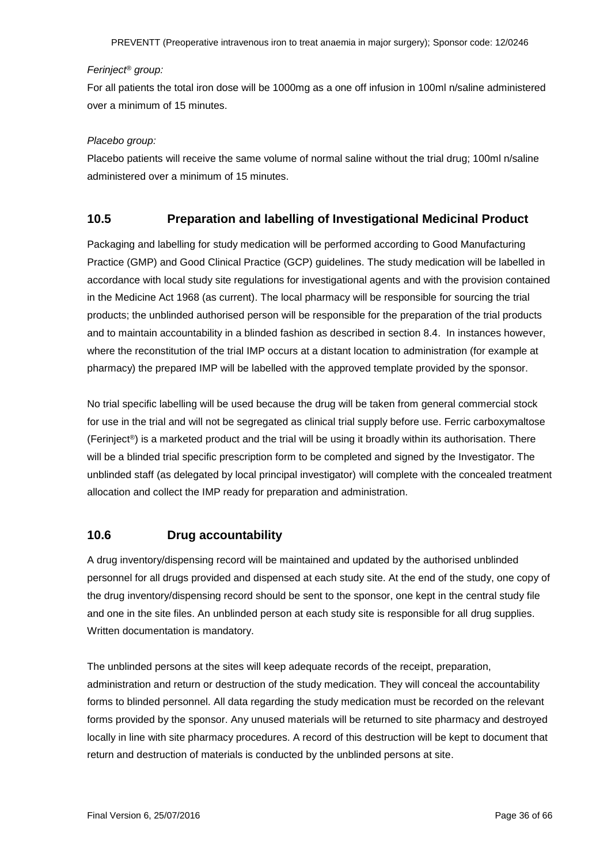#### *Ferinject® group:*

For all patients the total iron dose will be 1000mg as a one off infusion in 100ml n/saline administered over a minimum of 15 minutes.

#### *Placebo group:*

Placebo patients will receive the same volume of normal saline without the trial drug; 100ml n/saline administered over a minimum of 15 minutes.

#### <span id="page-35-0"></span>**10.5 Preparation and labelling of Investigational Medicinal Product**

Packaging and labelling for study medication will be performed according to Good Manufacturing Practice (GMP) and Good Clinical Practice (GCP) guidelines. The study medication will be labelled in accordance with local study site regulations for investigational agents and with the provision contained in the Medicine Act 1968 (as current). The local pharmacy will be responsible for sourcing the trial products; the unblinded authorised person will be responsible for the preparation of the trial products and to maintain accountability in a blinded fashion as described in section 8.4. In instances however, where the reconstitution of the trial IMP occurs at a distant location to administration (for example at pharmacy) the prepared IMP will be labelled with the approved template provided by the sponsor.

No trial specific labelling will be used because the drug will be taken from general commercial stock for use in the trial and will not be segregated as clinical trial supply before use. Ferric carboxymaltose (Ferinject®) is a marketed product and the trial will be using it broadly within its authorisation. There will be a blinded trial specific prescription form to be completed and signed by the Investigator. The unblinded staff (as delegated by local principal investigator) will complete with the concealed treatment allocation and collect the IMP ready for preparation and administration.

#### <span id="page-35-1"></span>**10.6 Drug accountability**

A drug inventory/dispensing record will be maintained and updated by the authorised unblinded personnel for all drugs provided and dispensed at each study site. At the end of the study, one copy of the drug inventory/dispensing record should be sent to the sponsor, one kept in the central study file and one in the site files. An unblinded person at each study site is responsible for all drug supplies. Written documentation is mandatory.

The unblinded persons at the sites will keep adequate records of the receipt, preparation, administration and return or destruction of the study medication. They will conceal the accountability forms to blinded personnel. All data regarding the study medication must be recorded on the relevant forms provided by the sponsor. Any unused materials will be returned to site pharmacy and destroyed locally in line with site pharmacy procedures. A record of this destruction will be kept to document that return and destruction of materials is conducted by the unblinded persons at site.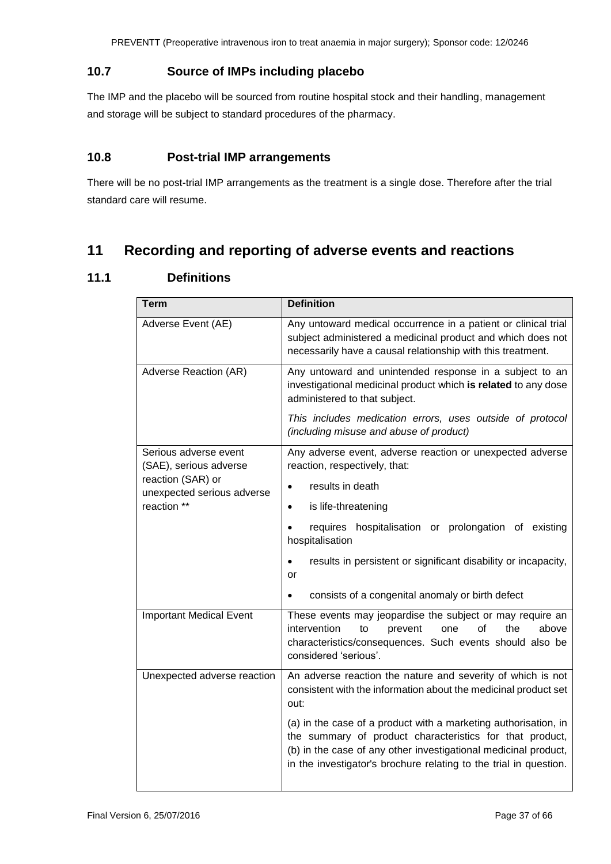### <span id="page-36-0"></span>**10.7 Source of IMPs including placebo**

The IMP and the placebo will be sourced from routine hospital stock and their handling, management and storage will be subject to standard procedures of the pharmacy.

### <span id="page-36-1"></span>**10.8 Post-trial IMP arrangements**

There will be no post-trial IMP arrangements as the treatment is a single dose. Therefore after the trial standard care will resume.

## <span id="page-36-2"></span>**11 Recording and reporting of adverse events and reactions**

### <span id="page-36-3"></span>**11.1 Definitions**

| <b>Term</b>                                     | <b>Definition</b>                                                                                                                                                                                                                                                   |
|-------------------------------------------------|---------------------------------------------------------------------------------------------------------------------------------------------------------------------------------------------------------------------------------------------------------------------|
| Adverse Event (AE)                              | Any untoward medical occurrence in a patient or clinical trial<br>subject administered a medicinal product and which does not<br>necessarily have a causal relationship with this treatment.                                                                        |
| Adverse Reaction (AR)                           | Any untoward and unintended response in a subject to an<br>investigational medicinal product which is related to any dose<br>administered to that subject.<br>This includes medication errors, uses outside of protocol                                             |
|                                                 | (including misuse and abuse of product)                                                                                                                                                                                                                             |
| Serious adverse event<br>(SAE), serious adverse | Any adverse event, adverse reaction or unexpected adverse<br>reaction, respectively, that:                                                                                                                                                                          |
| reaction (SAR) or<br>unexpected serious adverse | results in death<br>$\bullet$                                                                                                                                                                                                                                       |
| reaction **                                     | is life-threatening<br>٠                                                                                                                                                                                                                                            |
|                                                 | requires hospitalisation or prolongation of existing<br>$\bullet$<br>hospitalisation                                                                                                                                                                                |
|                                                 | results in persistent or significant disability or incapacity,<br>$\bullet$<br>or                                                                                                                                                                                   |
|                                                 | consists of a congenital anomaly or birth defect<br>$\bullet$                                                                                                                                                                                                       |
| <b>Important Medical Event</b>                  | These events may jeopardise the subject or may require an<br>intervention<br>οf<br>the<br>to<br>prevent<br>one<br>above<br>characteristics/consequences. Such events should also be<br>considered 'serious'.                                                        |
| Unexpected adverse reaction                     | An adverse reaction the nature and severity of which is not<br>consistent with the information about the medicinal product set<br>out:                                                                                                                              |
|                                                 | (a) in the case of a product with a marketing authorisation, in<br>the summary of product characteristics for that product,<br>(b) in the case of any other investigational medicinal product,<br>in the investigator's brochure relating to the trial in question. |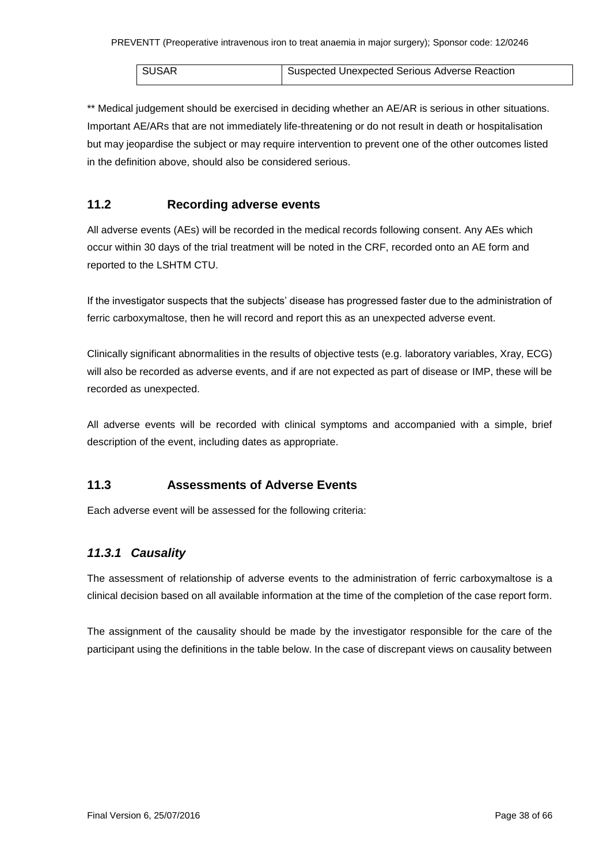| <b>SUSAR</b> | Suspected Unexpected Serious Adverse Reaction |
|--------------|-----------------------------------------------|

\*\* Medical judgement should be exercised in deciding whether an AE/AR is serious in other situations. Important AE/ARs that are not immediately life-threatening or do not result in death or hospitalisation but may jeopardise the subject or may require intervention to prevent one of the other outcomes listed in the definition above, should also be considered serious.

### <span id="page-37-0"></span>**11.2 Recording adverse events**

All adverse events (AEs) will be recorded in the medical records following consent. Any AEs which occur within 30 days of the trial treatment will be noted in the CRF, recorded onto an AE form and reported to the LSHTM CTU.

If the investigator suspects that the subjects' disease has progressed faster due to the administration of ferric carboxymaltose, then he will record and report this as an unexpected adverse event.

Clinically significant abnormalities in the results of objective tests (e.g. laboratory variables, Xray, ECG) will also be recorded as adverse events, and if are not expected as part of disease or IMP, these will be recorded as unexpected.

All adverse events will be recorded with clinical symptoms and accompanied with a simple, brief description of the event, including dates as appropriate.

### <span id="page-37-1"></span>**11.3 Assessments of Adverse Events**

Each adverse event will be assessed for the following criteria:

### <span id="page-37-2"></span>*11.3.1 Causality*

The assessment of relationship of adverse events to the administration of ferric carboxymaltose is a clinical decision based on all available information at the time of the completion of the case report form.

The assignment of the causality should be made by the investigator responsible for the care of the participant using the definitions in the table below. In the case of discrepant views on causality between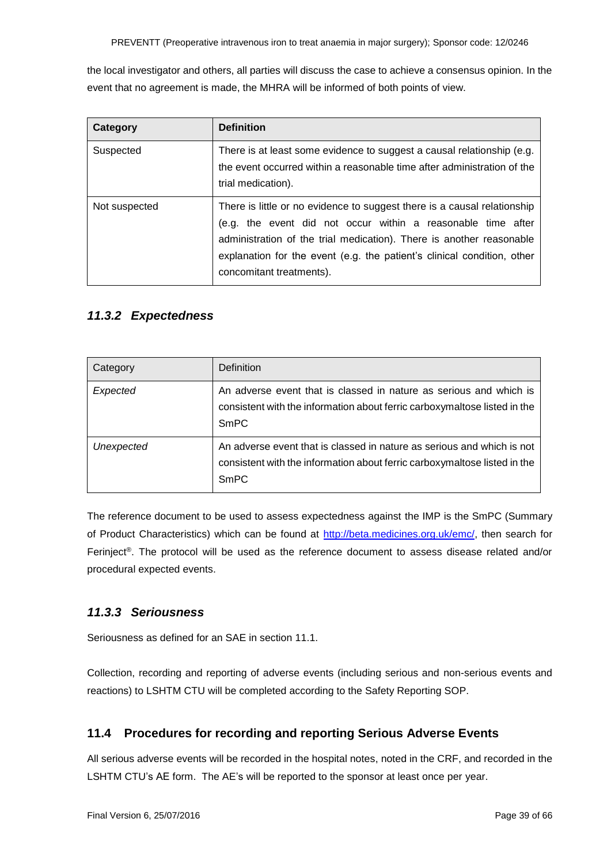the local investigator and others, all parties will discuss the case to achieve a consensus opinion. In the event that no agreement is made, the MHRA will be informed of both points of view.

| Category      | <b>Definition</b>                                                                                                                                                                                                                                                                                                       |
|---------------|-------------------------------------------------------------------------------------------------------------------------------------------------------------------------------------------------------------------------------------------------------------------------------------------------------------------------|
| Suspected     | There is at least some evidence to suggest a causal relationship (e.g.<br>the event occurred within a reasonable time after administration of the<br>trial medication).                                                                                                                                                 |
| Not suspected | There is little or no evidence to suggest there is a causal relationship<br>(e.g. the event did not occur within a reasonable time after<br>administration of the trial medication). There is another reasonable<br>explanation for the event (e.g. the patient's clinical condition, other<br>concomitant treatments). |

### <span id="page-38-0"></span>*11.3.2 Expectedness*

| Category   | Definition                                                                                                                                                         |
|------------|--------------------------------------------------------------------------------------------------------------------------------------------------------------------|
| Expected   | An adverse event that is classed in nature as serious and which is<br>consistent with the information about ferric carboxymaltose listed in the<br><b>SmPC</b>     |
| Unexpected | An adverse event that is classed in nature as serious and which is not<br>consistent with the information about ferric carboxymaltose listed in the<br><b>SmPC</b> |

The reference document to be used to assess expectedness against the IMP is the SmPC (Summary of Product Characteristics) which can be found at [http://beta.medicines.org.uk/emc/,](http://beta.medicines.org.uk/emc/) then search for Ferinject®. The protocol will be used as the reference document to assess disease related and/or procedural expected events.

### <span id="page-38-1"></span>*11.3.3 Seriousness*

Seriousness as defined for an SAF in section 11.1.

Collection, recording and reporting of adverse events (including serious and non-serious events and reactions) to LSHTM CTU will be completed according to the Safety Reporting SOP.

### <span id="page-38-2"></span>**11.4 Procedures for recording and reporting Serious Adverse Events**

All serious adverse events will be recorded in the hospital notes, noted in the CRF, and recorded in the LSHTM CTU's AE form. The AE's will be reported to the sponsor at least once per year.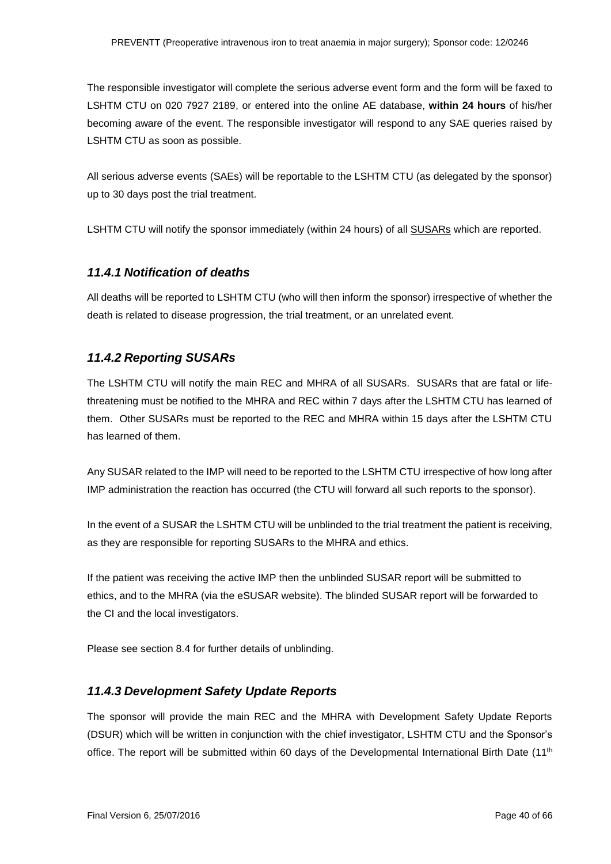The responsible investigator will complete the serious adverse event form and the form will be faxed to LSHTM CTU on 020 7927 2189, or entered into the online AE database, **within 24 hours** of his/her becoming aware of the event. The responsible investigator will respond to any SAE queries raised by LSHTM CTU as soon as possible.

All serious adverse events (SAEs) will be reportable to the LSHTM CTU (as delegated by the sponsor) up to 30 days post the trial treatment.

LSHTM CTU will notify the sponsor immediately (within 24 hours) of all SUSARs which are reported.

#### <span id="page-39-0"></span>*11.4.1 Notification of deaths*

All deaths will be reported to LSHTM CTU (who will then inform the sponsor) irrespective of whether the death is related to disease progression, the trial treatment, or an unrelated event.

### <span id="page-39-1"></span>*11.4.2 Reporting SUSARs*

The LSHTM CTU will notify the main REC and MHRA of all SUSARs. SUSARs that are fatal or lifethreatening must be notified to the MHRA and REC within 7 days after the LSHTM CTU has learned of them. Other SUSARs must be reported to the REC and MHRA within 15 days after the LSHTM CTU has learned of them.

Any SUSAR related to the IMP will need to be reported to the LSHTM CTU irrespective of how long after IMP administration the reaction has occurred (the CTU will forward all such reports to the sponsor).

In the event of a SUSAR the LSHTM CTU will be unblinded to the trial treatment the patient is receiving, as they are responsible for reporting SUSARs to the MHRA and ethics.

If the patient was receiving the active IMP then the unblinded SUSAR report will be submitted to ethics, and to the MHRA (via the eSUSAR website). The blinded SUSAR report will be forwarded to the CI and the local investigators.

Please see section 8.4 for further details of unblinding.

#### <span id="page-39-2"></span>*11.4.3 Development Safety Update Reports*

The sponsor will provide the main REC and the MHRA with Development Safety Update Reports (DSUR) which will be written in conjunction with the chief investigator, LSHTM CTU and the Sponsor's office. The report will be submitted within 60 days of the Developmental International Birth Date  $(11<sup>th</sup>)$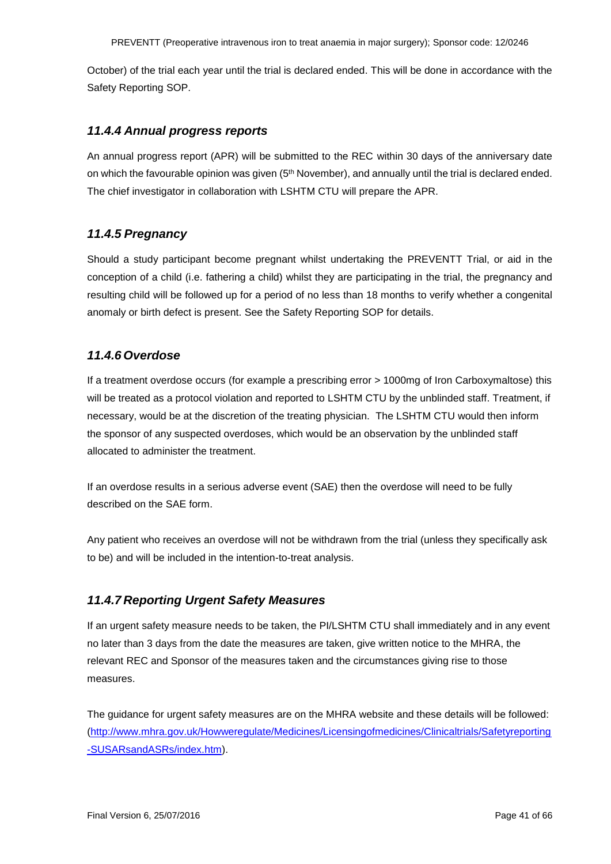October) of the trial each year until the trial is declared ended. This will be done in accordance with the Safety Reporting SOP.

#### <span id="page-40-0"></span>*11.4.4 Annual progress reports*

An annual progress report (APR) will be submitted to the REC within 30 days of the anniversary date on which the favourable opinion was given (5<sup>th</sup> November), and annually until the trial is declared ended. The chief investigator in collaboration with LSHTM CTU will prepare the APR.

### <span id="page-40-1"></span>*11.4.5 Pregnancy*

Should a study participant become pregnant whilst undertaking the PREVENTT Trial, or aid in the conception of a child (i.e. fathering a child) whilst they are participating in the trial, the pregnancy and resulting child will be followed up for a period of no less than 18 months to verify whether a congenital anomaly or birth defect is present. See the Safety Reporting SOP for details.

#### <span id="page-40-2"></span>*11.4.6 Overdose*

If a treatment overdose occurs (for example a prescribing error > 1000mg of Iron Carboxymaltose) this will be treated as a protocol violation and reported to LSHTM CTU by the unblinded staff. Treatment, if necessary, would be at the discretion of the treating physician. The LSHTM CTU would then inform the sponsor of any suspected overdoses, which would be an observation by the unblinded staff allocated to administer the treatment.

If an overdose results in a serious adverse event (SAE) then the overdose will need to be fully described on the SAE form.

Any patient who receives an overdose will not be withdrawn from the trial (unless they specifically ask to be) and will be included in the intention-to-treat analysis.

#### <span id="page-40-3"></span>*11.4.7 Reporting Urgent Safety Measures*

If an urgent safety measure needs to be taken, the PI/LSHTM CTU shall immediately and in any event no later than 3 days from the date the measures are taken, give written notice to the MHRA, the relevant REC and Sponsor of the measures taken and the circumstances giving rise to those measures.

The guidance for urgent safety measures are on the MHRA website and these details will be followed: [\(http://www.mhra.gov.uk/Howweregulate/Medicines/Licensingofmedicines/Clinicaltrials/Safetyreporting](http://www.mhra.gov.uk/Howweregulate/Medicines/Licensingofmedicines/Clinicaltrials/Safetyreporting-SUSARsandASRs/index.htm) [-SUSARsandASRs/index.htm\)](http://www.mhra.gov.uk/Howweregulate/Medicines/Licensingofmedicines/Clinicaltrials/Safetyreporting-SUSARsandASRs/index.htm).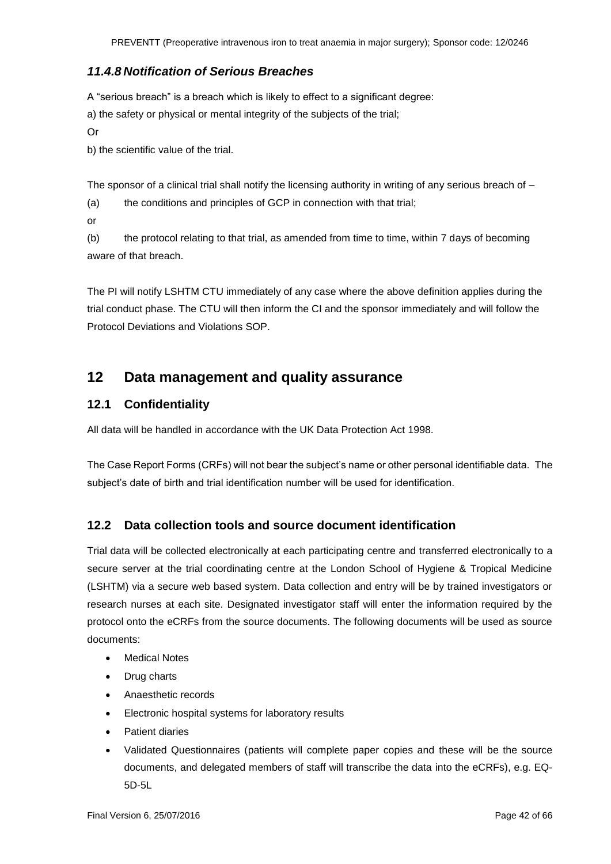### <span id="page-41-0"></span>*11.4.8 Notification of Serious Breaches*

A "serious breach" is a breach which is likely to effect to a significant degree:

a) the safety or physical or mental integrity of the subjects of the trial;

Or

b) the scientific value of the trial.

The sponsor of a clinical trial shall notify the licensing authority in writing of any serious breach of -

(a) the conditions and principles of GCP in connection with that trial;

or

(b) the protocol relating to that trial, as amended from time to time, within 7 days of becoming aware of that breach.

The PI will notify LSHTM CTU immediately of any case where the above definition applies during the trial conduct phase. The CTU will then inform the CI and the sponsor immediately and will follow the Protocol Deviations and Violations SOP.

## <span id="page-41-1"></span>**12 Data management and quality assurance**

### <span id="page-41-2"></span>**12.1 Confidentiality**

All data will be handled in accordance with the UK Data Protection Act 1998.

The Case Report Forms (CRFs) will not bear the subject's name or other personal identifiable data. The subject's date of birth and trial identification number will be used for identification.

### <span id="page-41-3"></span>**12.2 Data collection tools and source document identification**

Trial data will be collected electronically at each participating centre and transferred electronically to a secure server at the trial coordinating centre at the London School of Hygiene & Tropical Medicine (LSHTM) via a secure web based system. Data collection and entry will be by trained investigators or research nurses at each site. Designated investigator staff will enter the information required by the protocol onto the eCRFs from the source documents. The following documents will be used as source documents:

- Medical Notes
- Drug charts
- Anaesthetic records
- Electronic hospital systems for laboratory results
- Patient diaries
- Validated Questionnaires (patients will complete paper copies and these will be the source documents, and delegated members of staff will transcribe the data into the eCRFs), e.g. EQ-5D-5L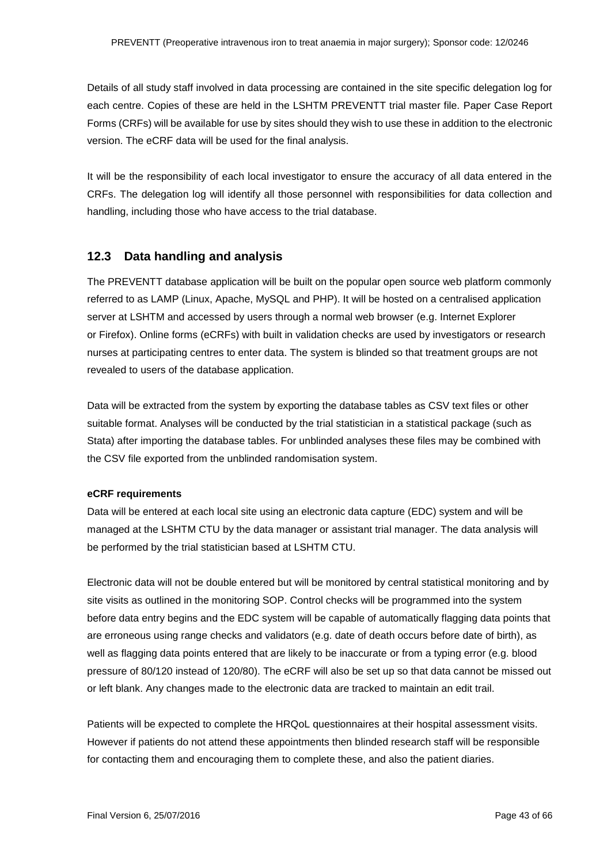Details of all study staff involved in data processing are contained in the site specific delegation log for each centre. Copies of these are held in the LSHTM PREVENTT trial master file. Paper Case Report Forms (CRFs) will be available for use by sites should they wish to use these in addition to the electronic version. The eCRF data will be used for the final analysis.

It will be the responsibility of each local investigator to ensure the accuracy of all data entered in the CRFs. The delegation log will identify all those personnel with responsibilities for data collection and handling, including those who have access to the trial database.

### <span id="page-42-0"></span>**12.3 Data handling and analysis**

The PREVENTT database application will be built on the popular open source web platform commonly referred to as LAMP (Linux, Apache, MySQL and PHP). It will be hosted on a centralised application server at LSHTM and accessed by users through a normal web browser (e.g. Internet Explorer or Firefox). Online forms (eCRFs) with built in validation checks are used by investigators or research nurses at participating centres to enter data. The system is blinded so that treatment groups are not revealed to users of the database application.

Data will be extracted from the system by exporting the database tables as CSV text files or other suitable format. Analyses will be conducted by the trial statistician in a statistical package (such as Stata) after importing the database tables. For unblinded analyses these files may be combined with the CSV file exported from the unblinded randomisation system.

#### **eCRF requirements**

Data will be entered at each local site using an electronic data capture (EDC) system and will be managed at the LSHTM CTU by the data manager or assistant trial manager. The data analysis will be performed by the trial statistician based at LSHTM CTU.

Electronic data will not be double entered but will be monitored by central statistical monitoring and by site visits as outlined in the monitoring SOP. Control checks will be programmed into the system before data entry begins and the EDC system will be capable of automatically flagging data points that are erroneous using range checks and validators (e.g. date of death occurs before date of birth), as well as flagging data points entered that are likely to be inaccurate or from a typing error (e.g. blood pressure of 80/120 instead of 120/80). The eCRF will also be set up so that data cannot be missed out or left blank. Any changes made to the electronic data are tracked to maintain an edit trail.

Patients will be expected to complete the HRQoL questionnaires at their hospital assessment visits. However if patients do not attend these appointments then blinded research staff will be responsible for contacting them and encouraging them to complete these, and also the patient diaries.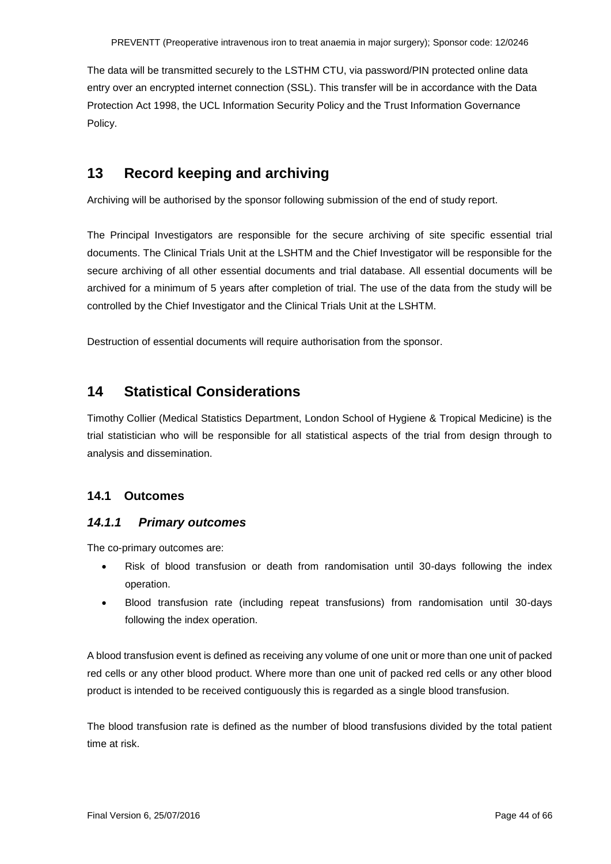The data will be transmitted securely to the LSTHM CTU, via password/PIN protected online data entry over an encrypted internet connection (SSL). This transfer will be in accordance with the Data Protection Act 1998, the UCL Information Security Policy and the Trust Information Governance Policy.

## <span id="page-43-0"></span>**13 Record keeping and archiving**

Archiving will be authorised by the sponsor following submission of the end of study report.

The Principal Investigators are responsible for the secure archiving of site specific essential trial documents. The Clinical Trials Unit at the LSHTM and the Chief Investigator will be responsible for the secure archiving of all other essential documents and trial database. All essential documents will be archived for a minimum of 5 years after completion of trial. The use of the data from the study will be controlled by the Chief Investigator and the Clinical Trials Unit at the LSHTM.

Destruction of essential documents will require authorisation from the sponsor.

## <span id="page-43-1"></span>**14 Statistical Considerations**

Timothy Collier (Medical Statistics Department, London School of Hygiene & Tropical Medicine) is the trial statistician who will be responsible for all statistical aspects of the trial from design through to analysis and dissemination.

### <span id="page-43-2"></span>**14.1 Outcomes**

### <span id="page-43-3"></span>*14.1.1 Primary outcomes*

The co-primary outcomes are:

- Risk of blood transfusion or death from randomisation until 30-days following the index operation.
- Blood transfusion rate (including repeat transfusions) from randomisation until 30-days following the index operation.

A blood transfusion event is defined as receiving any volume of one unit or more than one unit of packed red cells or any other blood product. Where more than one unit of packed red cells or any other blood product is intended to be received contiguously this is regarded as a single blood transfusion.

The blood transfusion rate is defined as the number of blood transfusions divided by the total patient time at risk.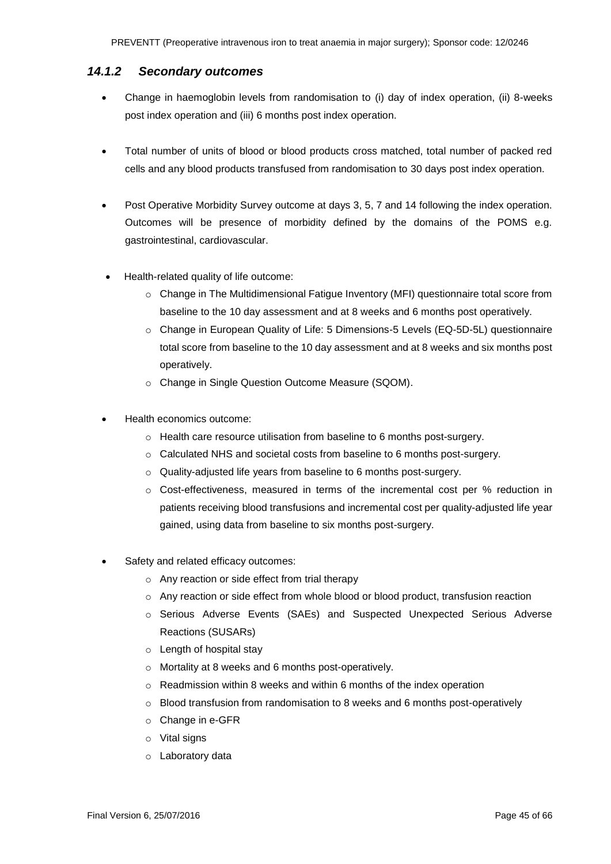### <span id="page-44-0"></span>*14.1.2 Secondary outcomes*

- Change in haemoglobin levels from randomisation to (i) day of index operation, (ii) 8-weeks post index operation and (iii) 6 months post index operation.
- Total number of units of blood or blood products cross matched, total number of packed red cells and any blood products transfused from randomisation to 30 days post index operation.
- Post Operative Morbidity Survey outcome at days 3, 5, 7 and 14 following the index operation. Outcomes will be presence of morbidity defined by the domains of the POMS e.g. gastrointestinal, cardiovascular.
- Health-related quality of life outcome:
	- o Change in The Multidimensional Fatigue Inventory (MFI) questionnaire total score from baseline to the 10 day assessment and at 8 weeks and 6 months post operatively.
	- o Change in European Quality of Life: 5 Dimensions-5 Levels (EQ-5D-5L) questionnaire total score from baseline to the 10 day assessment and at 8 weeks and six months post operatively.
	- o Change in Single Question Outcome Measure (SQOM).
- Health economics outcome:
	- o Health care resource utilisation from baseline to 6 months post-surgery.
	- o Calculated NHS and societal costs from baseline to 6 months post-surgery.
	- o Quality-adjusted life years from baseline to 6 months post-surgery.
	- $\circ$  Cost-effectiveness, measured in terms of the incremental cost per % reduction in patients receiving blood transfusions and incremental cost per quality-adjusted life year gained, using data from baseline to six months post-surgery.
- Safety and related efficacy outcomes:
	- o Any reaction or side effect from trial therapy
	- o Any reaction or side effect from whole blood or blood product, transfusion reaction
	- o Serious Adverse Events (SAEs) and Suspected Unexpected Serious Adverse Reactions (SUSARs)
	- o Length of hospital stay
	- o Mortality at 8 weeks and 6 months post-operatively.
	- o Readmission within 8 weeks and within 6 months of the index operation
	- $\circ$  Blood transfusion from randomisation to 8 weeks and 6 months post-operatively
	- o Change in e-GFR
	- o Vital signs
	- o Laboratory data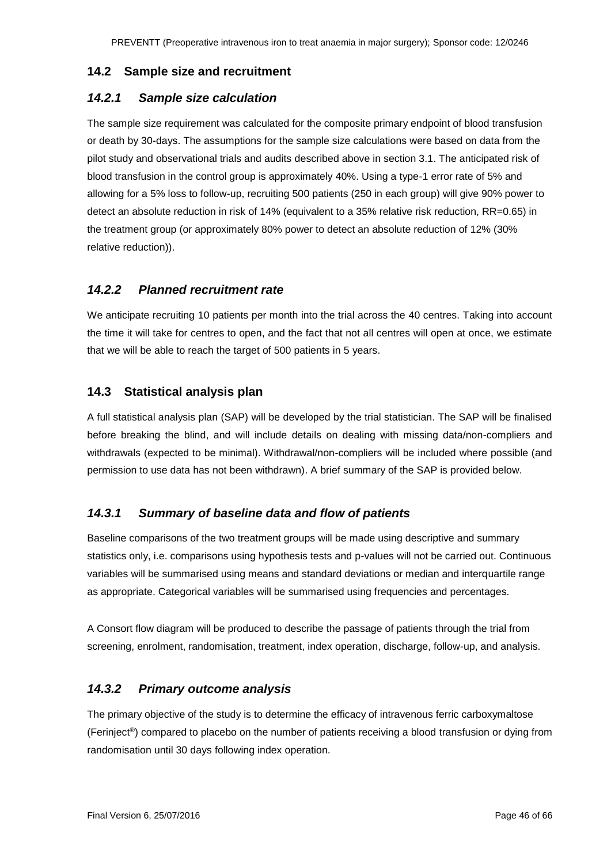#### <span id="page-45-0"></span>**14.2 Sample size and recruitment**

### <span id="page-45-1"></span>*14.2.1 Sample size calculation*

The sample size requirement was calculated for the composite primary endpoint of blood transfusion or death by 30-days. The assumptions for the sample size calculations were based on data from the pilot study and observational trials and audits described above in section 3.1. The anticipated risk of blood transfusion in the control group is approximately 40%. Using a type-1 error rate of 5% and allowing for a 5% loss to follow-up, recruiting 500 patients (250 in each group) will give 90% power to detect an absolute reduction in risk of 14% (equivalent to a 35% relative risk reduction, RR=0.65) in the treatment group (or approximately 80% power to detect an absolute reduction of 12% (30% relative reduction)).

### <span id="page-45-2"></span>*14.2.2 Planned recruitment rate*

We anticipate recruiting 10 patients per month into the trial across the 40 centres. Taking into account the time it will take for centres to open, and the fact that not all centres will open at once, we estimate that we will be able to reach the target of 500 patients in 5 years.

### <span id="page-45-3"></span>**14.3 Statistical analysis plan**

A full statistical analysis plan (SAP) will be developed by the trial statistician. The SAP will be finalised before breaking the blind, and will include details on dealing with missing data/non-compliers and withdrawals (expected to be minimal). Withdrawal/non-compliers will be included where possible (and permission to use data has not been withdrawn). A brief summary of the SAP is provided below.

### <span id="page-45-4"></span>*14.3.1 Summary of baseline data and flow of patients*

Baseline comparisons of the two treatment groups will be made using descriptive and summary statistics only, i.e. comparisons using hypothesis tests and p-values will not be carried out. Continuous variables will be summarised using means and standard deviations or median and interquartile range as appropriate. Categorical variables will be summarised using frequencies and percentages.

A Consort flow diagram will be produced to describe the passage of patients through the trial from screening, enrolment, randomisation, treatment, index operation, discharge, follow-up, and analysis.

### <span id="page-45-5"></span>*14.3.2 Primary outcome analysis*

The primary objective of the study is to determine the efficacy of intravenous ferric carboxymaltose (Ferinject®) compared to placebo on the number of patients receiving a blood transfusion or dying from randomisation until 30 days following index operation.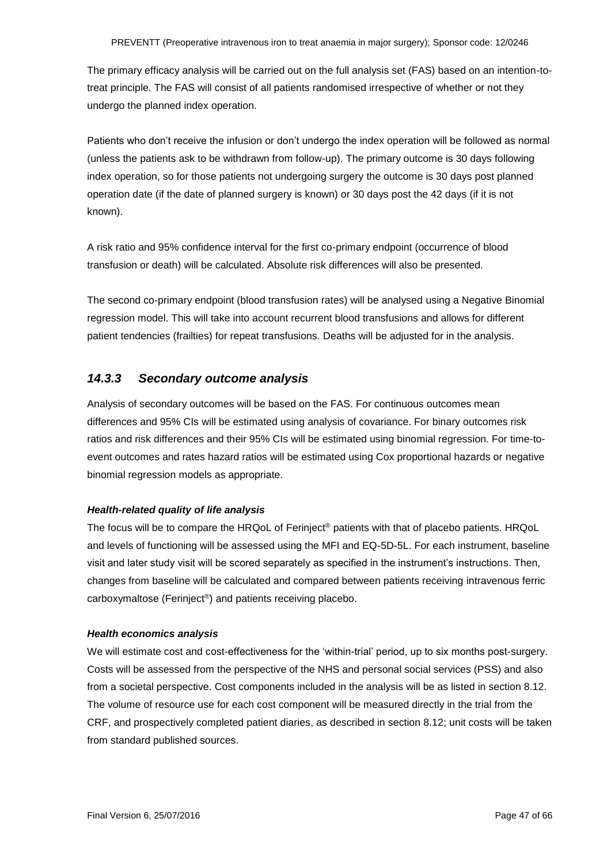The primary efficacy analysis will be carried out on the full analysis set (FAS) based on an intention-totreat principle. The FAS will consist of all patients randomised irrespective of whether or not they undergo the planned index operation.

Patients who don't receive the infusion or don't undergo the index operation will be followed as normal (unless the patients ask to be withdrawn from follow-up). The primary outcome is 30 days following index operation, so for those patients not undergoing surgery the outcome is 30 days post planned operation date (if the date of planned surgery is known) or 30 days post the 42 days (if it is not known).

A risk ratio and 95% confidence interval for the first co-primary endpoint (occurrence of blood transfusion or death) will be calculated. Absolute risk differences will also be presented.

The second co-primary endpoint (blood transfusion rates) will be analysed using a Negative Binomial regression model. This will take into account recurrent blood transfusions and allows for different patient tendencies (frailties) for repeat transfusions. Deaths will be adjusted for in the analysis.

### <span id="page-46-0"></span>*14.3.3 Secondary outcome analysis*

Analysis of secondary outcomes will be based on the FAS. For continuous outcomes mean differences and 95% CIs will be estimated using analysis of covariance. For binary outcomes risk ratios and risk differences and their 95% CIs will be estimated using binomial regression. For time-toevent outcomes and rates hazard ratios will be estimated using Cox proportional hazards or negative binomial regression models as appropriate.

#### *Health-related quality of life analysis*

The focus will be to compare the HRQoL of Ferinject<sup>®</sup> patients with that of placebo patients. HRQoL and levels of functioning will be assessed using the MFI and EQ-5D-5L. For each instrument, baseline visit and later study visit will be scored separately as specified in the instrument's instructions. Then, changes from baseline will be calculated and compared between patients receiving intravenous ferric carboxymaltose (Ferinject®) and patients receiving placebo.

#### *Health economics analysis*

We will estimate cost and cost-effectiveness for the 'within-trial' period, up to six months post-surgery. Costs will be assessed from the perspective of the NHS and personal social services (PSS) and also from a societal perspective. Cost components included in the analysis will be as listed in section 8.12. The volume of resource use for each cost component will be measured directly in the trial from the CRF, and prospectively completed patient diaries, as described in section 8.12; unit costs will be taken from standard published sources.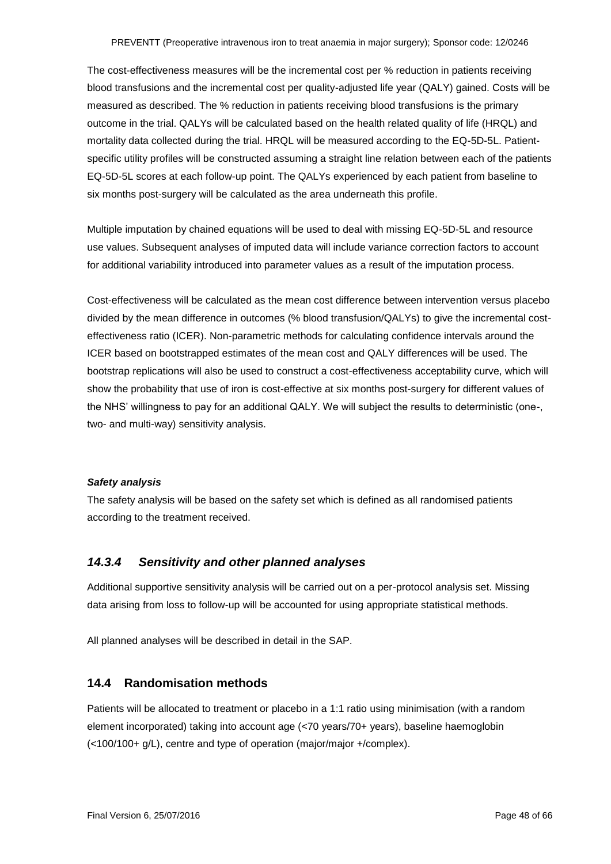The cost-effectiveness measures will be the incremental cost per % reduction in patients receiving blood transfusions and the incremental cost per quality-adjusted life year (QALY) gained. Costs will be measured as described. The % reduction in patients receiving blood transfusions is the primary outcome in the trial. QALYs will be calculated based on the health related quality of life (HRQL) and mortality data collected during the trial. HRQL will be measured according to the EQ-5D-5L. Patientspecific utility profiles will be constructed assuming a straight line relation between each of the patients EQ-5D-5L scores at each follow-up point. The QALYs experienced by each patient from baseline to six months post-surgery will be calculated as the area underneath this profile.

Multiple imputation by chained equations will be used to deal with missing EQ-5D-5L and resource use values. Subsequent analyses of imputed data will include variance correction factors to account for additional variability introduced into parameter values as a result of the imputation process.

Cost-effectiveness will be calculated as the mean cost difference between intervention versus placebo divided by the mean difference in outcomes (% blood transfusion/QALYs) to give the incremental costeffectiveness ratio (ICER). Non-parametric methods for calculating confidence intervals around the ICER based on bootstrapped estimates of the mean cost and QALY differences will be used. The bootstrap replications will also be used to construct a cost-effectiveness acceptability curve, which will show the probability that use of iron is cost-effective at six months post-surgery for different values of the NHS' willingness to pay for an additional QALY. We will subject the results to deterministic (one-, two- and multi-way) sensitivity analysis.

#### *Safety analysis*

The safety analysis will be based on the safety set which is defined as all randomised patients according to the treatment received.

#### <span id="page-47-0"></span>*14.3.4 Sensitivity and other planned analyses*

Additional supportive sensitivity analysis will be carried out on a per-protocol analysis set. Missing data arising from loss to follow-up will be accounted for using appropriate statistical methods.

All planned analyses will be described in detail in the SAP.

#### <span id="page-47-1"></span>**14.4 Randomisation methods**

Patients will be allocated to treatment or placebo in a 1:1 ratio using minimisation (with a random element incorporated) taking into account age (<70 years/70+ years), baseline haemoglobin (<100/100+ g/L), centre and type of operation (major/major +/complex).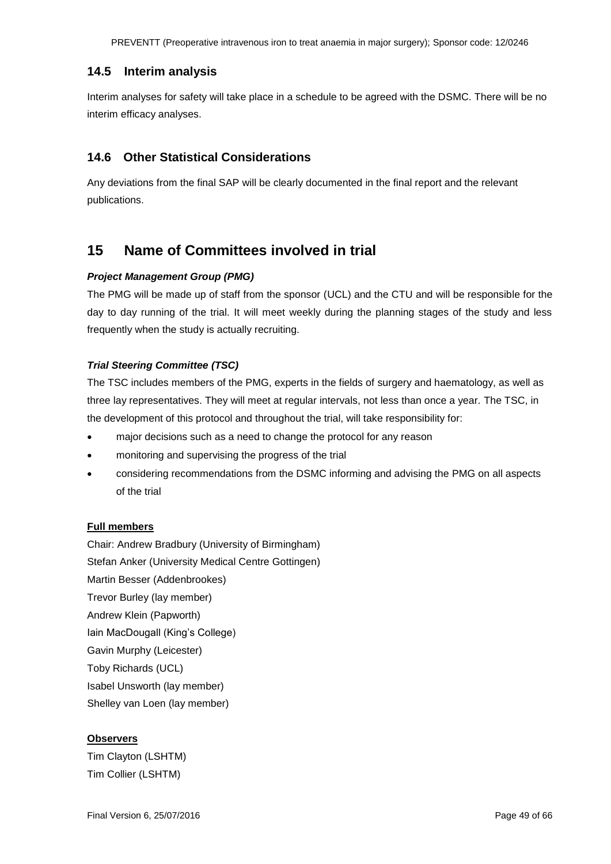PREVENTT (Preoperative intravenous iron to treat anaemia in major surgery); Sponsor code: 12/0246

### <span id="page-48-0"></span>**14.5 Interim analysis**

Interim analyses for safety will take place in a schedule to be agreed with the DSMC. There will be no interim efficacy analyses.

### <span id="page-48-1"></span>**14.6 Other Statistical Considerations**

Any deviations from the final SAP will be clearly documented in the final report and the relevant publications.

## <span id="page-48-2"></span>**15 Name of Committees involved in trial**

#### *Project Management Group (PMG)*

The PMG will be made up of staff from the sponsor (UCL) and the CTU and will be responsible for the day to day running of the trial. It will meet weekly during the planning stages of the study and less frequently when the study is actually recruiting.

### *Trial Steering Committee (TSC)*

The TSC includes members of the PMG, experts in the fields of surgery and haematology, as well as three lay representatives. They will meet at regular intervals, not less than once a year. The TSC, in the development of this protocol and throughout the trial, will take responsibility for:

- major decisions such as a need to change the protocol for any reason
- monitoring and supervising the progress of the trial
- considering recommendations from the DSMC informing and advising the PMG on all aspects of the trial

### **Full members**

Chair: Andrew Bradbury (University of Birmingham) Stefan Anker (University Medical Centre Gottingen) Martin Besser (Addenbrookes) Trevor Burley (lay member) Andrew Klein (Papworth) Iain MacDougall (King's College) Gavin Murphy (Leicester) Toby Richards (UCL) Isabel Unsworth (lay member) Shelley van Loen (lay member)

### **Observers**

Tim Clayton (LSHTM) Tim Collier (LSHTM)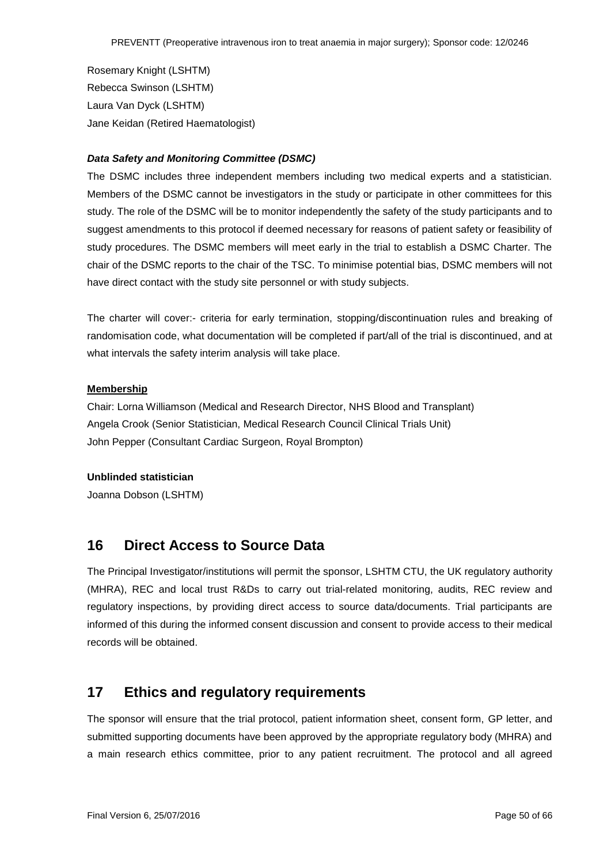Rosemary Knight (LSHTM) Rebecca Swinson (LSHTM) Laura Van Dyck (LSHTM) Jane Keidan (Retired Haematologist)

#### *Data Safety and Monitoring Committee (DSMC)*

The DSMC includes three independent members including two medical experts and a statistician. Members of the DSMC cannot be investigators in the study or participate in other committees for this study. The role of the DSMC will be to monitor independently the safety of the study participants and to suggest amendments to this protocol if deemed necessary for reasons of patient safety or feasibility of study procedures. The DSMC members will meet early in the trial to establish a DSMC Charter. The chair of the DSMC reports to the chair of the TSC. To minimise potential bias, DSMC members will not have direct contact with the study site personnel or with study subjects.

The charter will cover:- criteria for early termination, stopping/discontinuation rules and breaking of randomisation code, what documentation will be completed if part/all of the trial is discontinued, and at what intervals the safety interim analysis will take place.

#### **Membership**

Chair: Lorna Williamson (Medical and Research Director, NHS Blood and Transplant) Angela Crook (Senior Statistician, Medical Research Council Clinical Trials Unit) John Pepper (Consultant Cardiac Surgeon, Royal Brompton)

#### **Unblinded statistician**

Joanna Dobson (LSHTM)

### <span id="page-49-0"></span>**16 Direct Access to Source Data**

The Principal Investigator/institutions will permit the sponsor, LSHTM CTU, the UK regulatory authority (MHRA), REC and local trust R&Ds to carry out trial-related monitoring, audits, REC review and regulatory inspections, by providing direct access to source data/documents. Trial participants are informed of this during the informed consent discussion and consent to provide access to their medical records will be obtained.

### <span id="page-49-1"></span>**17 Ethics and regulatory requirements**

The sponsor will ensure that the trial protocol, patient information sheet, consent form, GP letter, and submitted supporting documents have been approved by the appropriate regulatory body (MHRA) and a main research ethics committee, prior to any patient recruitment. The protocol and all agreed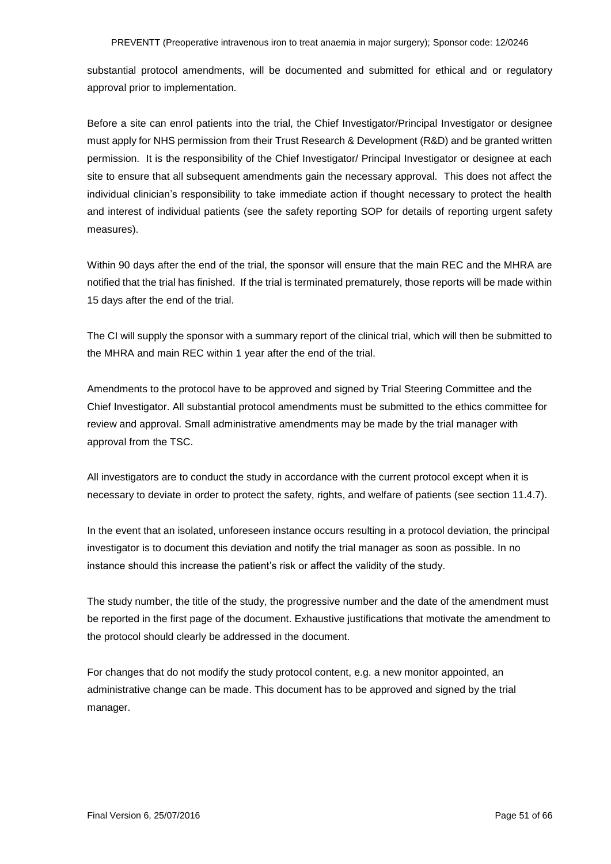substantial protocol amendments, will be documented and submitted for ethical and or regulatory approval prior to implementation.

Before a site can enrol patients into the trial, the Chief Investigator/Principal Investigator or designee must apply for NHS permission from their Trust Research & Development (R&D) and be granted written permission. It is the responsibility of the Chief Investigator/ Principal Investigator or designee at each site to ensure that all subsequent amendments gain the necessary approval. This does not affect the individual clinician's responsibility to take immediate action if thought necessary to protect the health and interest of individual patients (see the safety reporting SOP for details of reporting urgent safety measures).

Within 90 days after the end of the trial, the sponsor will ensure that the main REC and the MHRA are notified that the trial has finished. If the trial is terminated prematurely, those reports will be made within 15 days after the end of the trial.

The CI will supply the sponsor with a summary report of the clinical trial, which will then be submitted to the MHRA and main REC within 1 year after the end of the trial.

Amendments to the protocol have to be approved and signed by Trial Steering Committee and the Chief Investigator. All substantial protocol amendments must be submitted to the ethics committee for review and approval. Small administrative amendments may be made by the trial manager with approval from the TSC.

All investigators are to conduct the study in accordance with the current protocol except when it is necessary to deviate in order to protect the safety, rights, and welfare of patients (see section 11.4.7).

In the event that an isolated, unforeseen instance occurs resulting in a protocol deviation, the principal investigator is to document this deviation and notify the trial manager as soon as possible. In no instance should this increase the patient's risk or affect the validity of the study.

The study number, the title of the study, the progressive number and the date of the amendment must be reported in the first page of the document. Exhaustive justifications that motivate the amendment to the protocol should clearly be addressed in the document.

For changes that do not modify the study protocol content, e.g. a new monitor appointed, an administrative change can be made. This document has to be approved and signed by the trial manager.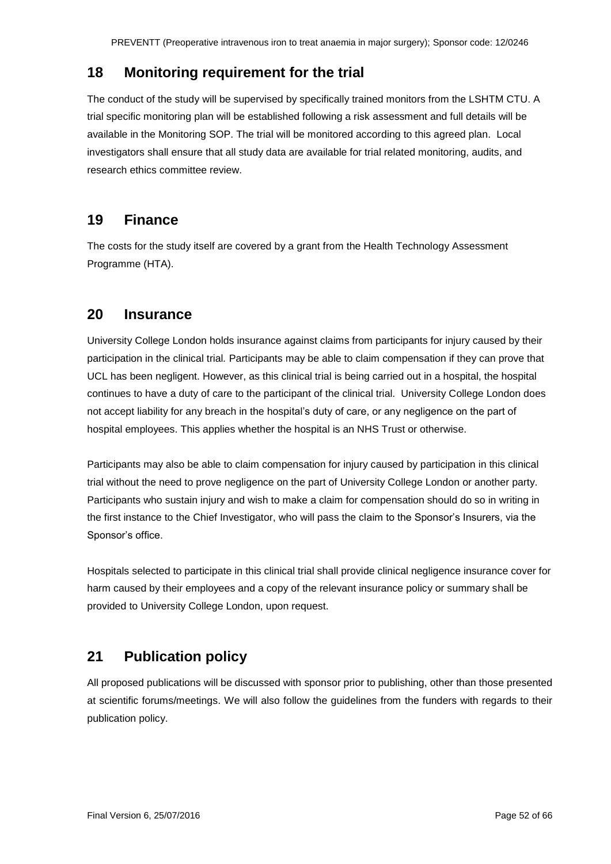## <span id="page-51-0"></span>**18 Monitoring requirement for the trial**

The conduct of the study will be supervised by specifically trained monitors from the LSHTM CTU. A trial specific monitoring plan will be established following a risk assessment and full details will be available in the Monitoring SOP. The trial will be monitored according to this agreed plan. Local investigators shall ensure that all study data are available for trial related monitoring, audits, and research ethics committee review.

## <span id="page-51-1"></span>**19 Finance**

The costs for the study itself are covered by a grant from the Health Technology Assessment Programme (HTA).

### <span id="page-51-2"></span>**20 Insurance**

University College London holds insurance against claims from participants for injury caused by their participation in the clinical trial*.* Participants may be able to claim compensation if they can prove that UCL has been negligent. However, as this clinical trial is being carried out in a hospital, the hospital continues to have a duty of care to the participant of the clinical trial. University College London does not accept liability for any breach in the hospital's duty of care, or any negligence on the part of hospital employees. This applies whether the hospital is an NHS Trust or otherwise.

Participants may also be able to claim compensation for injury caused by participation in this clinical trial without the need to prove negligence on the part of University College London or another party. Participants who sustain injury and wish to make a claim for compensation should do so in writing in the first instance to the Chief Investigator, who will pass the claim to the Sponsor's Insurers, via the Sponsor's office.

Hospitals selected to participate in this clinical trial shall provide clinical negligence insurance cover for harm caused by their employees and a copy of the relevant insurance policy or summary shall be provided to University College London, upon request.

## <span id="page-51-3"></span>**21 Publication policy**

All proposed publications will be discussed with sponsor prior to publishing, other than those presented at scientific forums/meetings. We will also follow the guidelines from the funders with regards to their publication policy.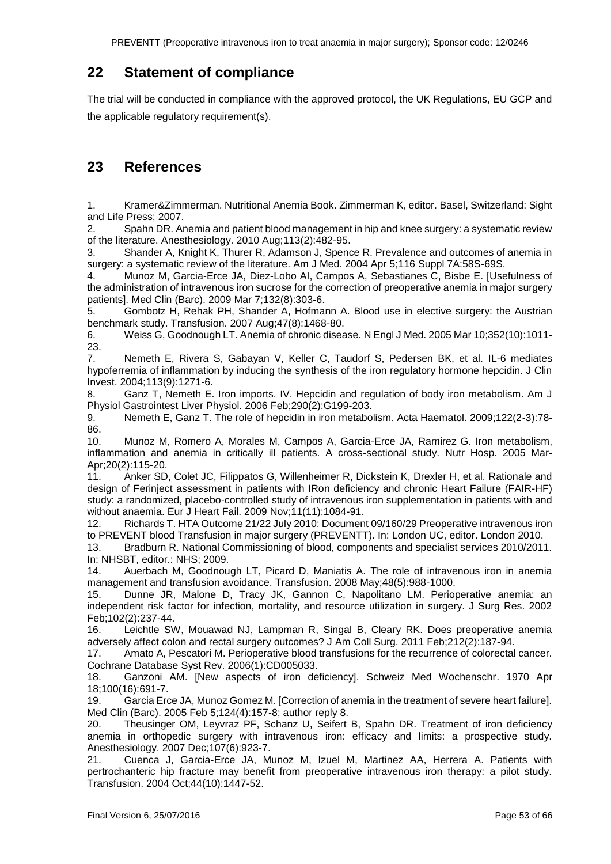PREVENTT (Preoperative intravenous iron to treat anaemia in major surgery); Sponsor code: 12/0246

## <span id="page-52-0"></span>**22 Statement of compliance**

The trial will be conducted in compliance with the approved protocol, the UK Regulations, EU GCP and the applicable regulatory requirement(s).

## <span id="page-52-1"></span>**23 References**

1. Kramer&Zimmerman. Nutritional Anemia Book. Zimmerman K, editor. Basel, Switzerland: Sight and Life Press; 2007.

2. Spahn DR. Anemia and patient blood management in hip and knee surgery: a systematic review of the literature. Anesthesiology. 2010 Aug;113(2):482-95.

3. Shander A, Knight K, Thurer R, Adamson J, Spence R. Prevalence and outcomes of anemia in surgery: a systematic review of the literature. Am J Med. 2004 Apr 5;116 Suppl 7A:58S-69S.

4. Munoz M, Garcia-Erce JA, Diez-Lobo AI, Campos A, Sebastianes C, Bisbe E. [Usefulness of the administration of intravenous iron sucrose for the correction of preoperative anemia in major surgery patients]. Med Clin (Barc). 2009 Mar 7;132(8):303-6.

5. Gombotz H, Rehak PH, Shander A, Hofmann A. Blood use in elective surgery: the Austrian benchmark study. Transfusion. 2007 Aug;47(8):1468-80.

6. Weiss G, Goodnough LT. Anemia of chronic disease. N Engl J Med. 2005 Mar 10;352(10):1011- 23.

7. Nemeth E, Rivera S, Gabayan V, Keller C, Taudorf S, Pedersen BK, et al. IL-6 mediates hypoferremia of inflammation by inducing the synthesis of the iron regulatory hormone hepcidin. J Clin Invest. 2004;113(9):1271-6.

8. Ganz T, Nemeth E. Iron imports. IV. Hepcidin and regulation of body iron metabolism. Am J Physiol Gastrointest Liver Physiol. 2006 Feb;290(2):G199-203.

9. Nemeth E, Ganz T. The role of hepcidin in iron metabolism. Acta Haematol. 2009;122(2-3):78- 86.

10. Munoz M, Romero A, Morales M, Campos A, Garcia-Erce JA, Ramirez G. Iron metabolism, inflammation and anemia in critically ill patients. A cross-sectional study. Nutr Hosp. 2005 Mar-Apr;20(2):115-20.

11. Anker SD, Colet JC, Filippatos G, Willenheimer R, Dickstein K, Drexler H, et al. Rationale and design of Ferinject assessment in patients with IRon deficiency and chronic Heart Failure (FAIR-HF) study: a randomized, placebo-controlled study of intravenous iron supplementation in patients with and without anaemia. Eur J Heart Fail. 2009 Nov;11(11):1084-91.

12. Richards T. HTA Outcome 21/22 July 2010: Document 09/160/29 Preoperative intravenous iron to PREVENT blood Transfusion in major surgery (PREVENTT). In: London UC, editor. London 2010.

13. Bradburn R. National Commissioning of blood, components and specialist services 2010/2011. In: NHSBT, editor.: NHS; 2009.

14. Auerbach M, Goodnough LT, Picard D, Maniatis A. The role of intravenous iron in anemia management and transfusion avoidance. Transfusion. 2008 May;48(5):988-1000.

15. Dunne JR, Malone D, Tracy JK, Gannon C, Napolitano LM. Perioperative anemia: an independent risk factor for infection, mortality, and resource utilization in surgery. J Surg Res. 2002 Feb;102(2):237-44.

16. Leichtle SW, Mouawad NJ, Lampman R, Singal B, Cleary RK. Does preoperative anemia adversely affect colon and rectal surgery outcomes? J Am Coll Surg. 2011 Feb;212(2):187-94.

17. Amato A, Pescatori M. Perioperative blood transfusions for the recurrence of colorectal cancer. Cochrane Database Syst Rev. 2006(1):CD005033.

18. Ganzoni AM. [New aspects of iron deficiency]. Schweiz Med Wochenschr. 1970 Apr 18;100(16):691-7.

19. Garcia Erce JA, Munoz Gomez M. [Correction of anemia in the treatment of severe heart failure]. Med Clin (Barc). 2005 Feb 5;124(4):157-8; author reply 8.

20. Theusinger OM, Leyvraz PF, Schanz U, Seifert B, Spahn DR. Treatment of iron deficiency anemia in orthopedic surgery with intravenous iron: efficacy and limits: a prospective study. Anesthesiology. 2007 Dec;107(6):923-7.

21. Cuenca J, Garcia-Erce JA, Munoz M, Izuel M, Martinez AA, Herrera A. Patients with pertrochanteric hip fracture may benefit from preoperative intravenous iron therapy: a pilot study. Transfusion. 2004 Oct;44(10):1447-52.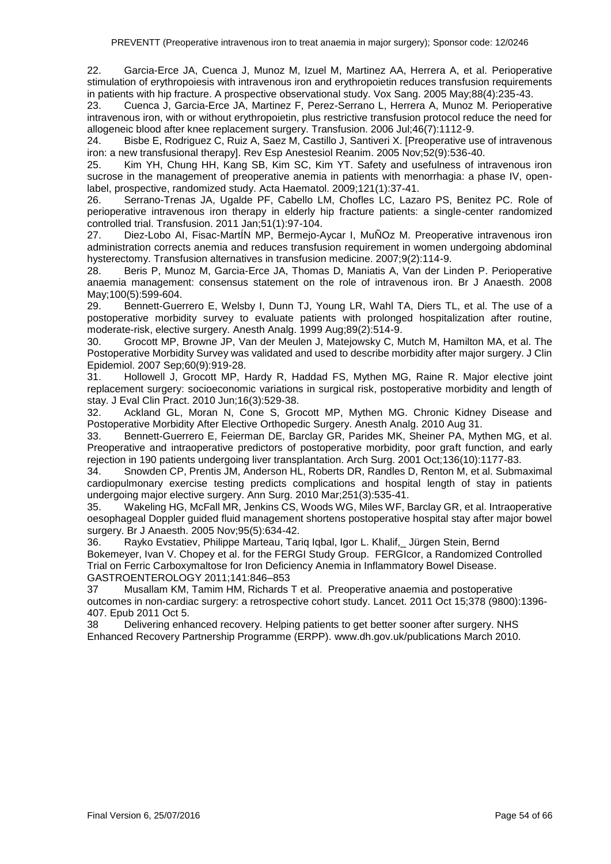22. Garcia-Erce JA, Cuenca J, Munoz M, Izuel M, Martinez AA, Herrera A, et al. Perioperative stimulation of erythropoiesis with intravenous iron and erythropoietin reduces transfusion requirements in patients with hip fracture. A prospective observational study. Vox Sang. 2005 May;88(4):235-43.

23. Cuenca J, Garcia-Erce JA, Martinez F, Perez-Serrano L, Herrera A, Munoz M. Perioperative intravenous iron, with or without erythropoietin, plus restrictive transfusion protocol reduce the need for allogeneic blood after knee replacement surgery. Transfusion. 2006 Jul;46(7):1112-9.

24. Bisbe E, Rodriguez C, Ruiz A, Saez M, Castillo J, Santiveri X. [Preoperative use of intravenous iron: a new transfusional therapy]. Rev Esp Anestesiol Reanim. 2005 Nov;52(9):536-40.

25. Kim YH, Chung HH, Kang SB, Kim SC, Kim YT. Safety and usefulness of intravenous iron sucrose in the management of preoperative anemia in patients with menorrhagia: a phase IV, openlabel, prospective, randomized study. Acta Haematol. 2009;121(1):37-41.

26. Serrano-Trenas JA, Ugalde PF, Cabello LM, Chofles LC, Lazaro PS, Benitez PC. Role of perioperative intravenous iron therapy in elderly hip fracture patients: a single-center randomized controlled trial. Transfusion. 2011 Jan;51(1):97-104.

27. Diez-Lobo AI, Fisac-MartÍN MP, Bermejo-Aycar I, MuÑOz M. Preoperative intravenous iron administration corrects anemia and reduces transfusion requirement in women undergoing abdominal hysterectomy. Transfusion alternatives in transfusion medicine. 2007;9(2):114-9.

28. Beris P, Munoz M, Garcia-Erce JA, Thomas D, Maniatis A, Van der Linden P. Perioperative anaemia management: consensus statement on the role of intravenous iron. Br J Anaesth. 2008 May;100(5):599-604.

29. Bennett-Guerrero E, Welsby I, Dunn TJ, Young LR, Wahl TA, Diers TL, et al. The use of a postoperative morbidity survey to evaluate patients with prolonged hospitalization after routine, moderate-risk, elective surgery. Anesth Analg. 1999 Aug;89(2):514-9.

30. Grocott MP, Browne JP, Van der Meulen J, Matejowsky C, Mutch M, Hamilton MA, et al. The Postoperative Morbidity Survey was validated and used to describe morbidity after major surgery. J Clin Epidemiol. 2007 Sep;60(9):919-28.

31. Hollowell J, Grocott MP, Hardy R, Haddad FS, Mythen MG, Raine R. Major elective joint replacement surgery: socioeconomic variations in surgical risk, postoperative morbidity and length of stay. J Eval Clin Pract. 2010 Jun;16(3):529-38.

32. Ackland GL, Moran N, Cone S, Grocott MP, Mythen MG. Chronic Kidney Disease and Postoperative Morbidity After Elective Orthopedic Surgery. Anesth Analg. 2010 Aug 31.

33. Bennett-Guerrero E, Feierman DE, Barclay GR, Parides MK, Sheiner PA, Mythen MG, et al. Preoperative and intraoperative predictors of postoperative morbidity, poor graft function, and early rejection in 190 patients undergoing liver transplantation. Arch Surg. 2001 Oct;136(10):1177-83.

34. Snowden CP, Prentis JM, Anderson HL, Roberts DR, Randles D, Renton M, et al. Submaximal cardiopulmonary exercise testing predicts complications and hospital length of stay in patients undergoing major elective surgery. Ann Surg. 2010 Mar;251(3):535-41.

35. Wakeling HG, McFall MR, Jenkins CS, Woods WG, Miles WF, Barclay GR, et al. Intraoperative oesophageal Doppler guided fluid management shortens postoperative hospital stay after major bowel surgery. Br J Anaesth. 2005 Nov;95(5):634-42.

36. Rayko Evstatiev, Philippe Marteau, Tariq Iqbal, Igor L. Khalif,\_ Jürgen Stein, Bernd Bokemeyer, Ivan V. Chopey et al. for the FERGI Study Group. FERGIcor, a Randomized Controlled Trial on Ferric Carboxymaltose for Iron Deficiency Anemia in Inflammatory Bowel Disease. GASTROENTEROLOGY 2011;141:846–853

37 Musallam KM, Tamim HM, Richards T et al. Preoperative anaemia and postoperative outcomes in non-cardiac surgery: a retrospective cohort study. Lancet. 2011 Oct 15;378 (9800):1396- 407. Epub 2011 Oct 5.

38 Delivering enhanced recovery. Helping patients to get better sooner after surgery. NHS Enhanced Recovery Partnership Programme (ERPP). www.dh.gov.uk/publications March 2010.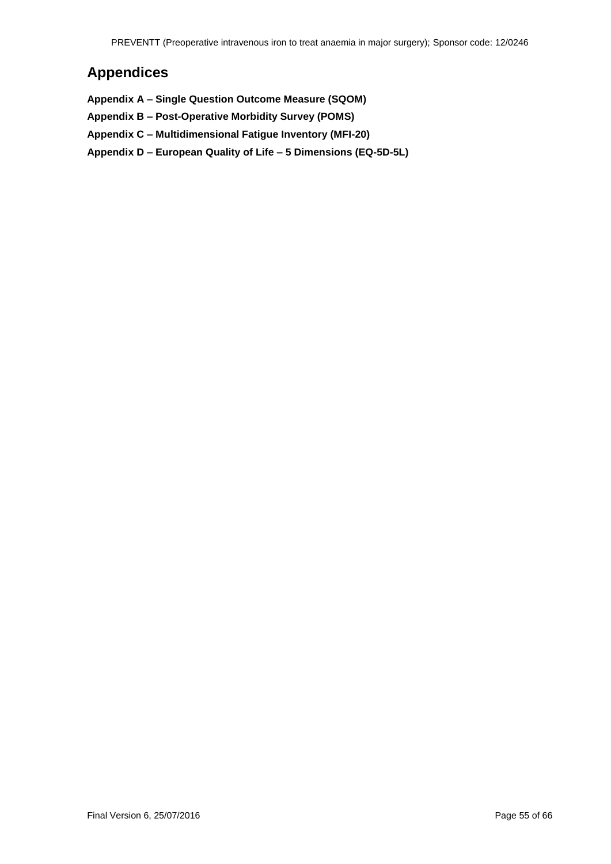## <span id="page-54-0"></span>**Appendices**

**Appendix A – Single Question Outcome Measure (SQOM)**

- **Appendix B – Post-Operative Morbidity Survey (POMS)**
- **Appendix C – Multidimensional Fatigue Inventory (MFI-20)**
- **Appendix D – European Quality of Life – 5 Dimensions (EQ-5D-5L)**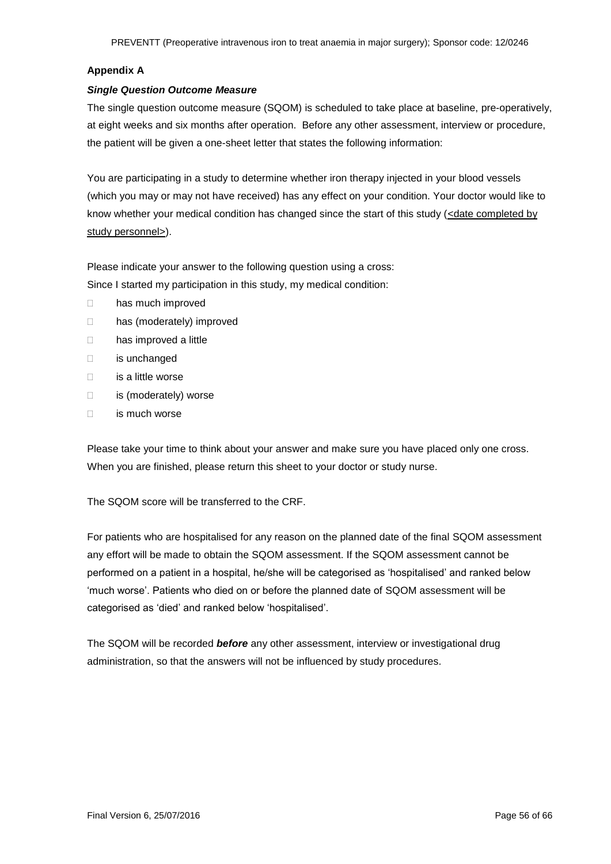#### **Appendix A**

#### *Single Question Outcome Measure*

The single question outcome measure (SQOM) is scheduled to take place at baseline, pre-operatively, at eight weeks and six months after operation. Before any other assessment, interview or procedure, the patient will be given a one-sheet letter that states the following information:

You are participating in a study to determine whether iron therapy injected in your blood vessels (which you may or may not have received) has any effect on your condition. Your doctor would like to know whether your medical condition has changed since the start of this study  $\left\langle \frac{\text{cdate completed by}}{\text{cosh} \theta} \right\rangle$ study personnel>).

Please indicate your answer to the following question using a cross:

Since I started my participation in this study, my medical condition:

- □ has much improved
- □ has (moderately) improved
- □ has improved a little
- is unchanged
- is a little worse
- □ is (moderately) worse
- $\Box$  is much worse

Please take your time to think about your answer and make sure you have placed only one cross. When you are finished, please return this sheet to your doctor or study nurse.

The SQOM score will be transferred to the CRF.

For patients who are hospitalised for any reason on the planned date of the final SQOM assessment any effort will be made to obtain the SQOM assessment. If the SQOM assessment cannot be performed on a patient in a hospital, he/she will be categorised as 'hospitalised' and ranked below 'much worse'. Patients who died on or before the planned date of SQOM assessment will be categorised as 'died' and ranked below 'hospitalised'.

The SQOM will be recorded *before* any other assessment, interview or investigational drug administration, so that the answers will not be influenced by study procedures.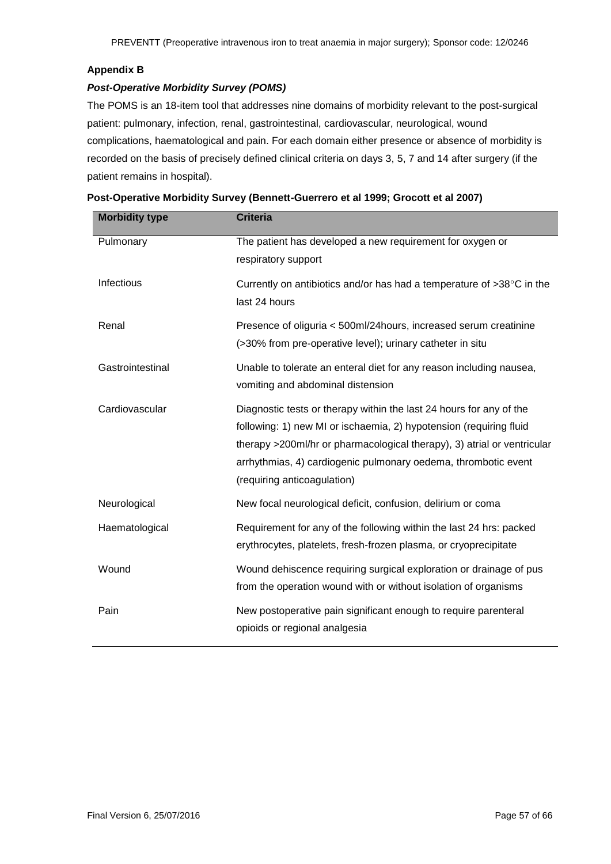#### **Appendix B**

#### *Post-Operative Morbidity Survey (POMS)*

The POMS is an 18-item tool that addresses nine domains of morbidity relevant to the post-surgical patient: pulmonary, infection, renal, gastrointestinal, cardiovascular, neurological, wound complications, haematological and pain. For each domain either presence or absence of morbidity is recorded on the basis of precisely defined clinical criteria on days 3, 5, 7 and 14 after surgery (if the patient remains in hospital).

| <b>Morbidity type</b> | <b>Criteria</b>                                                                                                                                                                                                                                                                                                       |
|-----------------------|-----------------------------------------------------------------------------------------------------------------------------------------------------------------------------------------------------------------------------------------------------------------------------------------------------------------------|
| Pulmonary             | The patient has developed a new requirement for oxygen or<br>respiratory support                                                                                                                                                                                                                                      |
| Infectious            | Currently on antibiotics and/or has had a temperature of $>38^{\circ}$ C in the<br>last 24 hours                                                                                                                                                                                                                      |
| Renal                 | Presence of oliguria < 500ml/24hours, increased serum creatinine<br>(>30% from pre-operative level); urinary catheter in situ                                                                                                                                                                                         |
| Gastrointestinal      | Unable to tolerate an enteral diet for any reason including nausea,<br>vomiting and abdominal distension                                                                                                                                                                                                              |
| Cardiovascular        | Diagnostic tests or therapy within the last 24 hours for any of the<br>following: 1) new MI or ischaemia, 2) hypotension (requiring fluid<br>therapy >200ml/hr or pharmacological therapy), 3) atrial or ventricular<br>arrhythmias, 4) cardiogenic pulmonary oedema, thrombotic event<br>(requiring anticoagulation) |
| Neurological          | New focal neurological deficit, confusion, delirium or coma                                                                                                                                                                                                                                                           |
| Haematological        | Requirement for any of the following within the last 24 hrs: packed<br>erythrocytes, platelets, fresh-frozen plasma, or cryoprecipitate                                                                                                                                                                               |
| Wound                 | Wound dehiscence requiring surgical exploration or drainage of pus<br>from the operation wound with or without isolation of organisms                                                                                                                                                                                 |
| Pain                  | New postoperative pain significant enough to require parenteral<br>opioids or regional analgesia                                                                                                                                                                                                                      |

| Post-Operative Morbidity Survey (Bennett-Guerrero et al 1999; Grocott et al 2007) |
|-----------------------------------------------------------------------------------|
|-----------------------------------------------------------------------------------|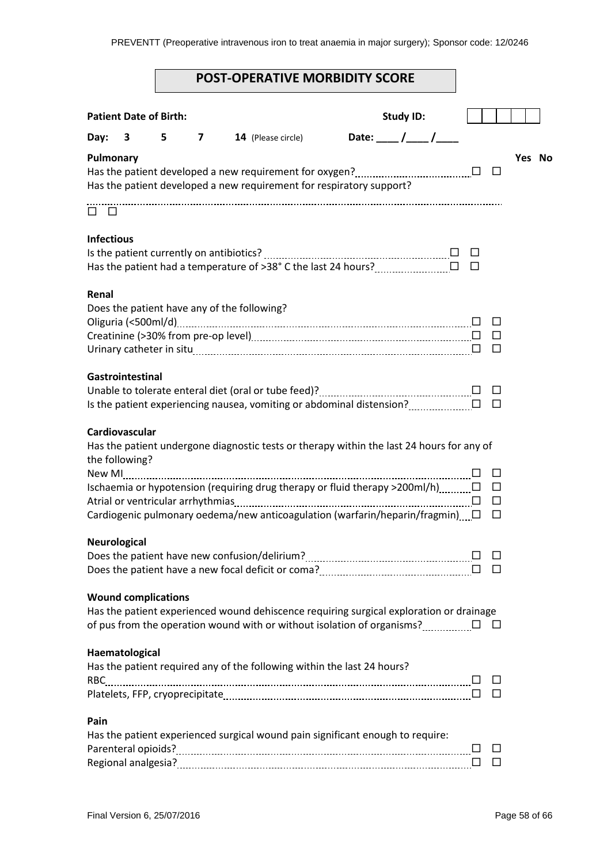## **POST-OPERATIVE MORBIDITY SCORE**

|                     | <b>Patient Date of Birth:</b> |   |                         |                                                                                                                                                                           | <b>Study ID:</b>                                          |             |                       |        |  |
|---------------------|-------------------------------|---|-------------------------|---------------------------------------------------------------------------------------------------------------------------------------------------------------------------|-----------------------------------------------------------|-------------|-----------------------|--------|--|
| Day:                | 3                             | 5 | $\overline{\mathbf{z}}$ | 14 (Please circle)                                                                                                                                                        | Date: $\frac{1}{\sqrt{1-\frac{1}{1-\frac{1}{1-\cdots}}}}$ |             |                       |        |  |
| Pulmonary           |                               |   |                         | Has the patient developed a new requirement for respiratory support?                                                                                                      |                                                           |             | $\Box$                | Yes No |  |
| 0 O                 |                               |   |                         |                                                                                                                                                                           |                                                           |             |                       |        |  |
| <b>Infectious</b>   |                               |   |                         | Has the patient had a temperature of >38° C the last 24 hours? __________________                                                                                         |                                                           | ப<br>$\Box$ |                       |        |  |
| Renal               |                               |   |                         | Does the patient have any of the following?                                                                                                                               |                                                           |             | $\Box$                |        |  |
|                     |                               |   |                         |                                                                                                                                                                           |                                                           |             | $\Box$<br>$\Box$      |        |  |
|                     | Gastrointestinal              |   |                         |                                                                                                                                                                           |                                                           |             | $\Box$<br>$\Box$      |        |  |
| the following?      | Cardiovascular                |   |                         | Has the patient undergone diagnostic tests or therapy within the last 24 hours for any of                                                                                 |                                                           |             |                       |        |  |
|                     |                               |   |                         | Ischaemia or hypotension (requiring drug therapy or fluid therapy >200ml/h)<br>Cardiogenic pulmonary oedema/new anticoagulation (warfarin/heparin/fragmin) $\Box$         |                                                           |             | □<br>$\Box$<br>□<br>□ |        |  |
| <b>Neurological</b> |                               |   |                         |                                                                                                                                                                           |                                                           |             | $\Box$                |        |  |
|                     | <b>Wound complications</b>    |   |                         | Has the patient experienced wound dehiscence requiring surgical exploration or drainage<br>of pus from the operation wound with or without isolation of organisms? $\Box$ |                                                           |             | ⊔                     |        |  |
|                     | Haematological                |   |                         | Has the patient required any of the following within the last 24 hours?                                                                                                   |                                                           |             | $\Box$<br>$\Box$      |        |  |
| Pain                |                               |   |                         | Has the patient experienced surgical wound pain significant enough to require:                                                                                            |                                                           |             | $\Box$<br>□           |        |  |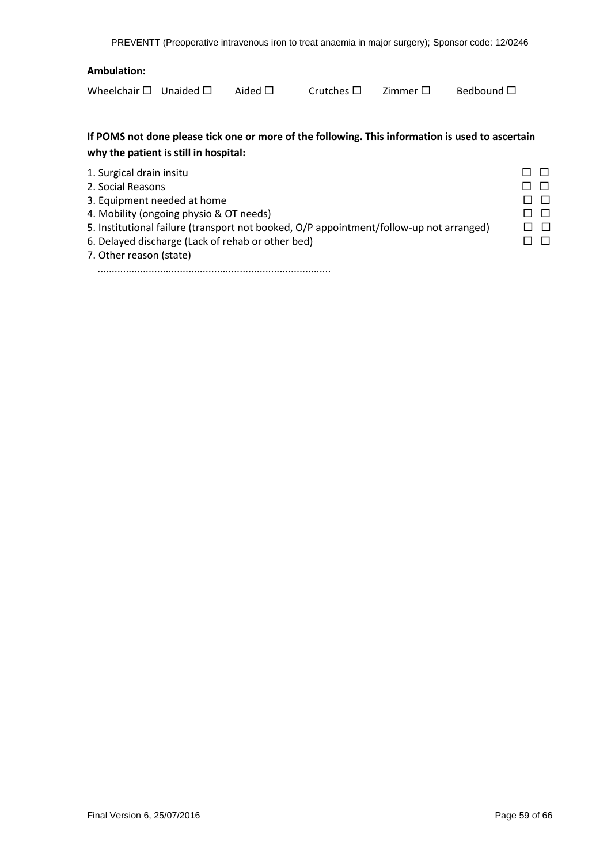#### **Ambulation:**

Wheelchair  $\square$  Unaided  $\square$  Aided  $\square$  Crutches  $\square$  Zimmer  $\square$  Bedbound  $\square$ 

| Aider |
|-------|
|       |

### **If POMS not done please tick one or more of the following. This information is used to ascertain why the patient is still in hospital:**

| 1. Surgical drain insitu                                                                |        |
|-----------------------------------------------------------------------------------------|--------|
| 2. Social Reasons                                                                       |        |
| 3. Equipment needed at home                                                             | $\Box$ |
| 4. Mobility (ongoing physio & OT needs)                                                 | □□     |
| 5. Institutional failure (transport not booked, O/P appointment/follow-up not arranged) | $\Box$ |
| 6. Delayed discharge (Lack of rehab or other bed)                                       |        |
|                                                                                         |        |

7. Other reason (state)

..................................................................................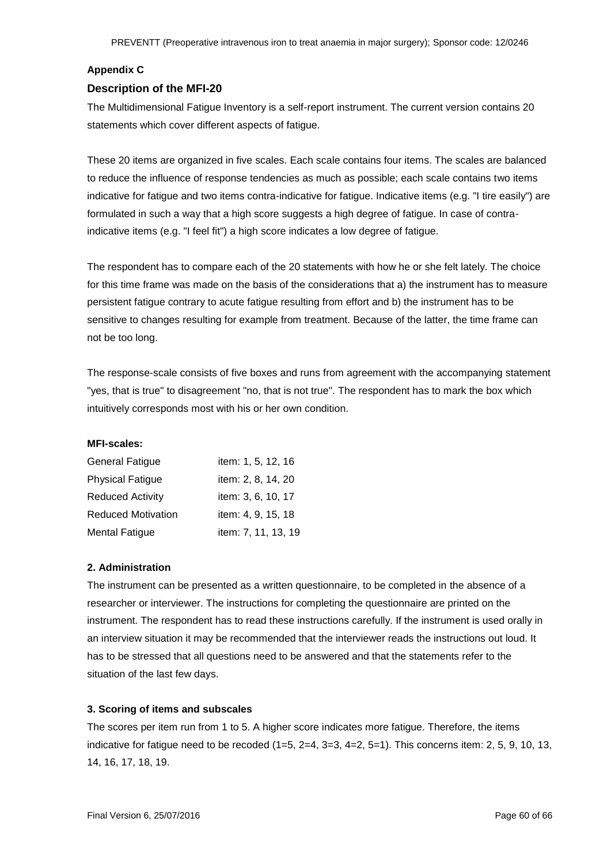#### **Appendix C**

#### **Description of the MFI-20**

The Multidimensional Fatigue Inventory is a self-report instrument. The current version contains 20 statements which cover different aspects of fatigue.

These 20 items are organized in five scales. Each scale contains four items. The scales are balanced to reduce the influence of response tendencies as much as possible; each scale contains two items indicative for fatigue and two items contra-indicative for fatigue. Indicative items (e.g. "I tire easily") are formulated in such a way that a high score suggests a high degree of fatigue. In case of contraindicative items (e.g. "I feel fit") a high score indicates a low degree of fatigue.

The respondent has to compare each of the 20 statements with how he or she felt lately. The choice for this time frame was made on the basis of the considerations that a) the instrument has to measure persistent fatigue contrary to acute fatigue resulting from effort and b) the instrument has to be sensitive to changes resulting for example from treatment. Because of the latter, the time frame can not be too long.

The response-scale consists of five boxes and runs from agreement with the accompanying statement "yes, that is true" to disagreement "no, that is not true". The respondent has to mark the box which intuitively corresponds most with his or her own condition.

#### **MFI-scales:**

| <b>General Fatigue</b>    | item: 1, 5, 12, 16  |
|---------------------------|---------------------|
| <b>Physical Fatigue</b>   | item: 2, 8, 14, 20  |
| <b>Reduced Activity</b>   | item: 3, 6, 10, 17  |
| <b>Reduced Motivation</b> | item: 4, 9, 15, 18  |
| <b>Mental Fatigue</b>     | item: 7, 11, 13, 19 |

#### **2. Administration**

The instrument can be presented as a written questionnaire, to be completed in the absence of a researcher or interviewer. The instructions for completing the questionnaire are printed on the instrument. The respondent has to read these instructions carefully. If the instrument is used orally in an interview situation it may be recommended that the interviewer reads the instructions out loud. It has to be stressed that all questions need to be answered and that the statements refer to the situation of the last few days.

#### **3. Scoring of items and subscales**

The scores per item run from 1 to 5. A higher score indicates more fatigue. Therefore, the items indicative for fatigue need to be recoded  $(1=5, 2=4, 3=3, 4=2, 5=1)$ . This concerns item: 2, 5, 9, 10, 13, 14, 16, 17, 18, 19.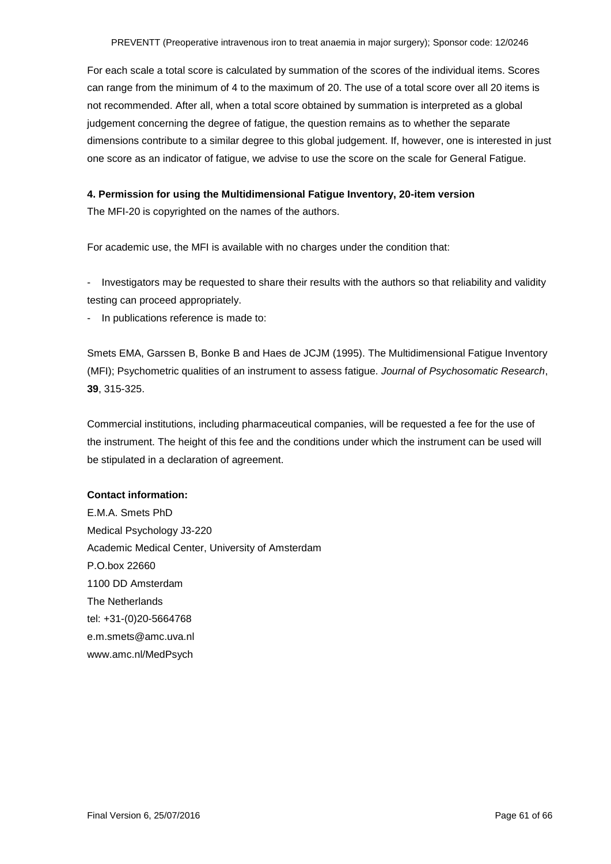For each scale a total score is calculated by summation of the scores of the individual items. Scores can range from the minimum of 4 to the maximum of 20. The use of a total score over all 20 items is not recommended. After all, when a total score obtained by summation is interpreted as a global judgement concerning the degree of fatigue, the question remains as to whether the separate dimensions contribute to a similar degree to this global judgement. If, however, one is interested in just one score as an indicator of fatigue, we advise to use the score on the scale for General Fatigue.

#### **4. Permission for using the Multidimensional Fatigue Inventory, 20-item version**

The MFI-20 is copyrighted on the names of the authors.

For academic use, the MFI is available with no charges under the condition that:

- Investigators may be requested to share their results with the authors so that reliability and validity testing can proceed appropriately.

In publications reference is made to:

Smets EMA, Garssen B, Bonke B and Haes de JCJM (1995). The Multidimensional Fatigue Inventory (MFI); Psychometric qualities of an instrument to assess fatigue. *Journal of Psychosomatic Research*, **39**, 315-325.

Commercial institutions, including pharmaceutical companies, will be requested a fee for the use of the instrument. The height of this fee and the conditions under which the instrument can be used will be stipulated in a declaration of agreement.

#### **Contact information:**

E.M.A. Smets PhD Medical Psychology J3-220 Academic Medical Center, University of Amsterdam P.O.box 22660 1100 DD Amsterdam The Netherlands tel: +31-(0)20-5664768 e.m.smets@amc.uva.nl www.amc.nl/MedPsych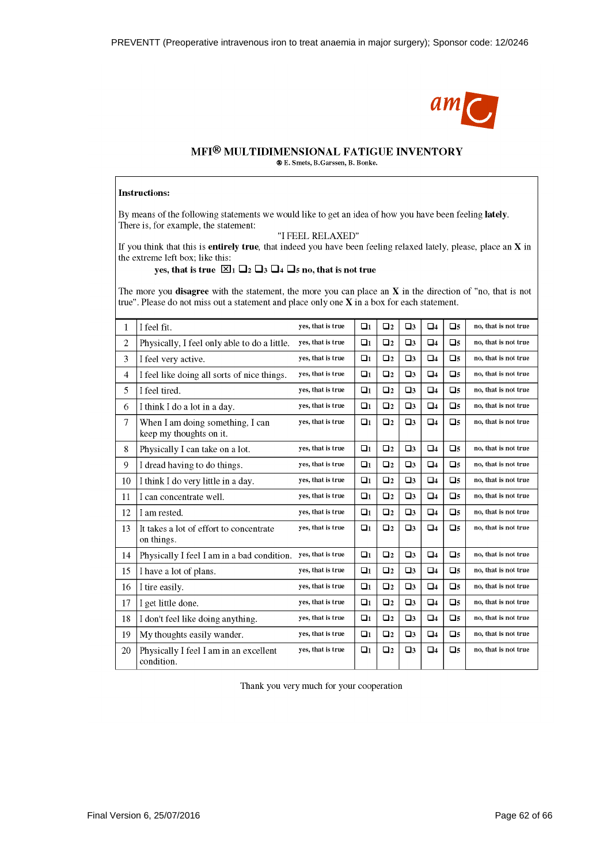

# MFI® MULTIDIMENSIONAL FATIGUE INVENTORY

® E. Smets, B. Garssen, B. Bonke.

#### **Instructions:**

By means of the following statements we would like to get an idea of how you have been feeling lately. There is, for example, the statement:

"I FEEL RELAXED"

If you think that this is entirely true, that indeed you have been feeling relaxed lately, please, place an  $X$  in the extreme left box; like this:

#### yes, that is true  $\boxtimes_1 \square_2 \square_3 \square_4 \square_5$  no, that is not true

The more you disagree with the statement, the more you can place an  $X$  in the direction of "no, that is not true". Please do not miss out a statement and place only one  $X$  in a box for each statement.

| 1              | I feel fit.                                                 | yes, that is true | $\Box$ 1 | $\Box$ 2  | $\square$ 3 | $\Box$ 4       | $\square$ 5 | no, that is not true |
|----------------|-------------------------------------------------------------|-------------------|----------|-----------|-------------|----------------|-------------|----------------------|
| $\mathbf{2}$   | Physically, I feel only able to do a little.                | yes, that is true | $\Box$ 1 | $\Box$    | $\square$   | $\Box$ 4       | $\square$ 5 | no, that is not true |
| 3              | I feel very active.                                         | yes, that is true | $\Box$ 1 | $\Box$    | $\square$ 3 | $\Box$ 4       | $\square$ 5 | no, that is not true |
| $\overline{4}$ | I feel like doing all sorts of nice things.                 | yes, that is true | $\Box$ 1 | $\Box$    | $\square$   | $\Box$ 4       | $\square$ 5 | no, that is not true |
| 5              | I feel tired.                                               | yes, that is true | $\Box$ 1 | $\Box$    | $\square$   | $\Box$ 4       | $\Box$ 5    | no, that is not true |
| 6              | I think I do a lot in a day.                                | yes, that is true | $\Box$ 1 | $\Box$ 2  | $\square$   | $\Box$ 4       | $\Box$ 5    | no, that is not true |
| 7              | When I am doing something, I can<br>keep my thoughts on it. | yes, that is true | $\Box_1$ | $\square$ | $\square$ 3 | $\Box$ 4       | $\square$ 5 | no, that is not true |
| 8              | Physically I can take on a lot.                             | yes, that is true | $\Box$ 1 | $\Box$    | $\square$   | $\Box$ 4       | $\square$ 5 | no, that is not true |
| 9              | I dread having to do things.                                | yes, that is true | $\Box$ 1 | $\Box$    | $\square$   | $\Box$ 4       | $\square$ 5 | no, that is not true |
| 10             | I think I do very little in a day.                          | yes, that is true | $\Box$ 1 | $\Box$    | $\square$   | $\Box$ 4       | $\square$ 5 | no, that is not true |
| 11             | I can concentrate well.                                     | yes, that is true | $\Box$ 1 | $\Box$    | $\square$   | Q <sub>4</sub> | $\square$ 5 | no, that is not true |
| 12             | I am rested.                                                | yes, that is true | $\Box$ 1 | $\Box$ 2  | $\square$   | $\Box$ 4       | $\square$ 5 | no, that is not true |
| 13             | It takes a lot of effort to concentrate<br>on things.       | yes, that is true | $\Box$ 1 | $\Box$ 2  | $\square$   | $\Box$ 4       | $\square$ 5 | no, that is not true |
| 14             | Physically I feel I am in a bad condition.                  | yes, that is true | $\Box$ 1 | $\Box$ 2  | $\square$   | $\Box$ 4       | $\square$ 5 | no, that is not true |
| 15             | I have a lot of plans.                                      | yes, that is true | $\Box$ 1 | $\Box$    | $\square$   | $\Box$ 4       | $\square$ 5 | no, that is not true |
| 16             | I tire easily.                                              | yes, that is true | $\Box$ 1 | $\Box$    | $\Box$ 3    | $Q_4$          | $\square$ 5 | no, that is not true |
| 17             | I get little done.                                          | yes, that is true | $\Box$ 1 | $\Box$ 2  | $\square$   | $\Box$ 4       | $\square$ 5 | no, that is not true |
| 18             | I don't feel like doing anything.                           | yes, that is true | $\Box$ 1 | $\Box$    | $\square$   | $\Box$ 4       | $\Box$ 5    | no, that is not true |
| 19             | My thoughts easily wander.                                  | yes, that is true | $\Box_1$ | $\Box$ 2  | $\square$   | $\Box$ 4       | $\square$ 5 | no, that is not true |
| 20             | Physically I feel I am in an excellent<br>condition.        | yes, that is true | $\Box$ 1 | $\Box$ 2  | $\square$   | $\Box$ 4       | $\square$ 5 | no, that is not true |

Thank you very much for your cooperation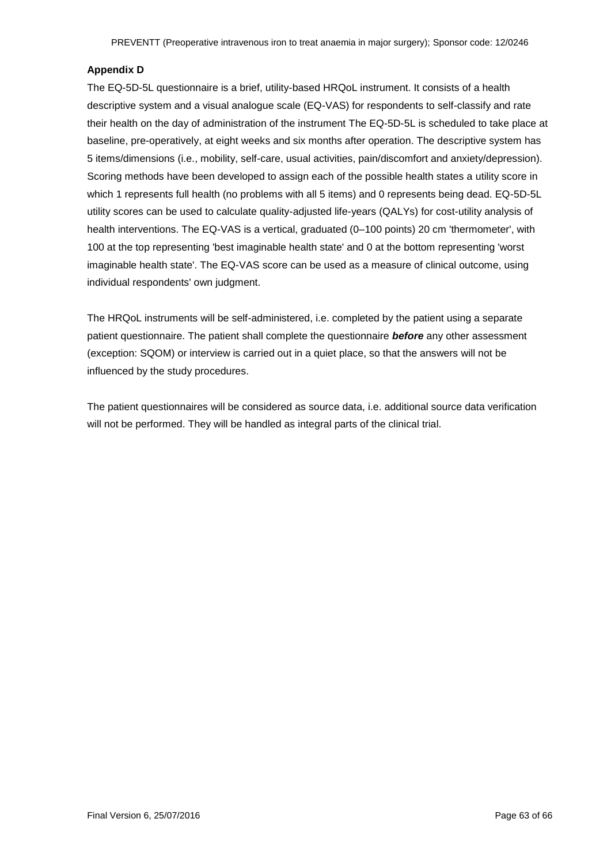#### **Appendix D**

The EQ-5D-5L questionnaire is a brief, utility-based HRQoL instrument. It consists of a health descriptive system and a visual analogue scale (EQ-VAS) for respondents to self-classify and rate their health on the day of administration of the instrument The EQ-5D-5L is scheduled to take place at baseline, pre-operatively, at eight weeks and six months after operation. The descriptive system has 5 items/dimensions (i.e., mobility, self-care, usual activities, pain/discomfort and anxiety/depression). Scoring methods have been developed to assign each of the possible health states a utility score in which 1 represents full health (no problems with all 5 items) and 0 represents being dead. EQ-5D-5L utility scores can be used to calculate quality-adjusted life-years (QALYs) for cost-utility analysis of health interventions. The EQ-VAS is a vertical, graduated (0-100 points) 20 cm 'thermometer', with 100 at the top representing 'best imaginable health state' and 0 at the bottom representing 'worst imaginable health state'. The EQ-VAS score can be used as a measure of clinical outcome, using individual respondents' own judgment.

The HRQoL instruments will be self-administered, i.e. completed by the patient using a separate patient questionnaire. The patient shall complete the questionnaire *before* any other assessment (exception: SQOM) or interview is carried out in a quiet place, so that the answers will not be influenced by the study procedures.

The patient questionnaires will be considered as source data, i.e. additional source data verification will not be performed. They will be handled as integral parts of the clinical trial.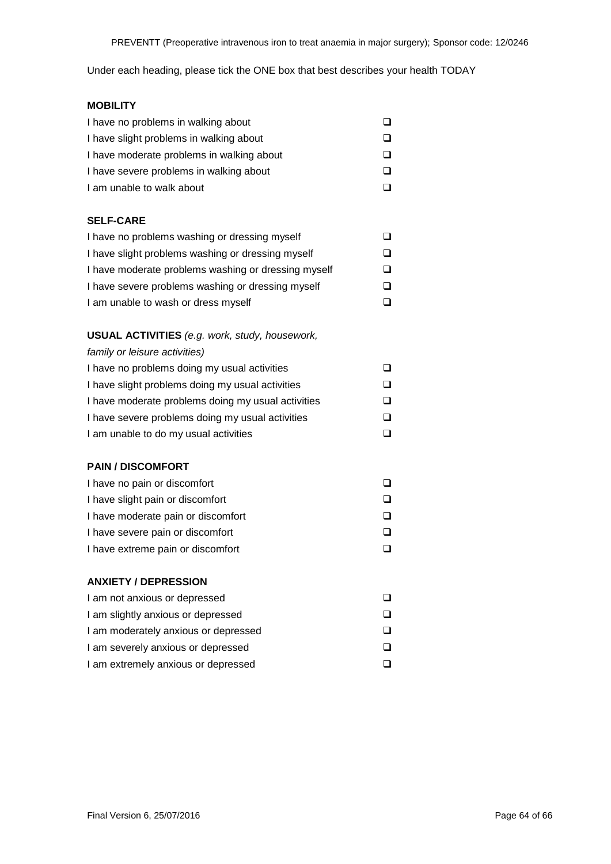Under each heading, please tick the ONE box that best describes your health TODAY

# **MOBILITY** I have no problems in walking about  $\square$ I have slight problems in walking about  $\square$ I have moderate problems in walking about  $\square$ I have severe problems in walking about  $\square$ I am unable to walk about  $\Box$ **SELF-CARE** I have no problems washing or dressing myself  $\square$ I have slight problems washing or dressing myself  $\square$ I have moderate problems washing or dressing myself I have severe problems washing or dressing myself  $\square$ I am unable to wash or dress myself  $\Box$ **USUAL ACTIVITIES** *(e.g. work, study, housework, family or leisure activities)* I have no problems doing my usual activities I have slight problems doing my usual activities  $\square$ I have moderate problems doing my usual activities I have severe problems doing my usual activities  $\square$ I am unable to do my usual activities  $\Box$ **PAIN / DISCOMFORT** I have no pain or discomfort  $\Box$ I have slight pain or discomfort  $\square$ I have moderate pain or discomfort and the state of  $\square$ I have severe pain or discomfort  $\square$ I have extreme pain or discomfort **D ANXIETY / DEPRESSION** I am not anxious or depressed  $\Box$ I am slightly anxious or depressed  $\square$ I am moderately anxious or depressed  $\square$ I am severely anxious or depressed

I am extremely anxious or depressed  $\square$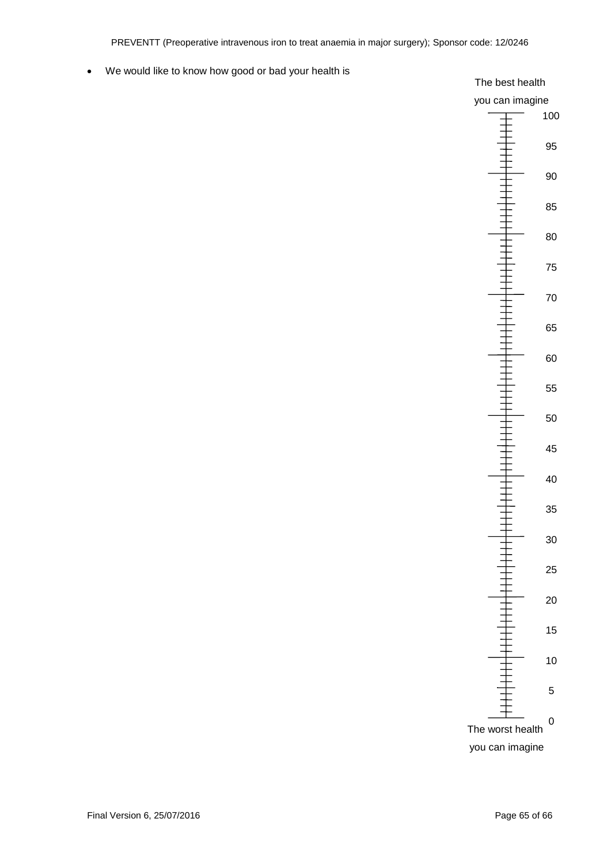#### We would like to know how good or bad your health is

#### The best health

# you can imagine